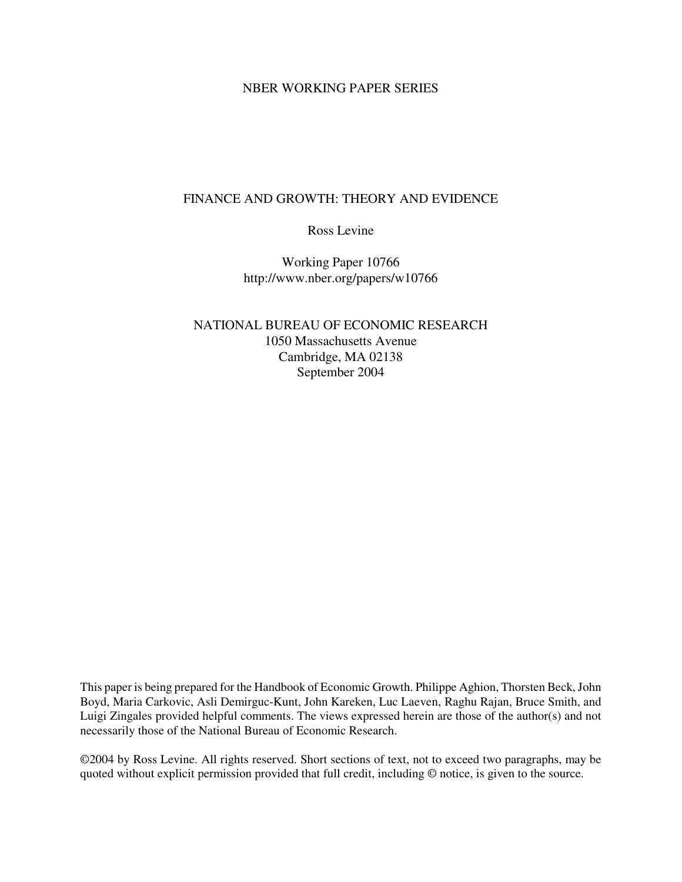#### NBER WORKING PAPER SERIES

#### FINANCE AND GROWTH: THEORY AND EVIDENCE

Ross Levine

Working Paper 10766 http://www.nber.org/papers/w10766

NATIONAL BUREAU OF ECONOMIC RESEARCH 1050 Massachusetts Avenue Cambridge, MA 02138 September 2004

This paper is being prepared for the Handbook of Economic Growth. Philippe Aghion, Thorsten Beck,John Boyd, Maria Carkovic, Asli Demirguc-Kunt, John Kareken, Luc Laeven, Raghu Rajan, Bruce Smith, and Luigi Zingales provided helpful comments. The views expressed herein are those of the author(s) and not necessarily those of the National Bureau of Economic Research.

©2004 by Ross Levine. All rights reserved. Short sections of text, not to exceed two paragraphs, may be quoted without explicit permission provided that full credit, including © notice, is given to the source.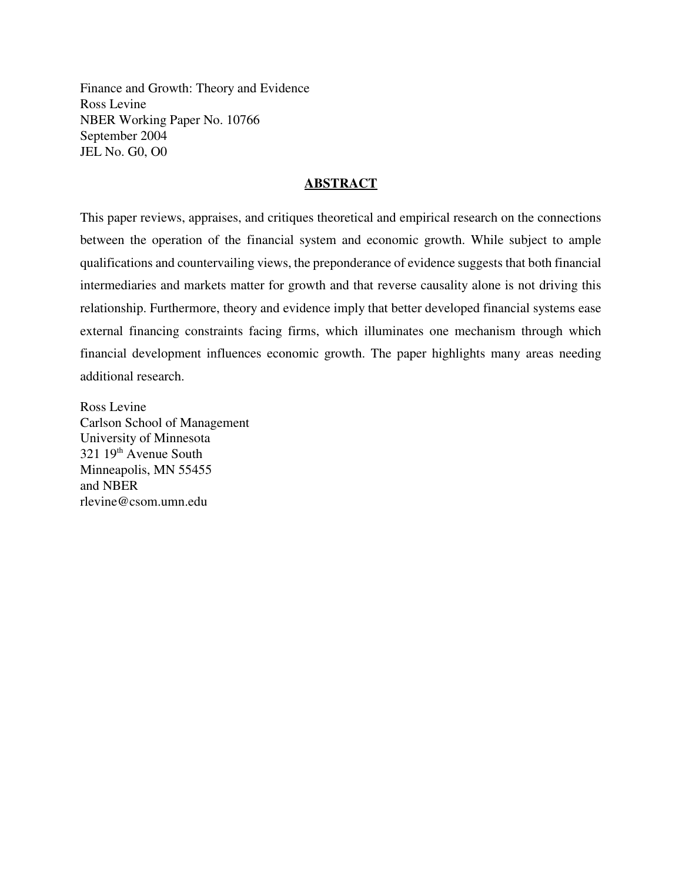Finance and Growth: Theory and Evidence Ross Levine NBER Working Paper No. 10766 September 2004 JEL No. G0, O0

#### **ABSTRACT**

This paper reviews, appraises, and critiques theoretical and empirical research on the connections between the operation of the financial system and economic growth. While subject to ample qualifications and countervailing views, the preponderance of evidence suggests that both financial intermediaries and markets matter for growth and that reverse causality alone is not driving this relationship. Furthermore, theory and evidence imply that better developed financial systems ease external financing constraints facing firms, which illuminates one mechanism through which financial development influences economic growth. The paper highlights many areas needing additional research.

Ross Levine Carlson School of Management University of Minnesota 321 19<sup>th</sup> Avenue South Minneapolis, MN 55455 and NBER rlevine@csom.umn.edu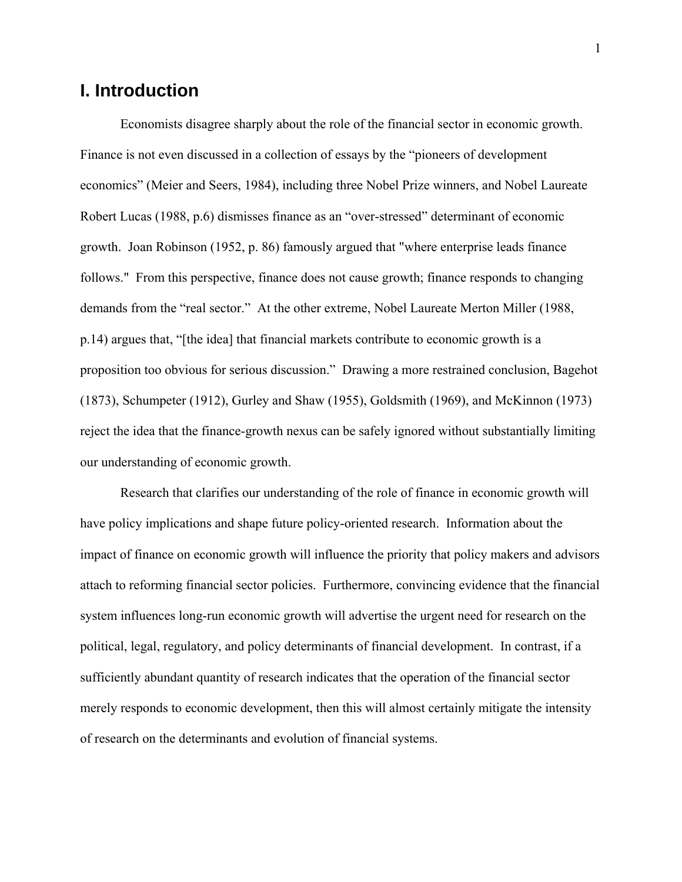## **I. Introduction**

Economists disagree sharply about the role of the financial sector in economic growth. Finance is not even discussed in a collection of essays by the "pioneers of development economics" (Meier and Seers, 1984), including three Nobel Prize winners, and Nobel Laureate Robert Lucas (1988, p.6) dismisses finance as an "over-stressed" determinant of economic growth. Joan Robinson (1952, p. 86) famously argued that "where enterprise leads finance follows." From this perspective, finance does not cause growth; finance responds to changing demands from the "real sector." At the other extreme, Nobel Laureate Merton Miller (1988, p.14) argues that, "[the idea] that financial markets contribute to economic growth is a proposition too obvious for serious discussion." Drawing a more restrained conclusion, Bagehot (1873), Schumpeter (1912), Gurley and Shaw (1955), Goldsmith (1969), and McKinnon (1973) reject the idea that the finance-growth nexus can be safely ignored without substantially limiting our understanding of economic growth.

 Research that clarifies our understanding of the role of finance in economic growth will have policy implications and shape future policy-oriented research. Information about the impact of finance on economic growth will influence the priority that policy makers and advisors attach to reforming financial sector policies. Furthermore, convincing evidence that the financial system influences long-run economic growth will advertise the urgent need for research on the political, legal, regulatory, and policy determinants of financial development. In contrast, if a sufficiently abundant quantity of research indicates that the operation of the financial sector merely responds to economic development, then this will almost certainly mitigate the intensity of research on the determinants and evolution of financial systems.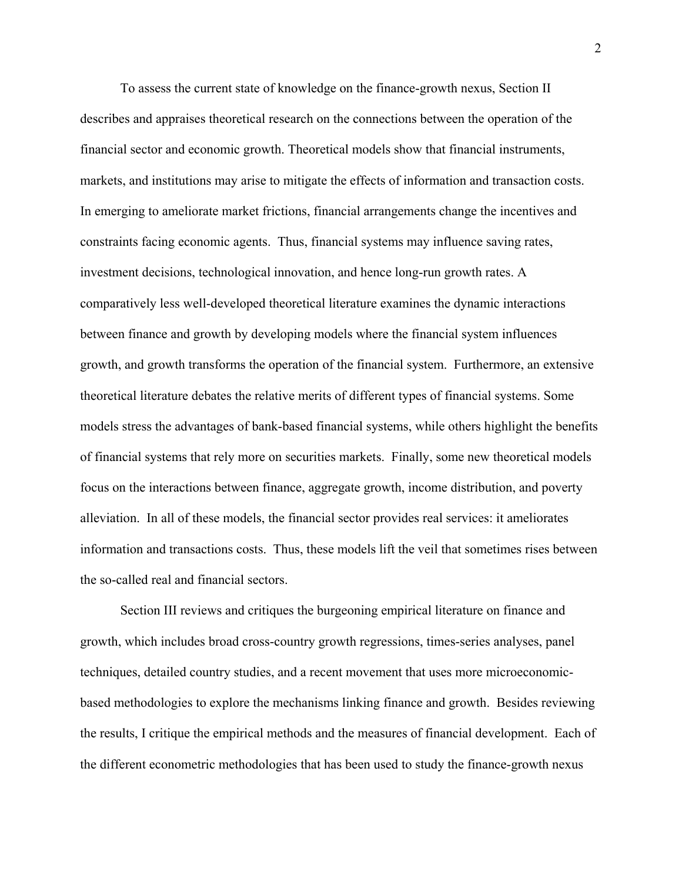To assess the current state of knowledge on the finance-growth nexus, Section II describes and appraises theoretical research on the connections between the operation of the financial sector and economic growth. Theoretical models show that financial instruments, markets, and institutions may arise to mitigate the effects of information and transaction costs. In emerging to ameliorate market frictions, financial arrangements change the incentives and constraints facing economic agents. Thus, financial systems may influence saving rates, investment decisions, technological innovation, and hence long-run growth rates. A comparatively less well-developed theoretical literature examines the dynamic interactions between finance and growth by developing models where the financial system influences growth, and growth transforms the operation of the financial system. Furthermore, an extensive theoretical literature debates the relative merits of different types of financial systems. Some models stress the advantages of bank-based financial systems, while others highlight the benefits of financial systems that rely more on securities markets. Finally, some new theoretical models focus on the interactions between finance, aggregate growth, income distribution, and poverty alleviation. In all of these models, the financial sector provides real services: it ameliorates information and transactions costs. Thus, these models lift the veil that sometimes rises between the so-called real and financial sectors.

 Section III reviews and critiques the burgeoning empirical literature on finance and growth, which includes broad cross-country growth regressions, times-series analyses, panel techniques, detailed country studies, and a recent movement that uses more microeconomicbased methodologies to explore the mechanisms linking finance and growth. Besides reviewing the results, I critique the empirical methods and the measures of financial development. Each of the different econometric methodologies that has been used to study the finance-growth nexus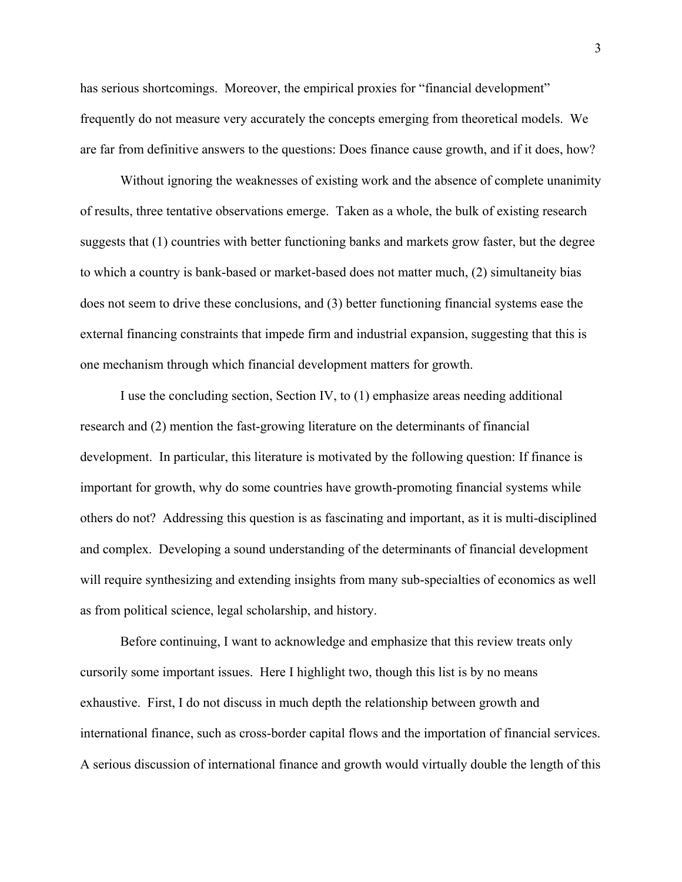has serious shortcomings. Moreover, the empirical proxies for "financial development" frequently do not measure very accurately the concepts emerging from theoretical models. We are far from definitive answers to the questions: Does finance cause growth, and if it does, how?

Without ignoring the weaknesses of existing work and the absence of complete unanimity of results, three tentative observations emerge. Taken as a whole, the bulk of existing research suggests that (1) countries with better functioning banks and markets grow faster, but the degree to which a country is bank-based or market-based does not matter much, (2) simultaneity bias does not seem to drive these conclusions, and (3) better functioning financial systems ease the external financing constraints that impede firm and industrial expansion, suggesting that this is one mechanism through which financial development matters for growth.

 I use the concluding section, Section IV, to (1) emphasize areas needing additional research and (2) mention the fast-growing literature on the determinants of financial development. In particular, this literature is motivated by the following question: If finance is important for growth, why do some countries have growth-promoting financial systems while others do not? Addressing this question is as fascinating and important, as it is multi-disciplined and complex. Developing a sound understanding of the determinants of financial development will require synthesizing and extending insights from many sub-specialties of economics as well as from political science, legal scholarship, and history.

Before continuing, I want to acknowledge and emphasize that this review treats only cursorily some important issues. Here I highlight two, though this list is by no means exhaustive. First, I do not discuss in much depth the relationship between growth and international finance, such as cross-border capital flows and the importation of financial services. A serious discussion of international finance and growth would virtually double the length of this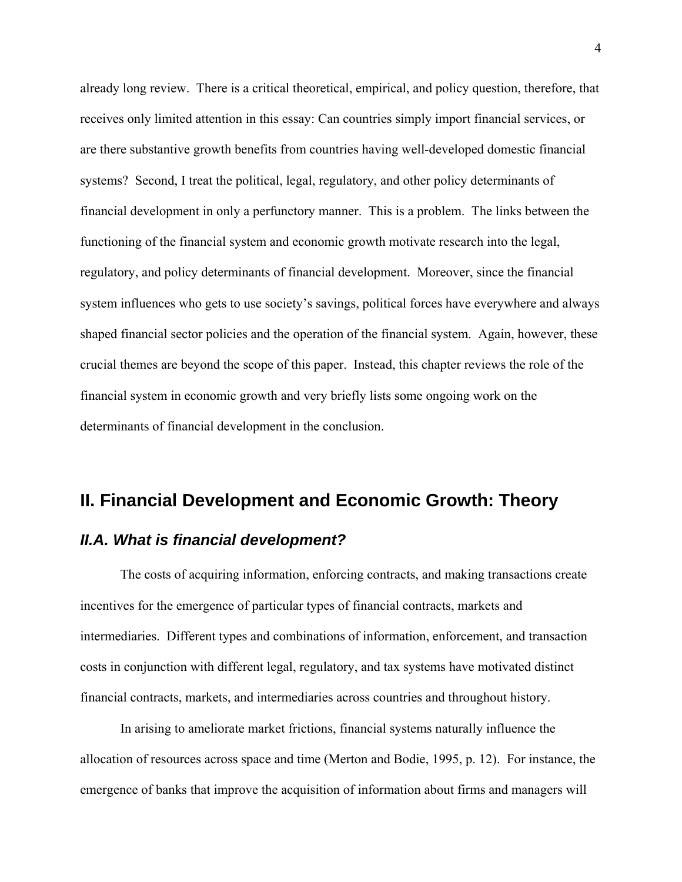already long review. There is a critical theoretical, empirical, and policy question, therefore, that receives only limited attention in this essay: Can countries simply import financial services, or are there substantive growth benefits from countries having well-developed domestic financial systems? Second, I treat the political, legal, regulatory, and other policy determinants of financial development in only a perfunctory manner. This is a problem. The links between the functioning of the financial system and economic growth motivate research into the legal, regulatory, and policy determinants of financial development. Moreover, since the financial system influences who gets to use society's savings, political forces have everywhere and always shaped financial sector policies and the operation of the financial system. Again, however, these crucial themes are beyond the scope of this paper. Instead, this chapter reviews the role of the financial system in economic growth and very briefly lists some ongoing work on the determinants of financial development in the conclusion.

# **II. Financial Development and Economic Growth: Theory**

#### *II.A. What is financial development?*

The costs of acquiring information, enforcing contracts, and making transactions create incentives for the emergence of particular types of financial contracts, markets and intermediaries. Different types and combinations of information, enforcement, and transaction costs in conjunction with different legal, regulatory, and tax systems have motivated distinct financial contracts, markets, and intermediaries across countries and throughout history.

In arising to ameliorate market frictions, financial systems naturally influence the allocation of resources across space and time (Merton and Bodie, 1995, p. 12). For instance, the emergence of banks that improve the acquisition of information about firms and managers will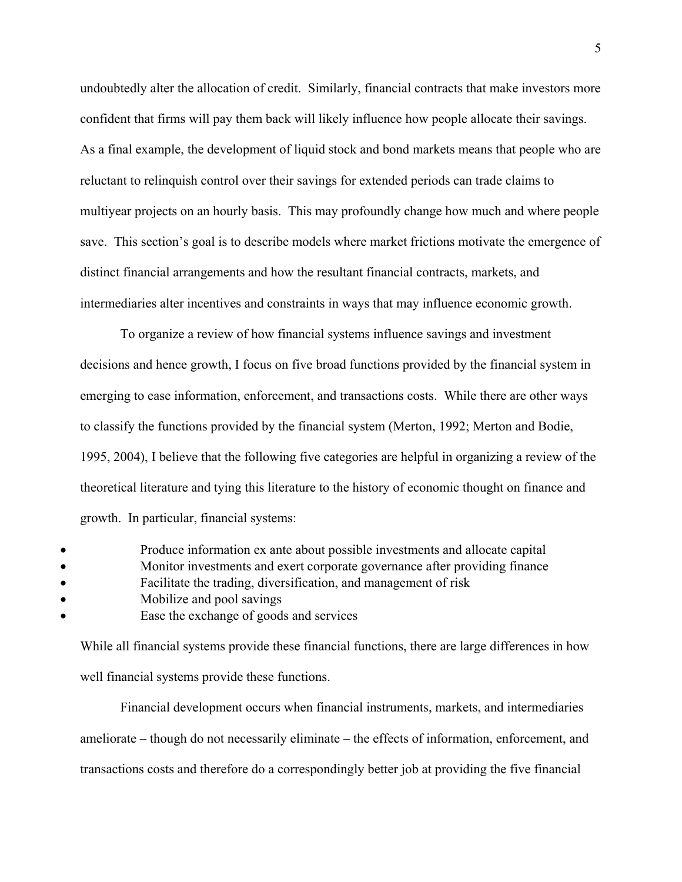undoubtedly alter the allocation of credit. Similarly, financial contracts that make investors more confident that firms will pay them back will likely influence how people allocate their savings. As a final example, the development of liquid stock and bond markets means that people who are reluctant to relinquish control over their savings for extended periods can trade claims to multiyear projects on an hourly basis. This may profoundly change how much and where people save. This section's goal is to describe models where market frictions motivate the emergence of distinct financial arrangements and how the resultant financial contracts, markets, and intermediaries alter incentives and constraints in ways that may influence economic growth.

To organize a review of how financial systems influence savings and investment decisions and hence growth, I focus on five broad functions provided by the financial system in emerging to ease information, enforcement, and transactions costs. While there are other ways to classify the functions provided by the financial system (Merton, 1992; Merton and Bodie, 1995, 2004), I believe that the following five categories are helpful in organizing a review of the theoretical literature and tying this literature to the history of economic thought on finance and growth. In particular, financial systems:

- Produce information ex ante about possible investments and allocate capital
- Monitor investments and exert corporate governance after providing finance
- Facilitate the trading, diversification, and management of risk
- Mobilize and pool savings
- Ease the exchange of goods and services

While all financial systems provide these financial functions, there are large differences in how well financial systems provide these functions.

 Financial development occurs when financial instruments, markets, and intermediaries ameliorate – though do not necessarily eliminate – the effects of information, enforcement, and transactions costs and therefore do a correspondingly better job at providing the five financial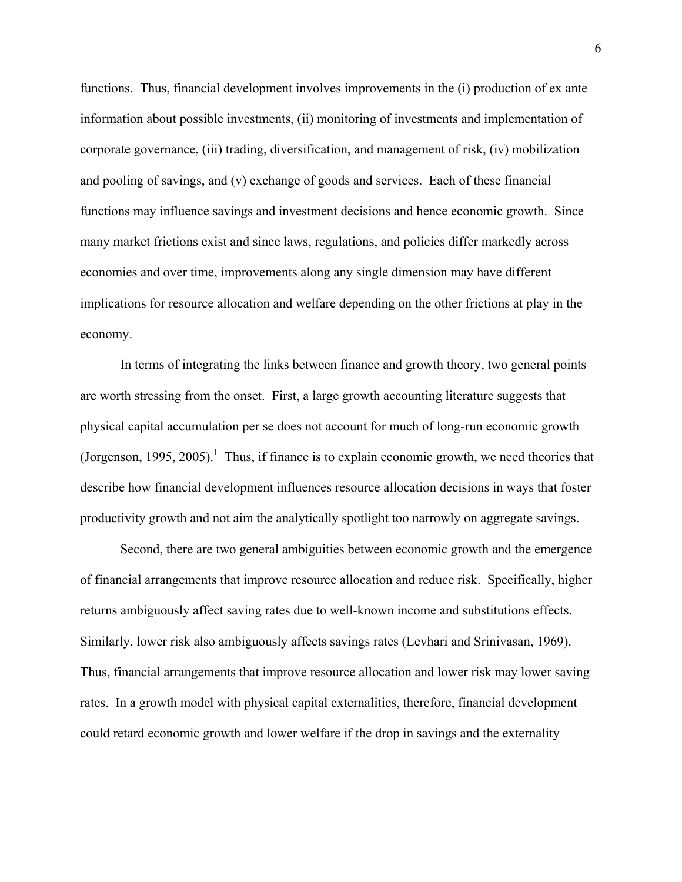functions. Thus, financial development involves improvements in the (i) production of ex ante information about possible investments, (ii) monitoring of investments and implementation of corporate governance, (iii) trading, diversification, and management of risk, (iv) mobilization and pooling of savings, and (v) exchange of goods and services. Each of these financial functions may influence savings and investment decisions and hence economic growth. Since many market frictions exist and since laws, regulations, and policies differ markedly across economies and over time, improvements along any single dimension may have different implications for resource allocation and welfare depending on the other frictions at play in the economy.

 In terms of integrating the links between finance and growth theory, two general points are worth stressing from the onset. First, a large growth accounting literature suggests that physical capital accumulation per se does not account for much of long-run economic growth (Jorgenson, 1995, 2005).<sup>1</sup> Thus, if finance is to explain economic growth, we need theories that describe how financial development influences resource allocation decisions in ways that foster productivity growth and not aim the analytically spotlight too narrowly on aggregate savings.

Second, there are two general ambiguities between economic growth and the emergence of financial arrangements that improve resource allocation and reduce risk. Specifically, higher returns ambiguously affect saving rates due to well-known income and substitutions effects. Similarly, lower risk also ambiguously affects savings rates (Levhari and Srinivasan, 1969). Thus, financial arrangements that improve resource allocation and lower risk may lower saving rates. In a growth model with physical capital externalities, therefore, financial development could retard economic growth and lower welfare if the drop in savings and the externality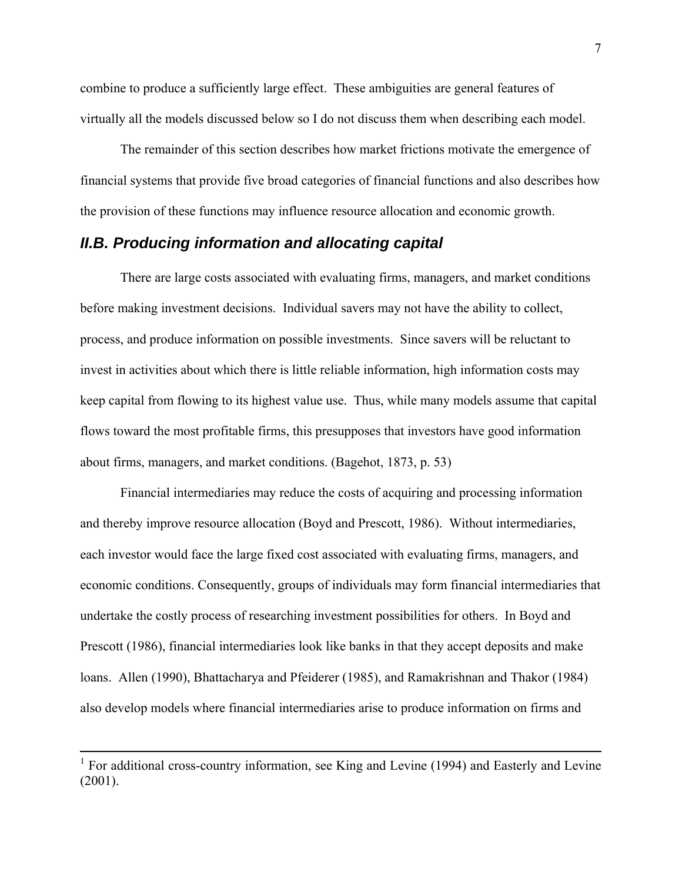combine to produce a sufficiently large effect. These ambiguities are general features of virtually all the models discussed below so I do not discuss them when describing each model.

The remainder of this section describes how market frictions motivate the emergence of financial systems that provide five broad categories of financial functions and also describes how the provision of these functions may influence resource allocation and economic growth.

#### *II.B. Producing information and allocating capital*

There are large costs associated with evaluating firms, managers, and market conditions before making investment decisions. Individual savers may not have the ability to collect, process, and produce information on possible investments. Since savers will be reluctant to invest in activities about which there is little reliable information, high information costs may keep capital from flowing to its highest value use. Thus, while many models assume that capital flows toward the most profitable firms, this presupposes that investors have good information about firms, managers, and market conditions. (Bagehot, 1873, p. 53)

Financial intermediaries may reduce the costs of acquiring and processing information and thereby improve resource allocation (Boyd and Prescott, 1986). Without intermediaries, each investor would face the large fixed cost associated with evaluating firms, managers, and economic conditions. Consequently, groups of individuals may form financial intermediaries that undertake the costly process of researching investment possibilities for others. In Boyd and Prescott (1986), financial intermediaries look like banks in that they accept deposits and make loans. Allen (1990), Bhattacharya and Pfeiderer (1985), and Ramakrishnan and Thakor (1984) also develop models where financial intermediaries arise to produce information on firms and

<sup>&</sup>lt;sup>1</sup> For additional cross-country information, see King and Levine (1994) and Easterly and Levine (2001).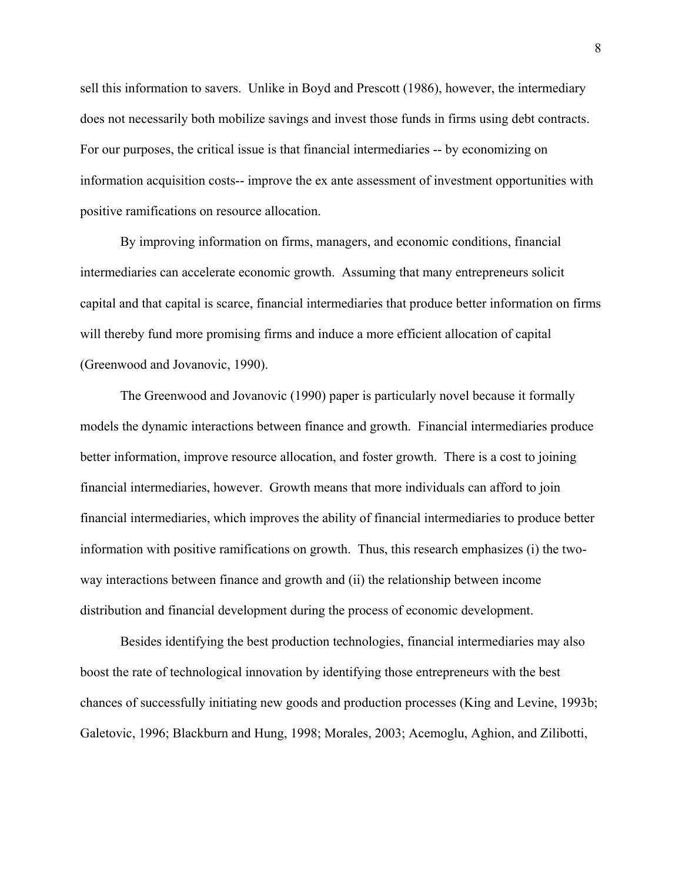sell this information to savers. Unlike in Boyd and Prescott (1986), however, the intermediary does not necessarily both mobilize savings and invest those funds in firms using debt contracts. For our purposes, the critical issue is that financial intermediaries -- by economizing on information acquisition costs-- improve the ex ante assessment of investment opportunities with positive ramifications on resource allocation.

By improving information on firms, managers, and economic conditions, financial intermediaries can accelerate economic growth. Assuming that many entrepreneurs solicit capital and that capital is scarce, financial intermediaries that produce better information on firms will thereby fund more promising firms and induce a more efficient allocation of capital (Greenwood and Jovanovic, 1990).

The Greenwood and Jovanovic (1990) paper is particularly novel because it formally models the dynamic interactions between finance and growth. Financial intermediaries produce better information, improve resource allocation, and foster growth. There is a cost to joining financial intermediaries, however. Growth means that more individuals can afford to join financial intermediaries, which improves the ability of financial intermediaries to produce better information with positive ramifications on growth. Thus, this research emphasizes (i) the twoway interactions between finance and growth and (ii) the relationship between income distribution and financial development during the process of economic development.

Besides identifying the best production technologies, financial intermediaries may also boost the rate of technological innovation by identifying those entrepreneurs with the best chances of successfully initiating new goods and production processes (King and Levine, 1993b; Galetovic, 1996; Blackburn and Hung, 1998; Morales, 2003; Acemoglu, Aghion, and Zilibotti,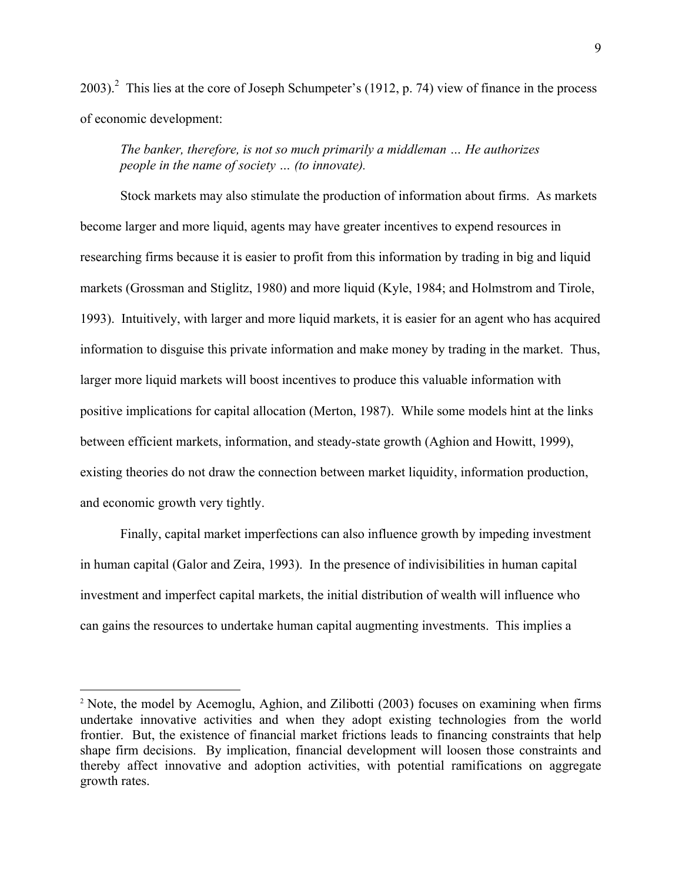$2003$ ).<sup>2</sup> This lies at the core of Joseph Schumpeter's (1912, p. 74) view of finance in the process of economic development:

*The banker, therefore, is not so much primarily a middleman … He authorizes people in the name of society … (to innovate).*

 Stock markets may also stimulate the production of information about firms. As markets become larger and more liquid, agents may have greater incentives to expend resources in researching firms because it is easier to profit from this information by trading in big and liquid markets (Grossman and Stiglitz, 1980) and more liquid (Kyle, 1984; and Holmstrom and Tirole, 1993). Intuitively, with larger and more liquid markets, it is easier for an agent who has acquired information to disguise this private information and make money by trading in the market. Thus, larger more liquid markets will boost incentives to produce this valuable information with positive implications for capital allocation (Merton, 1987). While some models hint at the links between efficient markets, information, and steady-state growth (Aghion and Howitt, 1999), existing theories do not draw the connection between market liquidity, information production, and economic growth very tightly.

 Finally, capital market imperfections can also influence growth by impeding investment in human capital (Galor and Zeira, 1993). In the presence of indivisibilities in human capital investment and imperfect capital markets, the initial distribution of wealth will influence who can gains the resources to undertake human capital augmenting investments. This implies a

 $\overline{a}$ 

<sup>2</sup> Note, the model by Acemoglu, Aghion, and Zilibotti (2003) focuses on examining when firms undertake innovative activities and when they adopt existing technologies from the world frontier. But, the existence of financial market frictions leads to financing constraints that help shape firm decisions. By implication, financial development will loosen those constraints and thereby affect innovative and adoption activities, with potential ramifications on aggregate growth rates.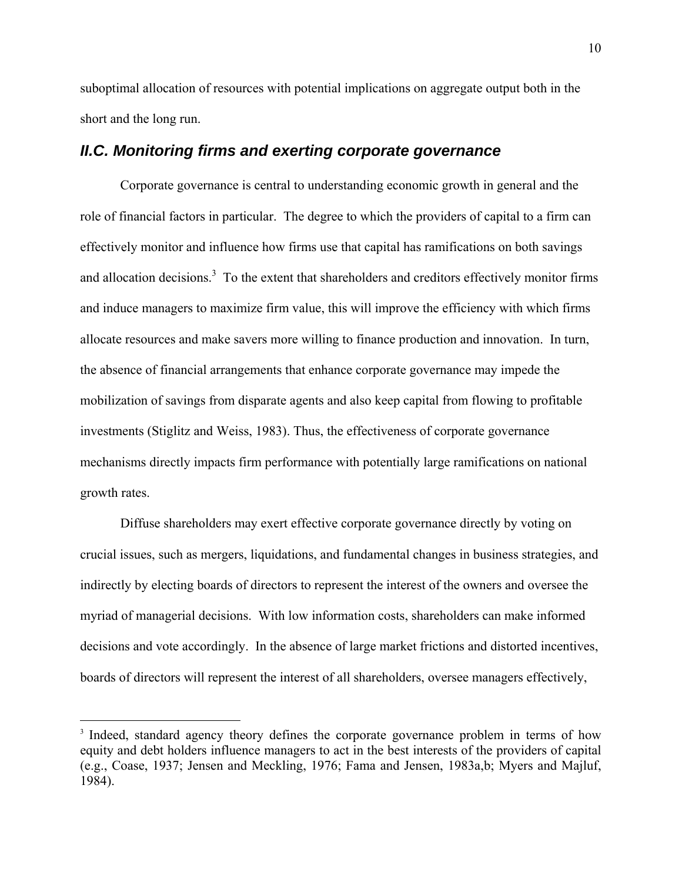suboptimal allocation of resources with potential implications on aggregate output both in the short and the long run.

#### *II.C. Monitoring firms and exerting corporate governance*

 Corporate governance is central to understanding economic growth in general and the role of financial factors in particular. The degree to which the providers of capital to a firm can effectively monitor and influence how firms use that capital has ramifications on both savings and allocation decisions.<sup>3</sup> To the extent that shareholders and creditors effectively monitor firms and induce managers to maximize firm value, this will improve the efficiency with which firms allocate resources and make savers more willing to finance production and innovation. In turn, the absence of financial arrangements that enhance corporate governance may impede the mobilization of savings from disparate agents and also keep capital from flowing to profitable investments (Stiglitz and Weiss, 1983). Thus, the effectiveness of corporate governance mechanisms directly impacts firm performance with potentially large ramifications on national growth rates.

 Diffuse shareholders may exert effective corporate governance directly by voting on crucial issues, such as mergers, liquidations, and fundamental changes in business strategies, and indirectly by electing boards of directors to represent the interest of the owners and oversee the myriad of managerial decisions. With low information costs, shareholders can make informed decisions and vote accordingly. In the absence of large market frictions and distorted incentives, boards of directors will represent the interest of all shareholders, oversee managers effectively,

1

<sup>&</sup>lt;sup>3</sup> Indeed, standard agency theory defines the corporate governance problem in terms of how equity and debt holders influence managers to act in the best interests of the providers of capital (e.g., Coase, 1937; Jensen and Meckling, 1976; Fama and Jensen, 1983a,b; Myers and Majluf, 1984).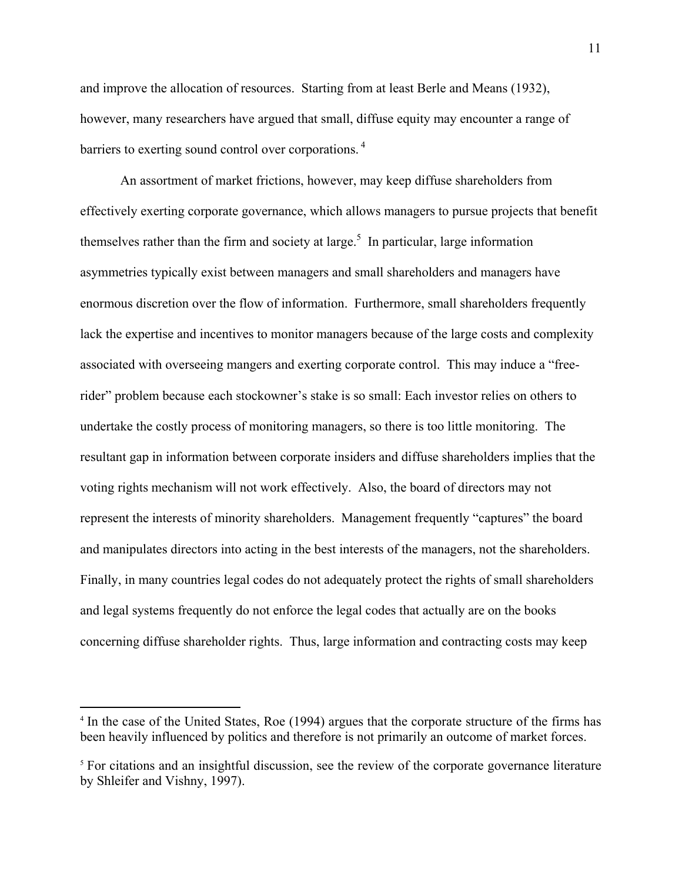and improve the allocation of resources. Starting from at least Berle and Means (1932), however, many researchers have argued that small, diffuse equity may encounter a range of barriers to exerting sound control over corporations. 4

An assortment of market frictions, however, may keep diffuse shareholders from effectively exerting corporate governance, which allows managers to pursue projects that benefit themselves rather than the firm and society at large.<sup>5</sup> In particular, large information asymmetries typically exist between managers and small shareholders and managers have enormous discretion over the flow of information. Furthermore, small shareholders frequently lack the expertise and incentives to monitor managers because of the large costs and complexity associated with overseeing mangers and exerting corporate control. This may induce a "freerider" problem because each stockowner's stake is so small: Each investor relies on others to undertake the costly process of monitoring managers, so there is too little monitoring. The resultant gap in information between corporate insiders and diffuse shareholders implies that the voting rights mechanism will not work effectively. Also, the board of directors may not represent the interests of minority shareholders. Management frequently "captures" the board and manipulates directors into acting in the best interests of the managers, not the shareholders. Finally, in many countries legal codes do not adequately protect the rights of small shareholders and legal systems frequently do not enforce the legal codes that actually are on the books concerning diffuse shareholder rights. Thus, large information and contracting costs may keep

 $\overline{a}$ 

<sup>&</sup>lt;sup>4</sup> In the case of the United States, Roe (1994) argues that the corporate structure of the firms has been heavily influenced by politics and therefore is not primarily an outcome of market forces.

<sup>&</sup>lt;sup>5</sup> For citations and an insightful discussion, see the review of the corporate governance literature by Shleifer and Vishny, 1997).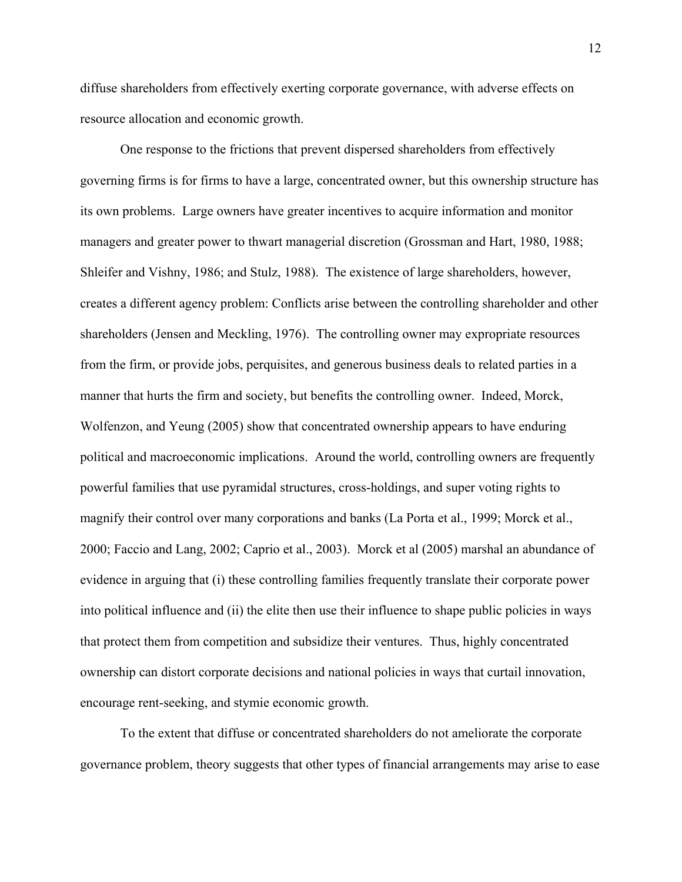diffuse shareholders from effectively exerting corporate governance, with adverse effects on resource allocation and economic growth.

One response to the frictions that prevent dispersed shareholders from effectively governing firms is for firms to have a large, concentrated owner, but this ownership structure has its own problems. Large owners have greater incentives to acquire information and monitor managers and greater power to thwart managerial discretion (Grossman and Hart, 1980, 1988; Shleifer and Vishny, 1986; and Stulz, 1988). The existence of large shareholders, however, creates a different agency problem: Conflicts arise between the controlling shareholder and other shareholders (Jensen and Meckling, 1976). The controlling owner may expropriate resources from the firm, or provide jobs, perquisites, and generous business deals to related parties in a manner that hurts the firm and society, but benefits the controlling owner. Indeed, Morck, Wolfenzon, and Yeung (2005) show that concentrated ownership appears to have enduring political and macroeconomic implications. Around the world, controlling owners are frequently powerful families that use pyramidal structures, cross-holdings, and super voting rights to magnify their control over many corporations and banks (La Porta et al., 1999; Morck et al., 2000; Faccio and Lang, 2002; Caprio et al., 2003). Morck et al (2005) marshal an abundance of evidence in arguing that (i) these controlling families frequently translate their corporate power into political influence and (ii) the elite then use their influence to shape public policies in ways that protect them from competition and subsidize their ventures. Thus, highly concentrated ownership can distort corporate decisions and national policies in ways that curtail innovation, encourage rent-seeking, and stymie economic growth.

To the extent that diffuse or concentrated shareholders do not ameliorate the corporate governance problem, theory suggests that other types of financial arrangements may arise to ease

12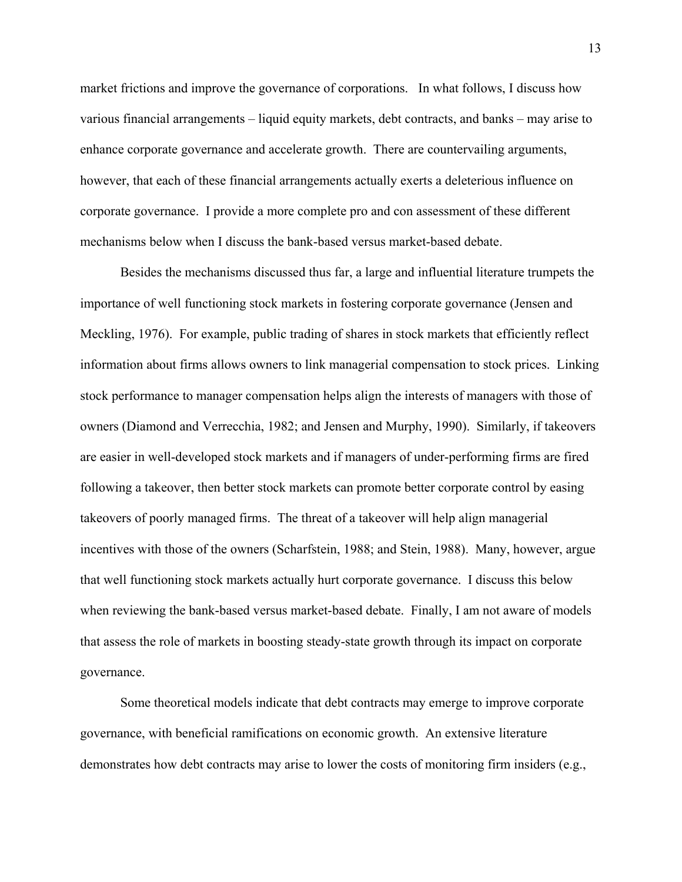market frictions and improve the governance of corporations. In what follows, I discuss how various financial arrangements – liquid equity markets, debt contracts, and banks – may arise to enhance corporate governance and accelerate growth. There are countervailing arguments, however, that each of these financial arrangements actually exerts a deleterious influence on corporate governance. I provide a more complete pro and con assessment of these different mechanisms below when I discuss the bank-based versus market-based debate.

 Besides the mechanisms discussed thus far, a large and influential literature trumpets the importance of well functioning stock markets in fostering corporate governance (Jensen and Meckling, 1976). For example, public trading of shares in stock markets that efficiently reflect information about firms allows owners to link managerial compensation to stock prices. Linking stock performance to manager compensation helps align the interests of managers with those of owners (Diamond and Verrecchia, 1982; and Jensen and Murphy, 1990). Similarly, if takeovers are easier in well-developed stock markets and if managers of under-performing firms are fired following a takeover, then better stock markets can promote better corporate control by easing takeovers of poorly managed firms. The threat of a takeover will help align managerial incentives with those of the owners (Scharfstein, 1988; and Stein, 1988). Many, however, argue that well functioning stock markets actually hurt corporate governance. I discuss this below when reviewing the bank-based versus market-based debate. Finally, I am not aware of models that assess the role of markets in boosting steady-state growth through its impact on corporate governance.

Some theoretical models indicate that debt contracts may emerge to improve corporate governance, with beneficial ramifications on economic growth. An extensive literature demonstrates how debt contracts may arise to lower the costs of monitoring firm insiders (e.g.,

13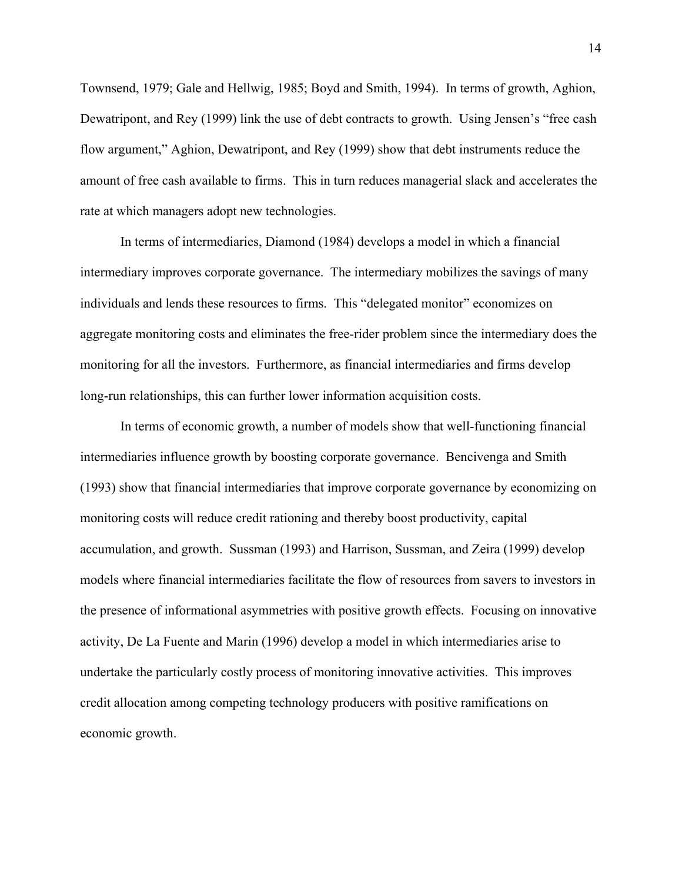Townsend, 1979; Gale and Hellwig, 1985; Boyd and Smith, 1994). In terms of growth, Aghion, Dewatripont, and Rey (1999) link the use of debt contracts to growth. Using Jensen's "free cash flow argument," Aghion, Dewatripont, and Rey (1999) show that debt instruments reduce the amount of free cash available to firms. This in turn reduces managerial slack and accelerates the rate at which managers adopt new technologies.

In terms of intermediaries, Diamond (1984) develops a model in which a financial intermediary improves corporate governance. The intermediary mobilizes the savings of many individuals and lends these resources to firms. This "delegated monitor" economizes on aggregate monitoring costs and eliminates the free-rider problem since the intermediary does the monitoring for all the investors. Furthermore, as financial intermediaries and firms develop long-run relationships, this can further lower information acquisition costs.

In terms of economic growth, a number of models show that well-functioning financial intermediaries influence growth by boosting corporate governance. Bencivenga and Smith (1993) show that financial intermediaries that improve corporate governance by economizing on monitoring costs will reduce credit rationing and thereby boost productivity, capital accumulation, and growth. Sussman (1993) and Harrison, Sussman, and Zeira (1999) develop models where financial intermediaries facilitate the flow of resources from savers to investors in the presence of informational asymmetries with positive growth effects. Focusing on innovative activity, De La Fuente and Marin (1996) develop a model in which intermediaries arise to undertake the particularly costly process of monitoring innovative activities. This improves credit allocation among competing technology producers with positive ramifications on economic growth.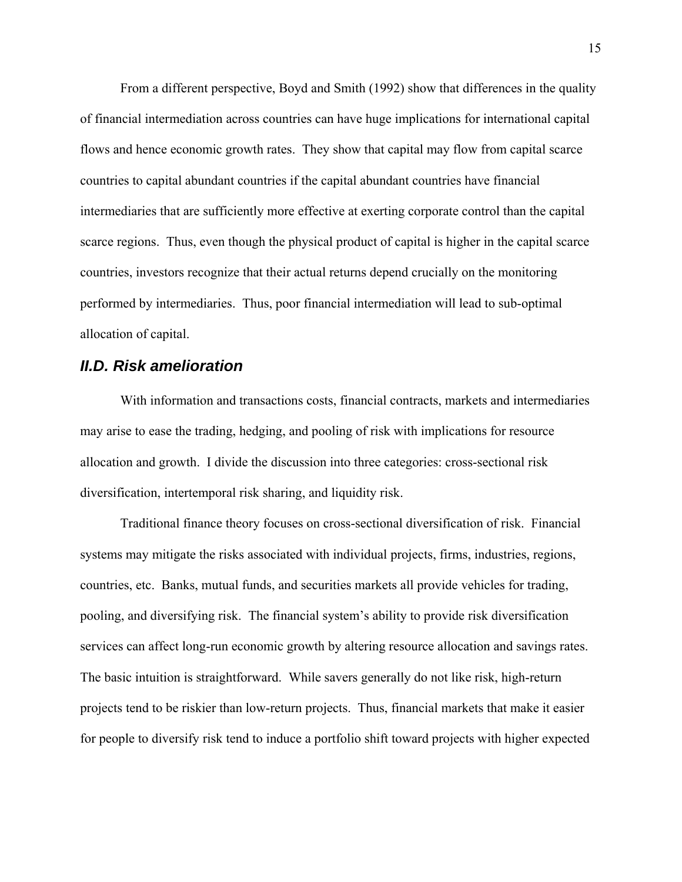From a different perspective, Boyd and Smith (1992) show that differences in the quality of financial intermediation across countries can have huge implications for international capital flows and hence economic growth rates. They show that capital may flow from capital scarce countries to capital abundant countries if the capital abundant countries have financial intermediaries that are sufficiently more effective at exerting corporate control than the capital scarce regions. Thus, even though the physical product of capital is higher in the capital scarce countries, investors recognize that their actual returns depend crucially on the monitoring performed by intermediaries. Thus, poor financial intermediation will lead to sub-optimal allocation of capital.

#### *II.D. Risk amelioration*

 With information and transactions costs, financial contracts, markets and intermediaries may arise to ease the trading, hedging, and pooling of risk with implications for resource allocation and growth. I divide the discussion into three categories: cross-sectional risk diversification, intertemporal risk sharing, and liquidity risk.

 Traditional finance theory focuses on cross-sectional diversification of risk. Financial systems may mitigate the risks associated with individual projects, firms, industries, regions, countries, etc. Banks, mutual funds, and securities markets all provide vehicles for trading, pooling, and diversifying risk. The financial system's ability to provide risk diversification services can affect long-run economic growth by altering resource allocation and savings rates. The basic intuition is straightforward. While savers generally do not like risk, high-return projects tend to be riskier than low-return projects. Thus, financial markets that make it easier for people to diversify risk tend to induce a portfolio shift toward projects with higher expected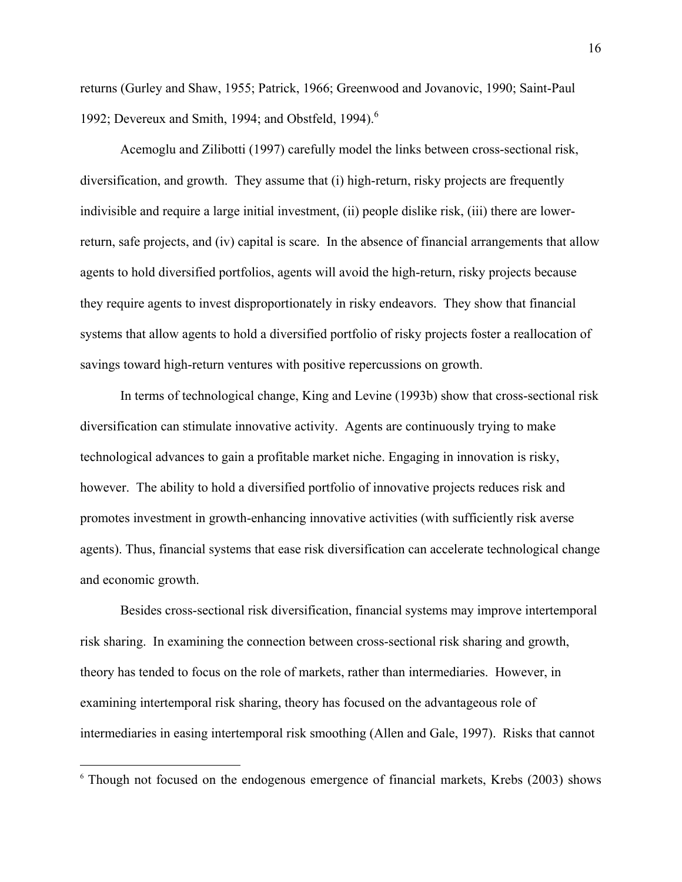returns (Gurley and Shaw, 1955; Patrick, 1966; Greenwood and Jovanovic, 1990; Saint-Paul 1992; Devereux and Smith, 1994; and Obstfeld, 1994).<sup>6</sup>

 Acemoglu and Zilibotti (1997) carefully model the links between cross-sectional risk, diversification, and growth. They assume that (i) high-return, risky projects are frequently indivisible and require a large initial investment, (ii) people dislike risk, (iii) there are lowerreturn, safe projects, and (iv) capital is scare. In the absence of financial arrangements that allow agents to hold diversified portfolios, agents will avoid the high-return, risky projects because they require agents to invest disproportionately in risky endeavors. They show that financial systems that allow agents to hold a diversified portfolio of risky projects foster a reallocation of savings toward high-return ventures with positive repercussions on growth.

In terms of technological change, King and Levine (1993b) show that cross-sectional risk diversification can stimulate innovative activity. Agents are continuously trying to make technological advances to gain a profitable market niche. Engaging in innovation is risky, however. The ability to hold a diversified portfolio of innovative projects reduces risk and promotes investment in growth-enhancing innovative activities (with sufficiently risk averse agents). Thus, financial systems that ease risk diversification can accelerate technological change and economic growth.

Besides cross-sectional risk diversification, financial systems may improve intertemporal risk sharing. In examining the connection between cross-sectional risk sharing and growth, theory has tended to focus on the role of markets, rather than intermediaries. However, in examining intertemporal risk sharing, theory has focused on the advantageous role of intermediaries in easing intertemporal risk smoothing (Allen and Gale, 1997). Risks that cannot

 $\overline{a}$ 

<sup>6</sup> Though not focused on the endogenous emergence of financial markets, Krebs (2003) shows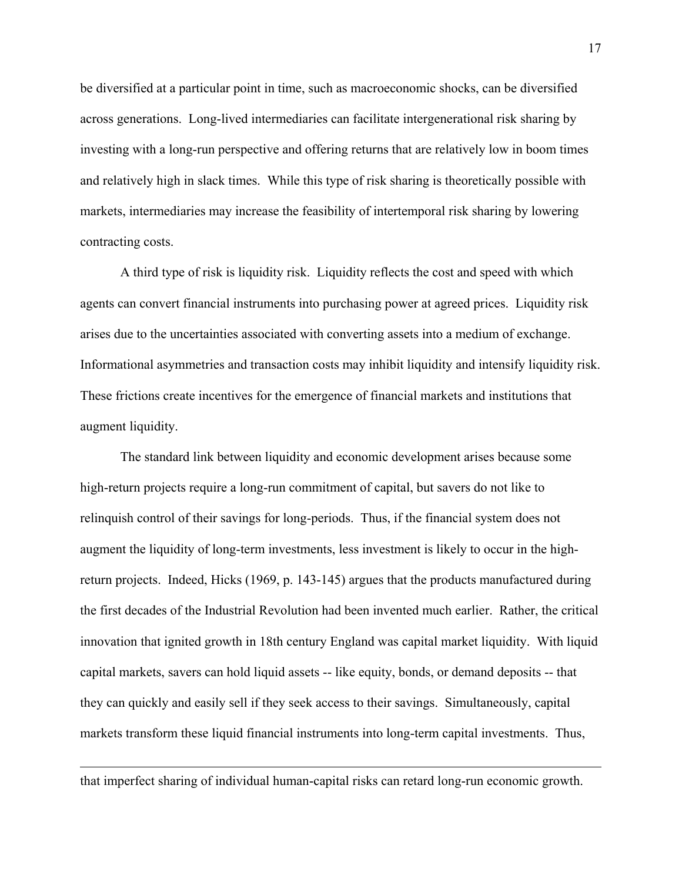be diversified at a particular point in time, such as macroeconomic shocks, can be diversified across generations. Long-lived intermediaries can facilitate intergenerational risk sharing by investing with a long-run perspective and offering returns that are relatively low in boom times and relatively high in slack times. While this type of risk sharing is theoretically possible with markets, intermediaries may increase the feasibility of intertemporal risk sharing by lowering contracting costs.

A third type of risk is liquidity risk. Liquidity reflects the cost and speed with which agents can convert financial instruments into purchasing power at agreed prices. Liquidity risk arises due to the uncertainties associated with converting assets into a medium of exchange. Informational asymmetries and transaction costs may inhibit liquidity and intensify liquidity risk. These frictions create incentives for the emergence of financial markets and institutions that augment liquidity.

The standard link between liquidity and economic development arises because some high-return projects require a long-run commitment of capital, but savers do not like to relinquish control of their savings for long-periods. Thus, if the financial system does not augment the liquidity of long-term investments, less investment is likely to occur in the highreturn projects. Indeed, Hicks (1969, p. 143-145) argues that the products manufactured during the first decades of the Industrial Revolution had been invented much earlier. Rather, the critical innovation that ignited growth in 18th century England was capital market liquidity. With liquid capital markets, savers can hold liquid assets -- like equity, bonds, or demand deposits -- that they can quickly and easily sell if they seek access to their savings. Simultaneously, capital markets transform these liquid financial instruments into long-term capital investments. Thus,

that imperfect sharing of individual human-capital risks can retard long-run economic growth.

 $\overline{a}$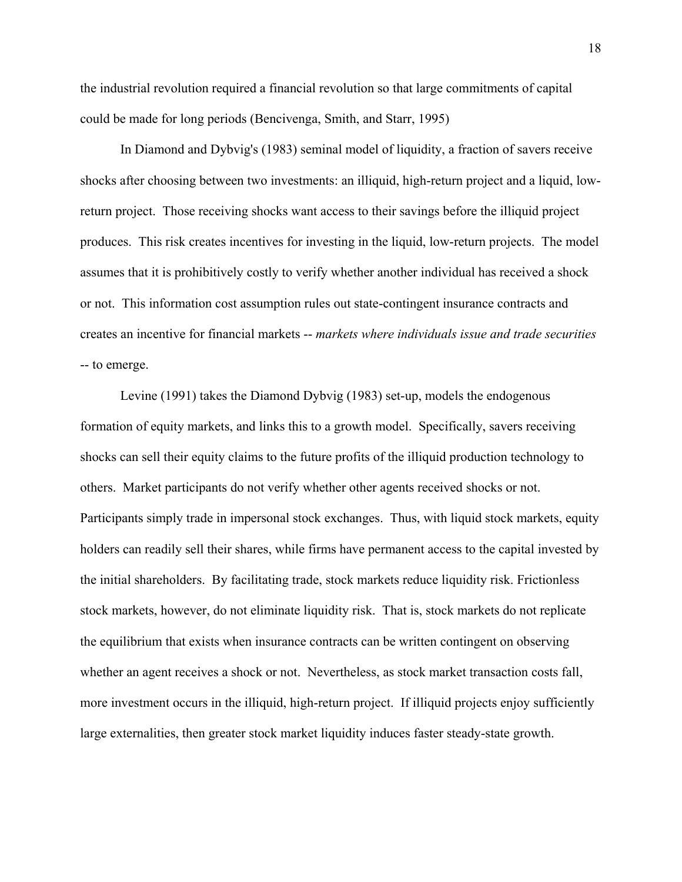the industrial revolution required a financial revolution so that large commitments of capital could be made for long periods (Bencivenga, Smith, and Starr, 1995)

In Diamond and Dybvig's (1983) seminal model of liquidity, a fraction of savers receive shocks after choosing between two investments: an illiquid, high-return project and a liquid, lowreturn project. Those receiving shocks want access to their savings before the illiquid project produces. This risk creates incentives for investing in the liquid, low-return projects. The model assumes that it is prohibitively costly to verify whether another individual has received a shock or not. This information cost assumption rules out state-contingent insurance contracts and creates an incentive for financial markets -- *markets where individuals issue and trade securities* -- to emerge.

Levine (1991) takes the Diamond Dybvig (1983) set-up, models the endogenous formation of equity markets, and links this to a growth model. Specifically, savers receiving shocks can sell their equity claims to the future profits of the illiquid production technology to others. Market participants do not verify whether other agents received shocks or not. Participants simply trade in impersonal stock exchanges. Thus, with liquid stock markets, equity holders can readily sell their shares, while firms have permanent access to the capital invested by the initial shareholders. By facilitating trade, stock markets reduce liquidity risk. Frictionless stock markets, however, do not eliminate liquidity risk. That is, stock markets do not replicate the equilibrium that exists when insurance contracts can be written contingent on observing whether an agent receives a shock or not. Nevertheless, as stock market transaction costs fall, more investment occurs in the illiquid, high-return project. If illiquid projects enjoy sufficiently large externalities, then greater stock market liquidity induces faster steady-state growth.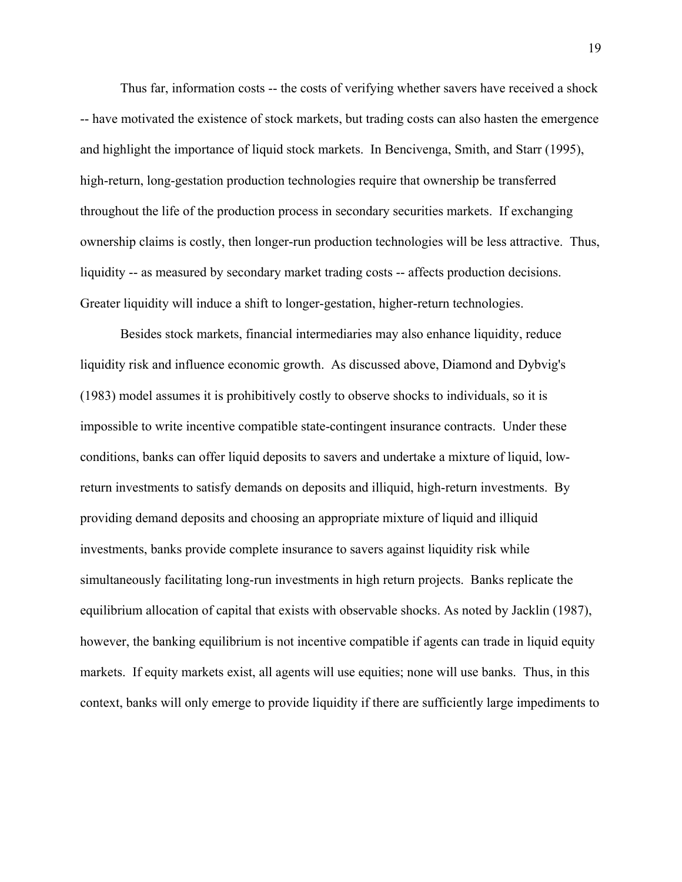Thus far, information costs -- the costs of verifying whether savers have received a shock -- have motivated the existence of stock markets, but trading costs can also hasten the emergence and highlight the importance of liquid stock markets. In Bencivenga, Smith, and Starr (1995), high-return, long-gestation production technologies require that ownership be transferred throughout the life of the production process in secondary securities markets. If exchanging ownership claims is costly, then longer-run production technologies will be less attractive. Thus, liquidity -- as measured by secondary market trading costs -- affects production decisions. Greater liquidity will induce a shift to longer-gestation, higher-return technologies.

Besides stock markets, financial intermediaries may also enhance liquidity, reduce liquidity risk and influence economic growth. As discussed above, Diamond and Dybvig's (1983) model assumes it is prohibitively costly to observe shocks to individuals, so it is impossible to write incentive compatible state-contingent insurance contracts. Under these conditions, banks can offer liquid deposits to savers and undertake a mixture of liquid, lowreturn investments to satisfy demands on deposits and illiquid, high-return investments. By providing demand deposits and choosing an appropriate mixture of liquid and illiquid investments, banks provide complete insurance to savers against liquidity risk while simultaneously facilitating long-run investments in high return projects. Banks replicate the equilibrium allocation of capital that exists with observable shocks. As noted by Jacklin (1987), however, the banking equilibrium is not incentive compatible if agents can trade in liquid equity markets. If equity markets exist, all agents will use equities; none will use banks. Thus, in this context, banks will only emerge to provide liquidity if there are sufficiently large impediments to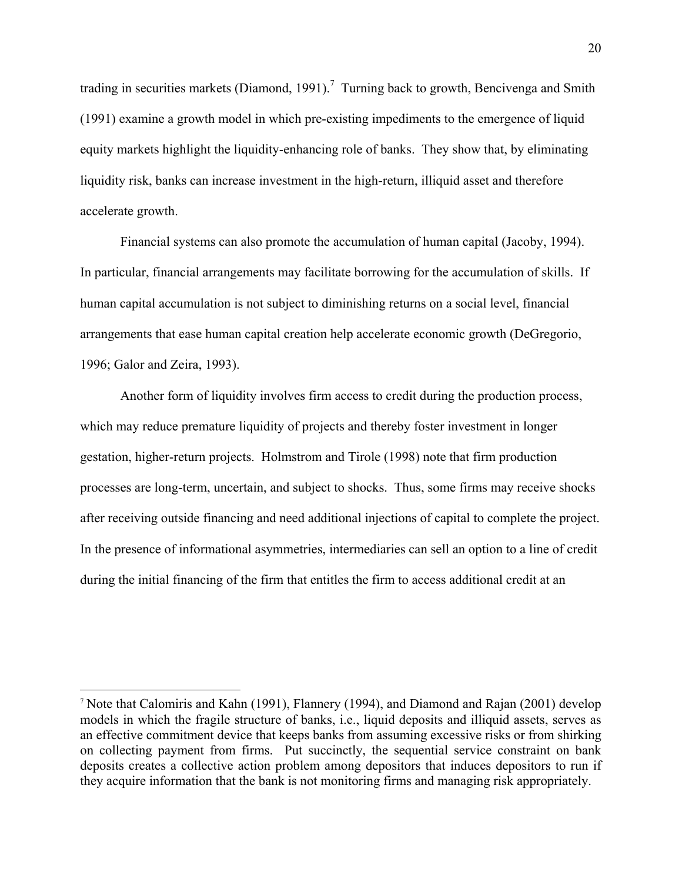trading in securities markets (Diamond, 1991).<sup>7</sup> Turning back to growth, Bencivenga and Smith (1991) examine a growth model in which pre-existing impediments to the emergence of liquid equity markets highlight the liquidity-enhancing role of banks. They show that, by eliminating liquidity risk, banks can increase investment in the high-return, illiquid asset and therefore accelerate growth.

Financial systems can also promote the accumulation of human capital (Jacoby, 1994). In particular, financial arrangements may facilitate borrowing for the accumulation of skills. If human capital accumulation is not subject to diminishing returns on a social level, financial arrangements that ease human capital creation help accelerate economic growth (DeGregorio, 1996; Galor and Zeira, 1993).

Another form of liquidity involves firm access to credit during the production process, which may reduce premature liquidity of projects and thereby foster investment in longer gestation, higher-return projects. Holmstrom and Tirole (1998) note that firm production processes are long-term, uncertain, and subject to shocks. Thus, some firms may receive shocks after receiving outside financing and need additional injections of capital to complete the project. In the presence of informational asymmetries, intermediaries can sell an option to a line of credit during the initial financing of the firm that entitles the firm to access additional credit at an

 $\overline{a}$ 

<sup>7</sup> Note that Calomiris and Kahn (1991), Flannery (1994), and Diamond and Rajan (2001) develop models in which the fragile structure of banks, i.e., liquid deposits and illiquid assets, serves as an effective commitment device that keeps banks from assuming excessive risks or from shirking on collecting payment from firms. Put succinctly, the sequential service constraint on bank deposits creates a collective action problem among depositors that induces depositors to run if they acquire information that the bank is not monitoring firms and managing risk appropriately.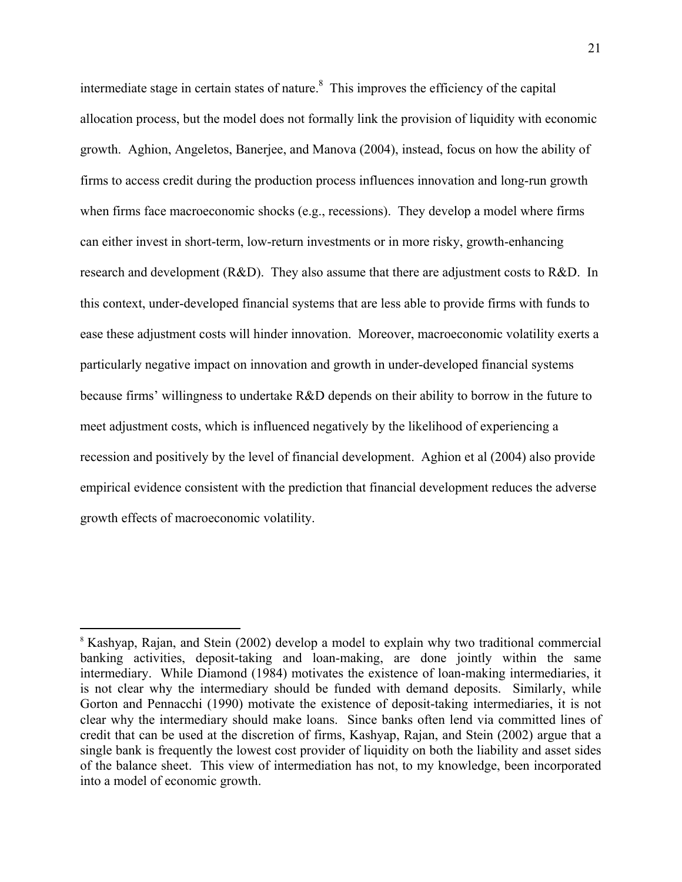intermediate stage in certain states of nature.<sup>8</sup> This improves the efficiency of the capital allocation process, but the model does not formally link the provision of liquidity with economic growth. Aghion, Angeletos, Banerjee, and Manova (2004), instead, focus on how the ability of firms to access credit during the production process influences innovation and long-run growth when firms face macroeconomic shocks (e.g., recessions). They develop a model where firms can either invest in short-term, low-return investments or in more risky, growth-enhancing research and development (R&D). They also assume that there are adjustment costs to R&D. In this context, under-developed financial systems that are less able to provide firms with funds to ease these adjustment costs will hinder innovation. Moreover, macroeconomic volatility exerts a particularly negative impact on innovation and growth in under-developed financial systems because firms' willingness to undertake R&D depends on their ability to borrow in the future to meet adjustment costs, which is influenced negatively by the likelihood of experiencing a recession and positively by the level of financial development. Aghion et al (2004) also provide empirical evidence consistent with the prediction that financial development reduces the adverse growth effects of macroeconomic volatility.

1

<sup>8</sup> Kashyap, Rajan, and Stein (2002) develop a model to explain why two traditional commercial banking activities, deposit-taking and loan-making, are done jointly within the same intermediary. While Diamond (1984) motivates the existence of loan-making intermediaries, it is not clear why the intermediary should be funded with demand deposits. Similarly, while Gorton and Pennacchi (1990) motivate the existence of deposit-taking intermediaries, it is not clear why the intermediary should make loans. Since banks often lend via committed lines of credit that can be used at the discretion of firms, Kashyap, Rajan, and Stein (2002) argue that a single bank is frequently the lowest cost provider of liquidity on both the liability and asset sides of the balance sheet. This view of intermediation has not, to my knowledge, been incorporated into a model of economic growth.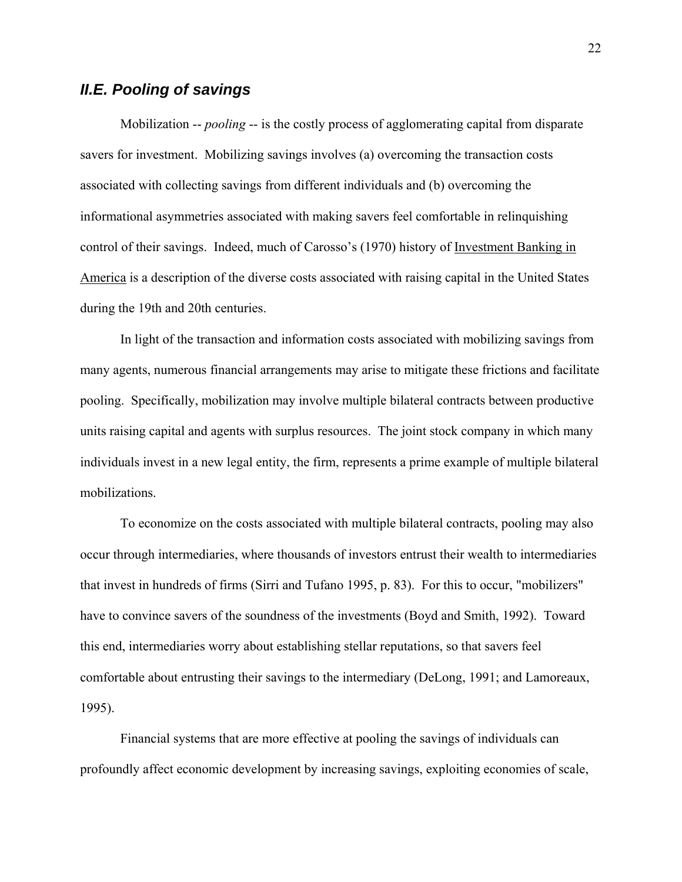## *II.E. Pooling of savings*

Mobilization -- *pooling* -- is the costly process of agglomerating capital from disparate savers for investment. Mobilizing savings involves (a) overcoming the transaction costs associated with collecting savings from different individuals and (b) overcoming the informational asymmetries associated with making savers feel comfortable in relinquishing control of their savings. Indeed, much of Carosso's (1970) history of Investment Banking in America is a description of the diverse costs associated with raising capital in the United States during the 19th and 20th centuries.

In light of the transaction and information costs associated with mobilizing savings from many agents, numerous financial arrangements may arise to mitigate these frictions and facilitate pooling. Specifically, mobilization may involve multiple bilateral contracts between productive units raising capital and agents with surplus resources. The joint stock company in which many individuals invest in a new legal entity, the firm, represents a prime example of multiple bilateral mobilizations.

To economize on the costs associated with multiple bilateral contracts, pooling may also occur through intermediaries, where thousands of investors entrust their wealth to intermediaries that invest in hundreds of firms (Sirri and Tufano 1995, p. 83). For this to occur, "mobilizers" have to convince savers of the soundness of the investments (Boyd and Smith, 1992). Toward this end, intermediaries worry about establishing stellar reputations, so that savers feel comfortable about entrusting their savings to the intermediary (DeLong, 1991; and Lamoreaux, 1995).

Financial systems that are more effective at pooling the savings of individuals can profoundly affect economic development by increasing savings, exploiting economies of scale,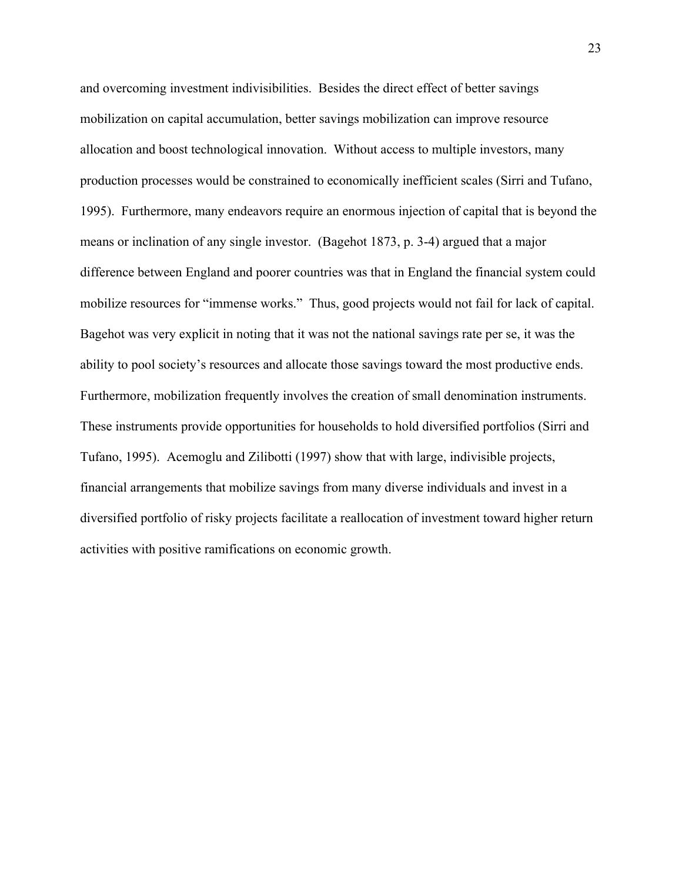and overcoming investment indivisibilities. Besides the direct effect of better savings mobilization on capital accumulation, better savings mobilization can improve resource allocation and boost technological innovation. Without access to multiple investors, many production processes would be constrained to economically inefficient scales (Sirri and Tufano, 1995). Furthermore, many endeavors require an enormous injection of capital that is beyond the means or inclination of any single investor. (Bagehot 1873, p. 3-4) argued that a major difference between England and poorer countries was that in England the financial system could mobilize resources for "immense works." Thus, good projects would not fail for lack of capital. Bagehot was very explicit in noting that it was not the national savings rate per se, it was the ability to pool society's resources and allocate those savings toward the most productive ends. Furthermore, mobilization frequently involves the creation of small denomination instruments. These instruments provide opportunities for households to hold diversified portfolios (Sirri and Tufano, 1995). Acemoglu and Zilibotti (1997) show that with large, indivisible projects, financial arrangements that mobilize savings from many diverse individuals and invest in a diversified portfolio of risky projects facilitate a reallocation of investment toward higher return activities with positive ramifications on economic growth.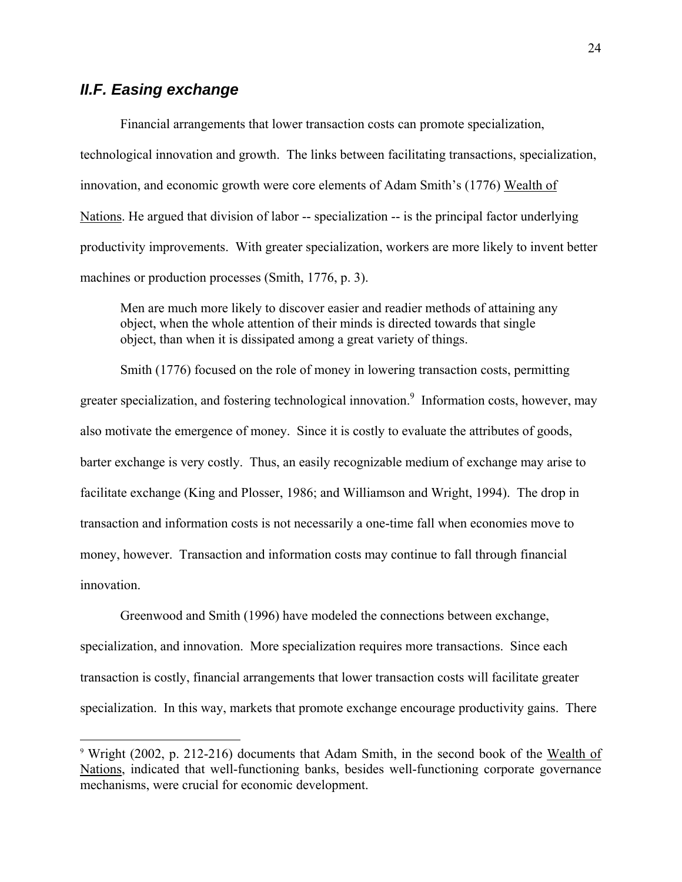## *II.F. Easing exchange*

 $\overline{a}$ 

 Financial arrangements that lower transaction costs can promote specialization, technological innovation and growth. The links between facilitating transactions, specialization, innovation, and economic growth were core elements of Adam Smith's (1776) Wealth of Nations. He argued that division of labor -- specialization -- is the principal factor underlying productivity improvements. With greater specialization, workers are more likely to invent better machines or production processes (Smith, 1776, p. 3).

Men are much more likely to discover easier and readier methods of attaining any object, when the whole attention of their minds is directed towards that single object, than when it is dissipated among a great variety of things.

Smith (1776) focused on the role of money in lowering transaction costs, permitting greater specialization, and fostering technological innovation.<sup>9</sup> Information costs, however, may also motivate the emergence of money. Since it is costly to evaluate the attributes of goods, barter exchange is very costly. Thus, an easily recognizable medium of exchange may arise to facilitate exchange (King and Plosser, 1986; and Williamson and Wright, 1994). The drop in transaction and information costs is not necessarily a one-time fall when economies move to money, however. Transaction and information costs may continue to fall through financial innovation.

Greenwood and Smith (1996) have modeled the connections between exchange, specialization, and innovation. More specialization requires more transactions. Since each transaction is costly, financial arrangements that lower transaction costs will facilitate greater specialization. In this way, markets that promote exchange encourage productivity gains. There

<sup>9</sup> Wright (2002, p. 212-216) documents that Adam Smith, in the second book of the Wealth of Nations, indicated that well-functioning banks, besides well-functioning corporate governance mechanisms, were crucial for economic development.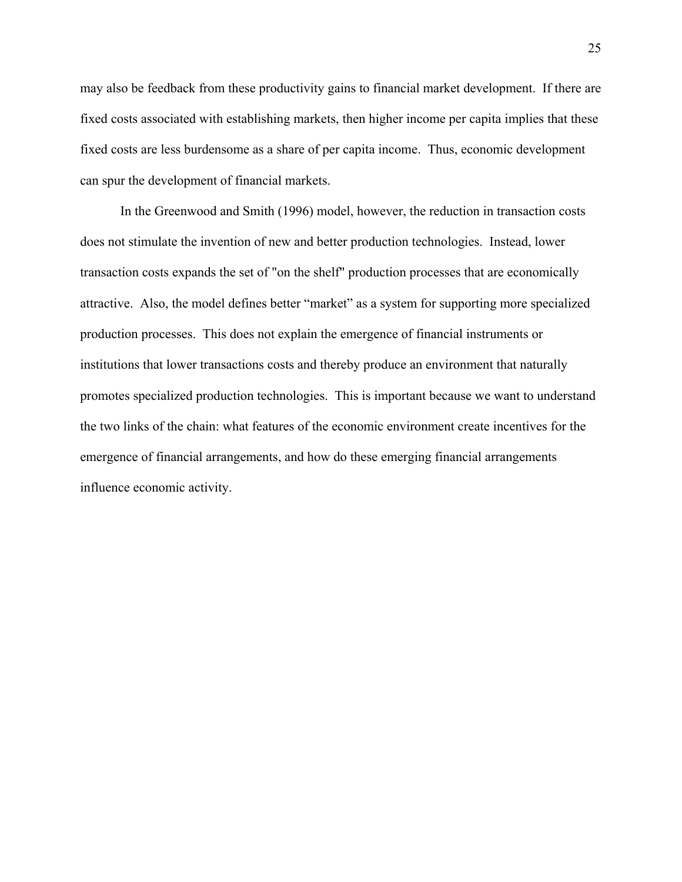may also be feedback from these productivity gains to financial market development. If there are fixed costs associated with establishing markets, then higher income per capita implies that these fixed costs are less burdensome as a share of per capita income. Thus, economic development can spur the development of financial markets.

In the Greenwood and Smith (1996) model, however, the reduction in transaction costs does not stimulate the invention of new and better production technologies. Instead, lower transaction costs expands the set of "on the shelf" production processes that are economically attractive. Also, the model defines better "market" as a system for supporting more specialized production processes. This does not explain the emergence of financial instruments or institutions that lower transactions costs and thereby produce an environment that naturally promotes specialized production technologies. This is important because we want to understand the two links of the chain: what features of the economic environment create incentives for the emergence of financial arrangements, and how do these emerging financial arrangements influence economic activity.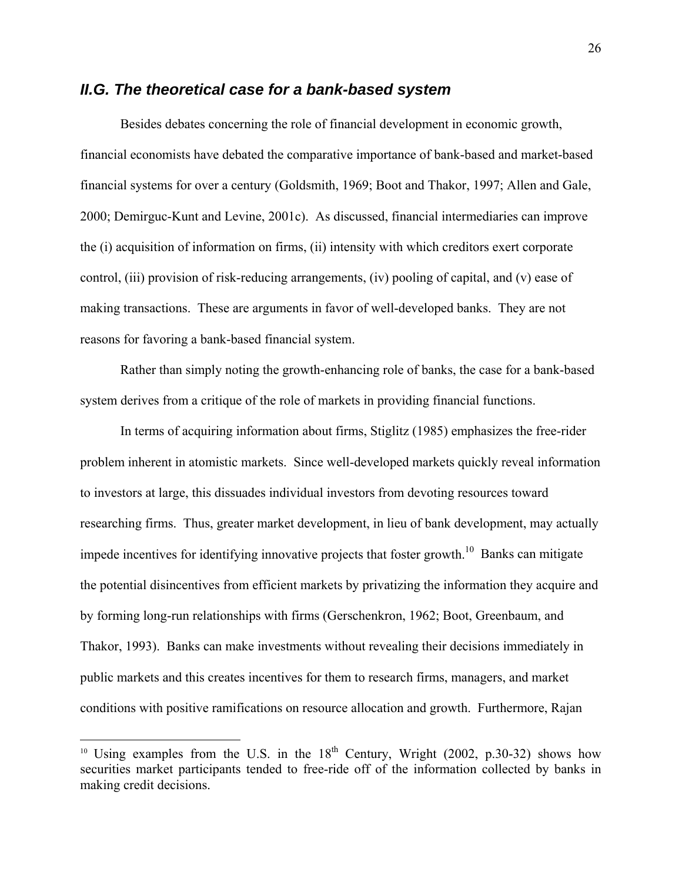#### *II.G. The theoretical case for a bank-based system*

Besides debates concerning the role of financial development in economic growth, financial economists have debated the comparative importance of bank-based and market-based financial systems for over a century (Goldsmith, 1969; Boot and Thakor, 1997; Allen and Gale, 2000; Demirguc-Kunt and Levine, 2001c). As discussed, financial intermediaries can improve the (i) acquisition of information on firms, (ii) intensity with which creditors exert corporate control, (iii) provision of risk-reducing arrangements, (iv) pooling of capital, and (v) ease of making transactions. These are arguments in favor of well-developed banks. They are not reasons for favoring a bank-based financial system.

Rather than simply noting the growth-enhancing role of banks, the case for a bank-based system derives from a critique of the role of markets in providing financial functions.

In terms of acquiring information about firms, Stiglitz (1985) emphasizes the free-rider problem inherent in atomistic markets. Since well-developed markets quickly reveal information to investors at large, this dissuades individual investors from devoting resources toward researching firms. Thus, greater market development, in lieu of bank development, may actually impede incentives for identifying innovative projects that foster growth.<sup>10</sup> Banks can mitigate the potential disincentives from efficient markets by privatizing the information they acquire and by forming long-run relationships with firms (Gerschenkron, 1962; Boot, Greenbaum, and Thakor, 1993). Banks can make investments without revealing their decisions immediately in public markets and this creates incentives for them to research firms, managers, and market conditions with positive ramifications on resource allocation and growth. Furthermore, Rajan

 $\overline{a}$ 

<sup>&</sup>lt;sup>10</sup> Using examples from the U.S. in the  $18<sup>th</sup>$  Century, Wright (2002, p.30-32) shows how securities market participants tended to free-ride off of the information collected by banks in making credit decisions.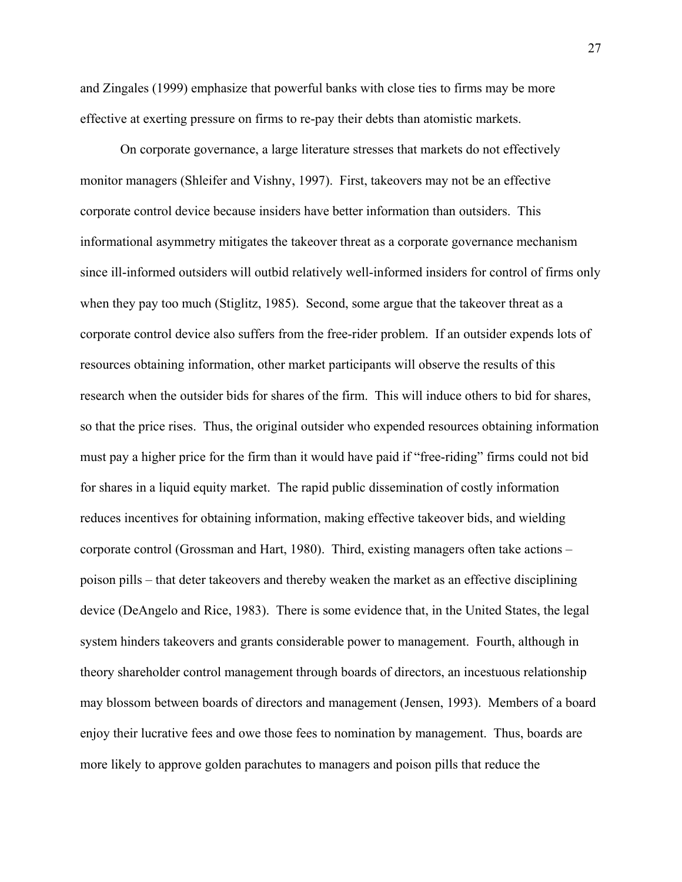and Zingales (1999) emphasize that powerful banks with close ties to firms may be more effective at exerting pressure on firms to re-pay their debts than atomistic markets.

On corporate governance, a large literature stresses that markets do not effectively monitor managers (Shleifer and Vishny, 1997). First, takeovers may not be an effective corporate control device because insiders have better information than outsiders. This informational asymmetry mitigates the takeover threat as a corporate governance mechanism since ill-informed outsiders will outbid relatively well-informed insiders for control of firms only when they pay too much (Stiglitz, 1985). Second, some argue that the takeover threat as a corporate control device also suffers from the free-rider problem. If an outsider expends lots of resources obtaining information, other market participants will observe the results of this research when the outsider bids for shares of the firm. This will induce others to bid for shares, so that the price rises. Thus, the original outsider who expended resources obtaining information must pay a higher price for the firm than it would have paid if "free-riding" firms could not bid for shares in a liquid equity market. The rapid public dissemination of costly information reduces incentives for obtaining information, making effective takeover bids, and wielding corporate control (Grossman and Hart, 1980). Third, existing managers often take actions – poison pills – that deter takeovers and thereby weaken the market as an effective disciplining device (DeAngelo and Rice, 1983). There is some evidence that, in the United States, the legal system hinders takeovers and grants considerable power to management. Fourth, although in theory shareholder control management through boards of directors, an incestuous relationship may blossom between boards of directors and management (Jensen, 1993). Members of a board enjoy their lucrative fees and owe those fees to nomination by management. Thus, boards are more likely to approve golden parachutes to managers and poison pills that reduce the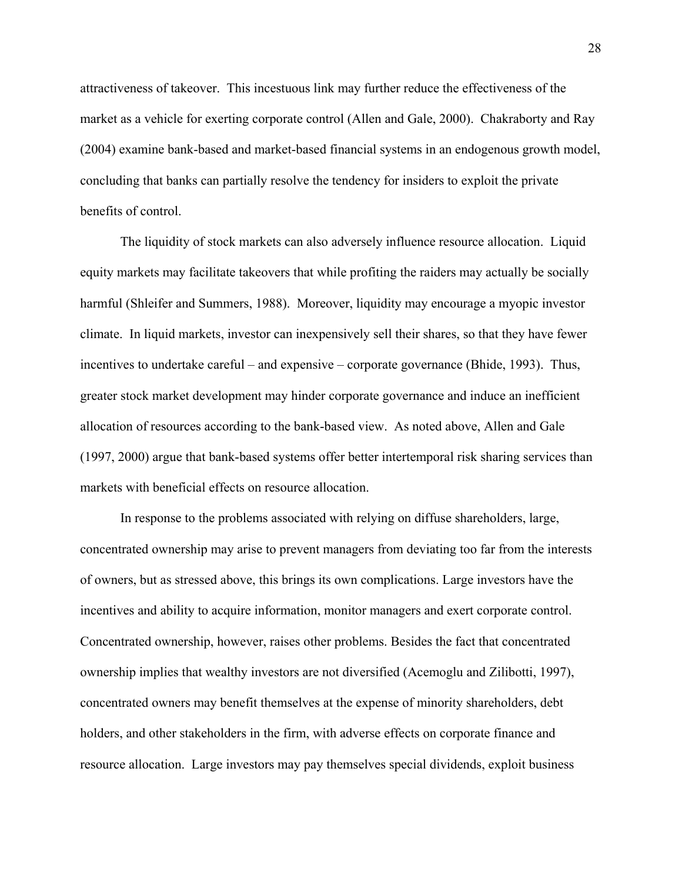attractiveness of takeover. This incestuous link may further reduce the effectiveness of the market as a vehicle for exerting corporate control (Allen and Gale, 2000). Chakraborty and Ray (2004) examine bank-based and market-based financial systems in an endogenous growth model, concluding that banks can partially resolve the tendency for insiders to exploit the private benefits of control.

The liquidity of stock markets can also adversely influence resource allocation. Liquid equity markets may facilitate takeovers that while profiting the raiders may actually be socially harmful (Shleifer and Summers, 1988). Moreover, liquidity may encourage a myopic investor climate. In liquid markets, investor can inexpensively sell their shares, so that they have fewer incentives to undertake careful – and expensive – corporate governance (Bhide, 1993). Thus, greater stock market development may hinder corporate governance and induce an inefficient allocation of resources according to the bank-based view. As noted above, Allen and Gale (1997, 2000) argue that bank-based systems offer better intertemporal risk sharing services than markets with beneficial effects on resource allocation.

In response to the problems associated with relying on diffuse shareholders, large, concentrated ownership may arise to prevent managers from deviating too far from the interests of owners, but as stressed above, this brings its own complications. Large investors have the incentives and ability to acquire information, monitor managers and exert corporate control. Concentrated ownership, however, raises other problems. Besides the fact that concentrated ownership implies that wealthy investors are not diversified (Acemoglu and Zilibotti, 1997), concentrated owners may benefit themselves at the expense of minority shareholders, debt holders, and other stakeholders in the firm, with adverse effects on corporate finance and resource allocation. Large investors may pay themselves special dividends, exploit business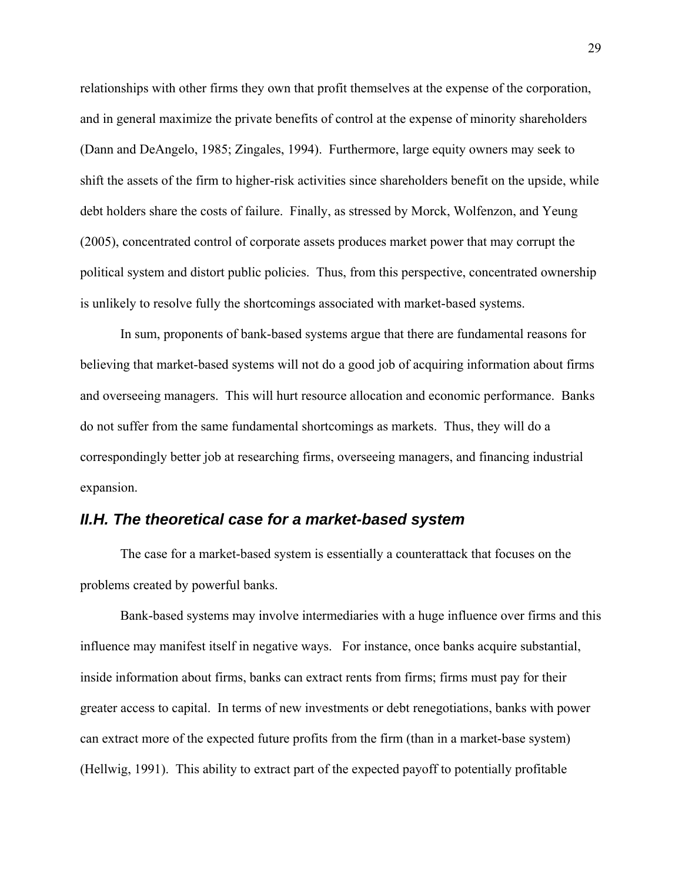relationships with other firms they own that profit themselves at the expense of the corporation, and in general maximize the private benefits of control at the expense of minority shareholders (Dann and DeAngelo, 1985; Zingales, 1994). Furthermore, large equity owners may seek to shift the assets of the firm to higher-risk activities since shareholders benefit on the upside, while debt holders share the costs of failure. Finally, as stressed by Morck, Wolfenzon, and Yeung (2005), concentrated control of corporate assets produces market power that may corrupt the political system and distort public policies. Thus, from this perspective, concentrated ownership is unlikely to resolve fully the shortcomings associated with market-based systems.

 In sum, proponents of bank-based systems argue that there are fundamental reasons for believing that market-based systems will not do a good job of acquiring information about firms and overseeing managers. This will hurt resource allocation and economic performance. Banks do not suffer from the same fundamental shortcomings as markets. Thus, they will do a correspondingly better job at researching firms, overseeing managers, and financing industrial expansion.

### *II.H. The theoretical case for a market-based system*

 The case for a market-based system is essentially a counterattack that focuses on the problems created by powerful banks.

Bank-based systems may involve intermediaries with a huge influence over firms and this influence may manifest itself in negative ways. For instance, once banks acquire substantial, inside information about firms, banks can extract rents from firms; firms must pay for their greater access to capital. In terms of new investments or debt renegotiations, banks with power can extract more of the expected future profits from the firm (than in a market-base system) (Hellwig, 1991). This ability to extract part of the expected payoff to potentially profitable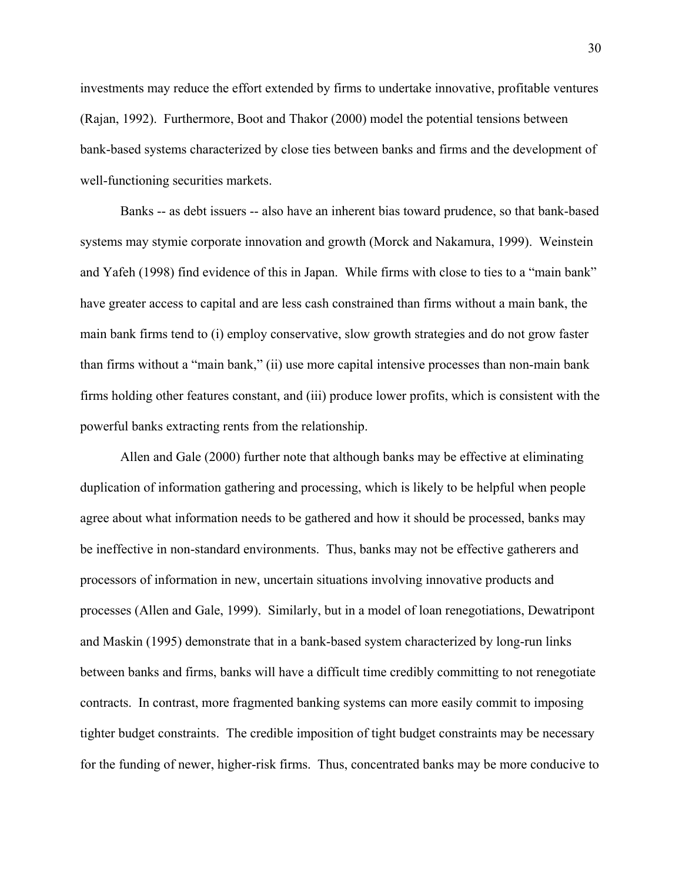investments may reduce the effort extended by firms to undertake innovative, profitable ventures (Rajan, 1992). Furthermore, Boot and Thakor (2000) model the potential tensions between bank-based systems characterized by close ties between banks and firms and the development of well-functioning securities markets.

Banks -- as debt issuers -- also have an inherent bias toward prudence, so that bank-based systems may stymie corporate innovation and growth (Morck and Nakamura, 1999). Weinstein and Yafeh (1998) find evidence of this in Japan. While firms with close to ties to a "main bank" have greater access to capital and are less cash constrained than firms without a main bank, the main bank firms tend to (i) employ conservative, slow growth strategies and do not grow faster than firms without a "main bank," (ii) use more capital intensive processes than non-main bank firms holding other features constant, and (iii) produce lower profits, which is consistent with the powerful banks extracting rents from the relationship.

Allen and Gale (2000) further note that although banks may be effective at eliminating duplication of information gathering and processing, which is likely to be helpful when people agree about what information needs to be gathered and how it should be processed, banks may be ineffective in non-standard environments. Thus, banks may not be effective gatherers and processors of information in new, uncertain situations involving innovative products and processes (Allen and Gale, 1999). Similarly, but in a model of loan renegotiations, Dewatripont and Maskin (1995) demonstrate that in a bank-based system characterized by long-run links between banks and firms, banks will have a difficult time credibly committing to not renegotiate contracts. In contrast, more fragmented banking systems can more easily commit to imposing tighter budget constraints. The credible imposition of tight budget constraints may be necessary for the funding of newer, higher-risk firms. Thus, concentrated banks may be more conducive to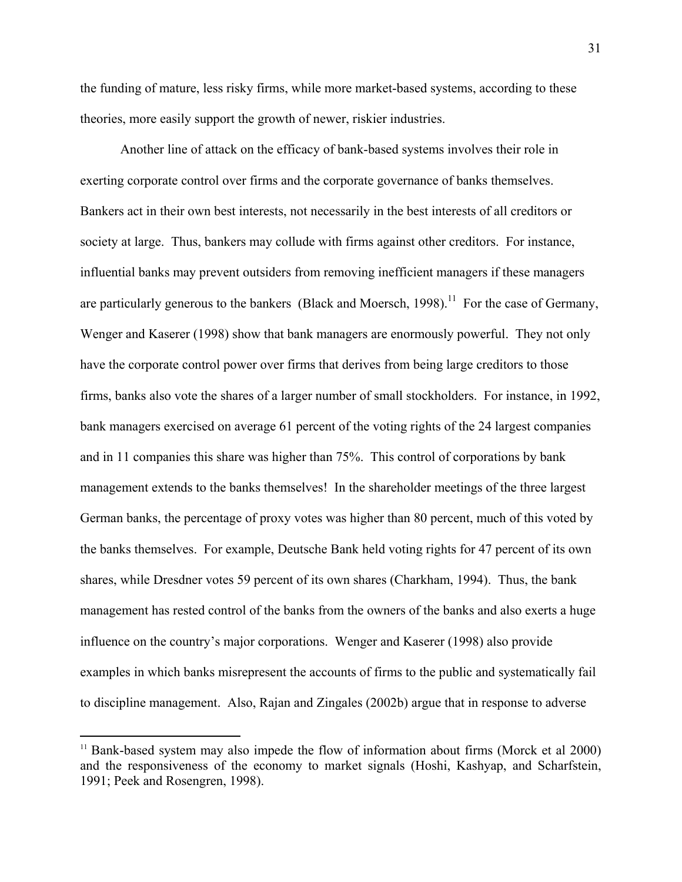the funding of mature, less risky firms, while more market-based systems, according to these theories, more easily support the growth of newer, riskier industries.

 Another line of attack on the efficacy of bank-based systems involves their role in exerting corporate control over firms and the corporate governance of banks themselves. Bankers act in their own best interests, not necessarily in the best interests of all creditors or society at large. Thus, bankers may collude with firms against other creditors. For instance, influential banks may prevent outsiders from removing inefficient managers if these managers are particularly generous to the bankers (Black and Moersch,  $1998$ ).<sup>11</sup> For the case of Germany, Wenger and Kaserer (1998) show that bank managers are enormously powerful. They not only have the corporate control power over firms that derives from being large creditors to those firms, banks also vote the shares of a larger number of small stockholders. For instance, in 1992, bank managers exercised on average 61 percent of the voting rights of the 24 largest companies and in 11 companies this share was higher than 75%. This control of corporations by bank management extends to the banks themselves! In the shareholder meetings of the three largest German banks, the percentage of proxy votes was higher than 80 percent, much of this voted by the banks themselves. For example, Deutsche Bank held voting rights for 47 percent of its own shares, while Dresdner votes 59 percent of its own shares (Charkham, 1994). Thus, the bank management has rested control of the banks from the owners of the banks and also exerts a huge influence on the country's major corporations. Wenger and Kaserer (1998) also provide examples in which banks misrepresent the accounts of firms to the public and systematically fail to discipline management. Also, Rajan and Zingales (2002b) argue that in response to adverse

1

<sup>&</sup>lt;sup>11</sup> Bank-based system may also impede the flow of information about firms (Morck et al 2000) and the responsiveness of the economy to market signals (Hoshi, Kashyap, and Scharfstein, 1991; Peek and Rosengren, 1998).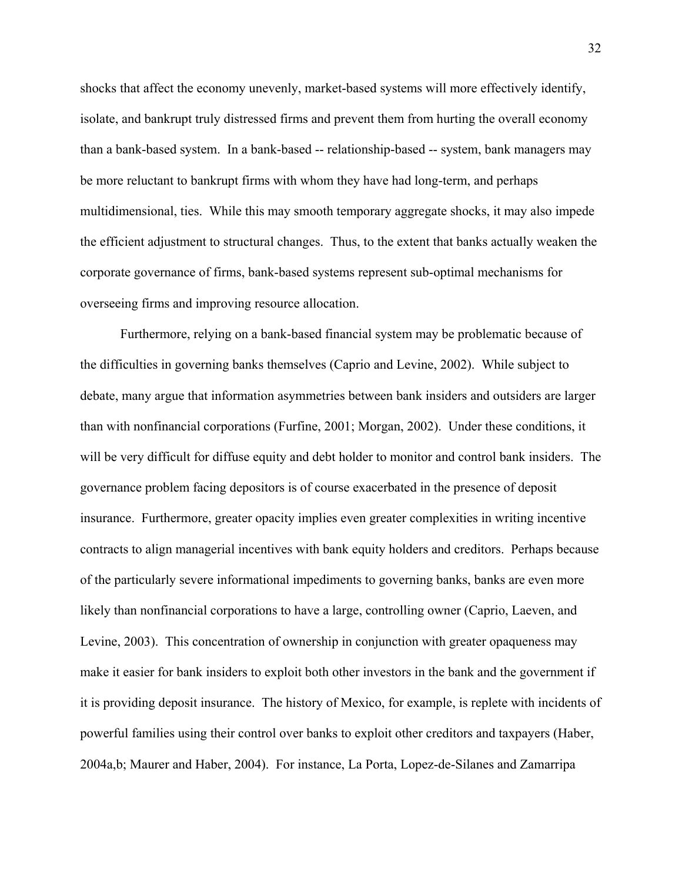shocks that affect the economy unevenly, market-based systems will more effectively identify, isolate, and bankrupt truly distressed firms and prevent them from hurting the overall economy than a bank-based system. In a bank-based -- relationship-based -- system, bank managers may be more reluctant to bankrupt firms with whom they have had long-term, and perhaps multidimensional, ties. While this may smooth temporary aggregate shocks, it may also impede the efficient adjustment to structural changes. Thus, to the extent that banks actually weaken the corporate governance of firms, bank-based systems represent sub-optimal mechanisms for overseeing firms and improving resource allocation.

 Furthermore, relying on a bank-based financial system may be problematic because of the difficulties in governing banks themselves (Caprio and Levine, 2002). While subject to debate, many argue that information asymmetries between bank insiders and outsiders are larger than with nonfinancial corporations (Furfine, 2001; Morgan, 2002). Under these conditions, it will be very difficult for diffuse equity and debt holder to monitor and control bank insiders. The governance problem facing depositors is of course exacerbated in the presence of deposit insurance. Furthermore, greater opacity implies even greater complexities in writing incentive contracts to align managerial incentives with bank equity holders and creditors. Perhaps because of the particularly severe informational impediments to governing banks, banks are even more likely than nonfinancial corporations to have a large, controlling owner (Caprio, Laeven, and Levine, 2003). This concentration of ownership in conjunction with greater opaqueness may make it easier for bank insiders to exploit both other investors in the bank and the government if it is providing deposit insurance. The history of Mexico, for example, is replete with incidents of powerful families using their control over banks to exploit other creditors and taxpayers (Haber, 2004a,b; Maurer and Haber, 2004). For instance, La Porta, Lopez-de-Silanes and Zamarripa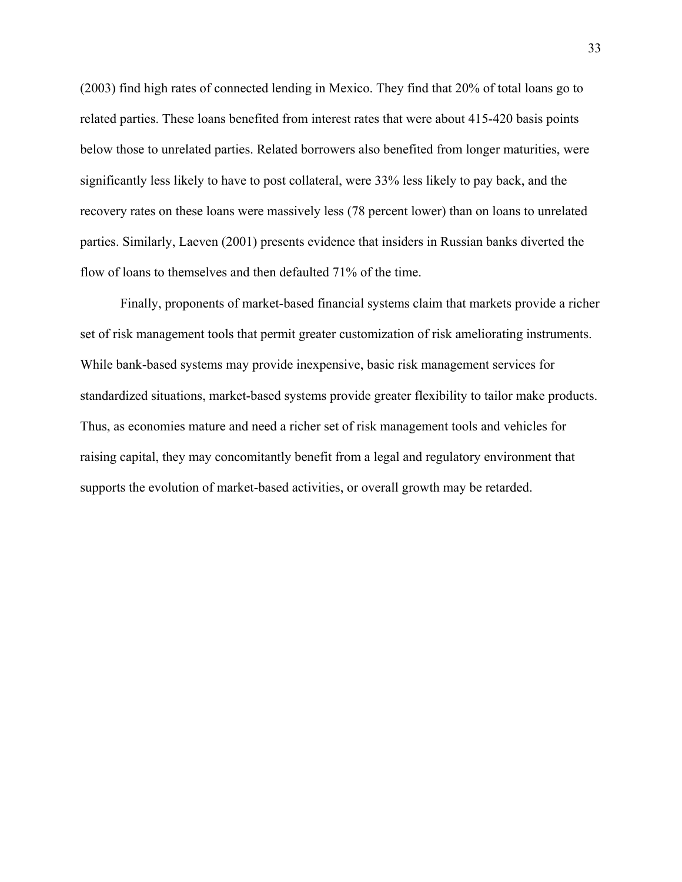(2003) find high rates of connected lending in Mexico. They find that 20% of total loans go to related parties. These loans benefited from interest rates that were about 415-420 basis points below those to unrelated parties. Related borrowers also benefited from longer maturities, were significantly less likely to have to post collateral, were 33% less likely to pay back, and the recovery rates on these loans were massively less (78 percent lower) than on loans to unrelated parties. Similarly, Laeven (2001) presents evidence that insiders in Russian banks diverted the flow of loans to themselves and then defaulted 71% of the time.

 Finally, proponents of market-based financial systems claim that markets provide a richer set of risk management tools that permit greater customization of risk ameliorating instruments. While bank-based systems may provide inexpensive, basic risk management services for standardized situations, market-based systems provide greater flexibility to tailor make products. Thus, as economies mature and need a richer set of risk management tools and vehicles for raising capital, they may concomitantly benefit from a legal and regulatory environment that supports the evolution of market-based activities, or overall growth may be retarded.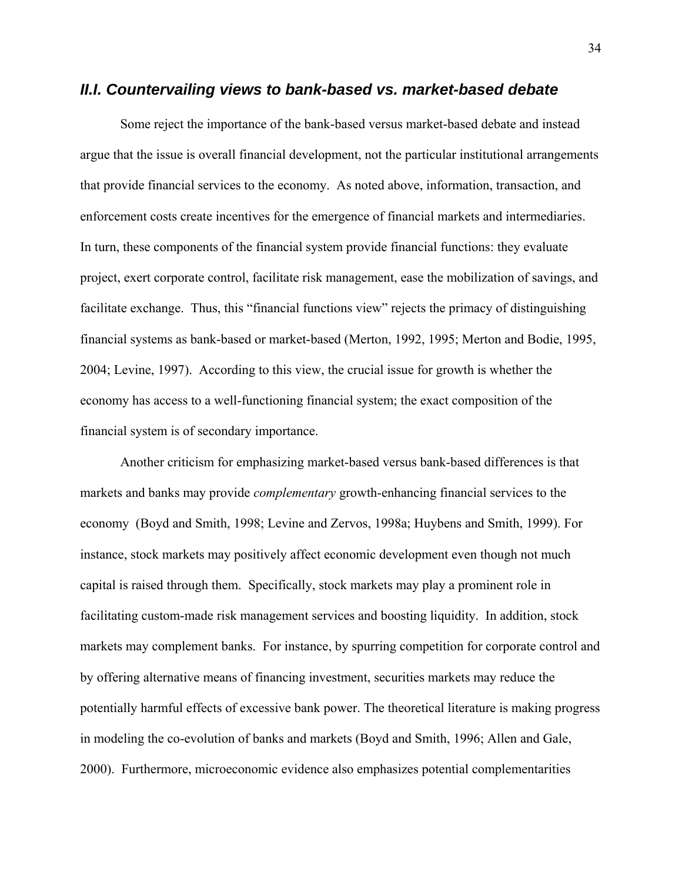## *II.I. Countervailing views to bank-based vs. market-based debate*

Some reject the importance of the bank-based versus market-based debate and instead argue that the issue is overall financial development, not the particular institutional arrangements that provide financial services to the economy. As noted above, information, transaction, and enforcement costs create incentives for the emergence of financial markets and intermediaries. In turn, these components of the financial system provide financial functions: they evaluate project, exert corporate control, facilitate risk management, ease the mobilization of savings, and facilitate exchange. Thus, this "financial functions view" rejects the primacy of distinguishing financial systems as bank-based or market-based (Merton, 1992, 1995; Merton and Bodie, 1995, 2004; Levine, 1997). According to this view, the crucial issue for growth is whether the economy has access to a well-functioning financial system; the exact composition of the financial system is of secondary importance.

 Another criticism for emphasizing market-based versus bank-based differences is that markets and banks may provide *complementary* growth-enhancing financial services to the economy (Boyd and Smith, 1998; Levine and Zervos, 1998a; Huybens and Smith, 1999). For instance, stock markets may positively affect economic development even though not much capital is raised through them. Specifically, stock markets may play a prominent role in facilitating custom-made risk management services and boosting liquidity. In addition, stock markets may complement banks. For instance, by spurring competition for corporate control and by offering alternative means of financing investment, securities markets may reduce the potentially harmful effects of excessive bank power. The theoretical literature is making progress in modeling the co-evolution of banks and markets (Boyd and Smith, 1996; Allen and Gale, 2000). Furthermore, microeconomic evidence also emphasizes potential complementarities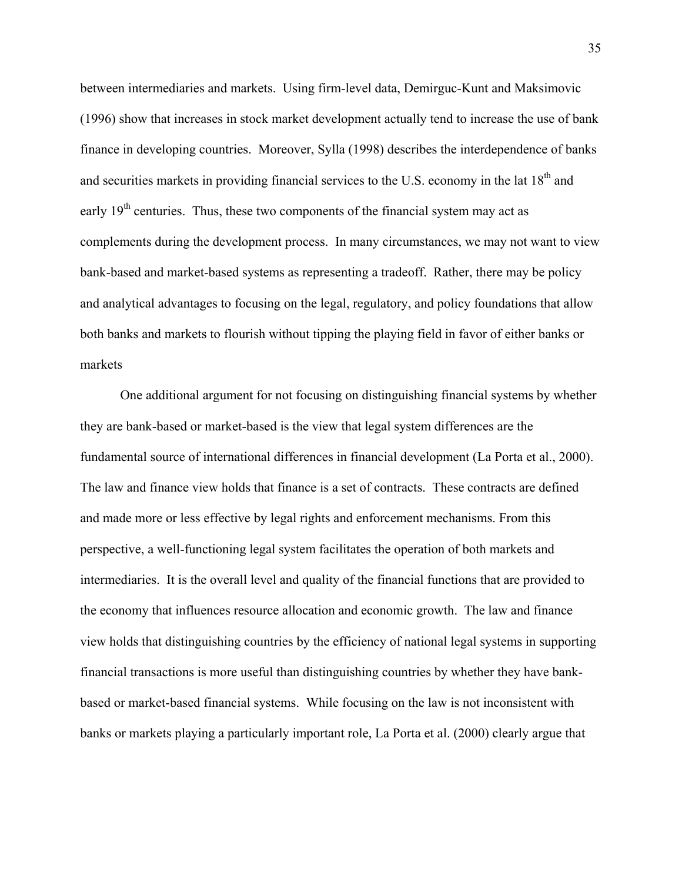between intermediaries and markets. Using firm-level data, Demirguc-Kunt and Maksimovic (1996) show that increases in stock market development actually tend to increase the use of bank finance in developing countries. Moreover, Sylla (1998) describes the interdependence of banks and securities markets in providing financial services to the U.S. economy in the lat 18<sup>th</sup> and early  $19<sup>th</sup>$  centuries. Thus, these two components of the financial system may act as complements during the development process. In many circumstances, we may not want to view bank-based and market-based systems as representing a tradeoff. Rather, there may be policy and analytical advantages to focusing on the legal, regulatory, and policy foundations that allow both banks and markets to flourish without tipping the playing field in favor of either banks or markets

 One additional argument for not focusing on distinguishing financial systems by whether they are bank-based or market-based is the view that legal system differences are the fundamental source of international differences in financial development (La Porta et al., 2000). The law and finance view holds that finance is a set of contracts. These contracts are defined and made more or less effective by legal rights and enforcement mechanisms. From this perspective, a well-functioning legal system facilitates the operation of both markets and intermediaries. It is the overall level and quality of the financial functions that are provided to the economy that influences resource allocation and economic growth. The law and finance view holds that distinguishing countries by the efficiency of national legal systems in supporting financial transactions is more useful than distinguishing countries by whether they have bankbased or market-based financial systems. While focusing on the law is not inconsistent with banks or markets playing a particularly important role, La Porta et al. (2000) clearly argue that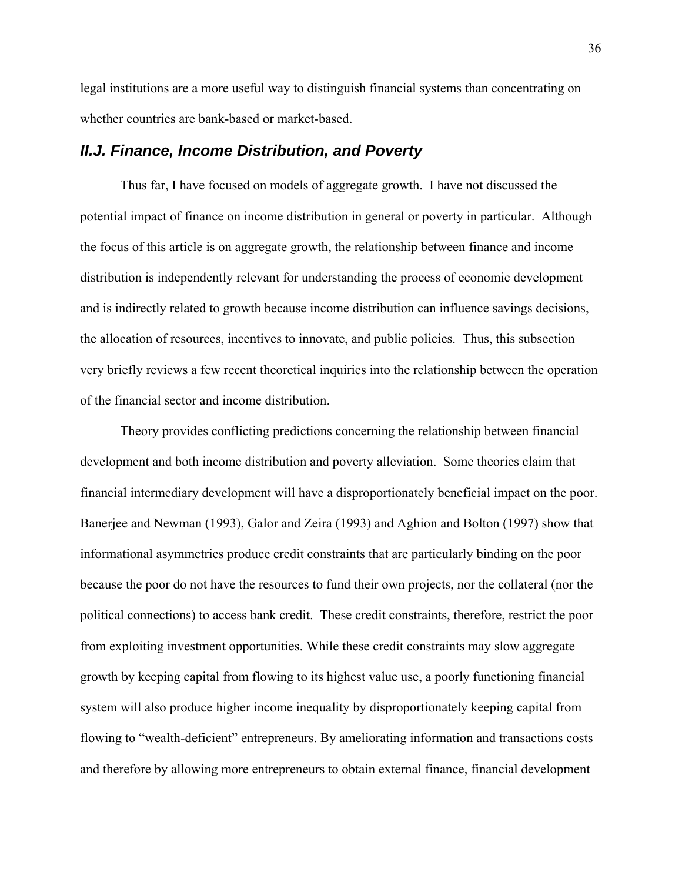legal institutions are a more useful way to distinguish financial systems than concentrating on whether countries are bank-based or market-based.

# *II.J. Finance, Income Distribution, and Poverty*

Thus far, I have focused on models of aggregate growth. I have not discussed the potential impact of finance on income distribution in general or poverty in particular. Although the focus of this article is on aggregate growth, the relationship between finance and income distribution is independently relevant for understanding the process of economic development and is indirectly related to growth because income distribution can influence savings decisions, the allocation of resources, incentives to innovate, and public policies. Thus, this subsection very briefly reviews a few recent theoretical inquiries into the relationship between the operation of the financial sector and income distribution.

Theory provides conflicting predictions concerning the relationship between financial development and both income distribution and poverty alleviation. Some theories claim that financial intermediary development will have a disproportionately beneficial impact on the poor. Banerjee and Newman (1993), Galor and Zeira (1993) and Aghion and Bolton (1997) show that informational asymmetries produce credit constraints that are particularly binding on the poor because the poor do not have the resources to fund their own projects, nor the collateral (nor the political connections) to access bank credit. These credit constraints, therefore, restrict the poor from exploiting investment opportunities. While these credit constraints may slow aggregate growth by keeping capital from flowing to its highest value use, a poorly functioning financial system will also produce higher income inequality by disproportionately keeping capital from flowing to "wealth-deficient" entrepreneurs. By ameliorating information and transactions costs and therefore by allowing more entrepreneurs to obtain external finance, financial development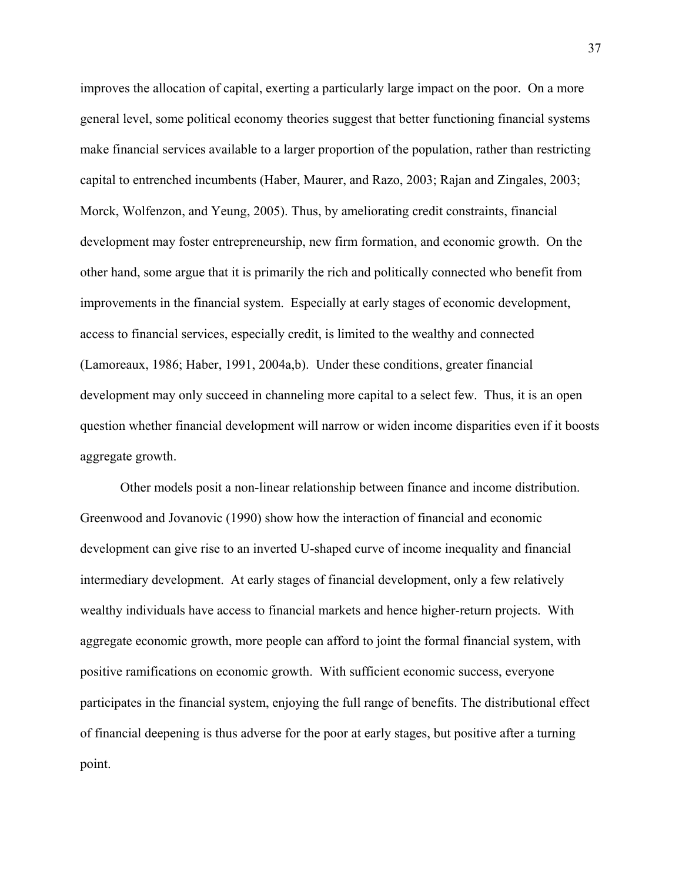improves the allocation of capital, exerting a particularly large impact on the poor. On a more general level, some political economy theories suggest that better functioning financial systems make financial services available to a larger proportion of the population, rather than restricting capital to entrenched incumbents (Haber, Maurer, and Razo, 2003; Rajan and Zingales, 2003; Morck, Wolfenzon, and Yeung, 2005). Thus, by ameliorating credit constraints, financial development may foster entrepreneurship, new firm formation, and economic growth. On the other hand, some argue that it is primarily the rich and politically connected who benefit from improvements in the financial system. Especially at early stages of economic development, access to financial services, especially credit, is limited to the wealthy and connected (Lamoreaux, 1986; Haber, 1991, 2004a,b). Under these conditions, greater financial development may only succeed in channeling more capital to a select few. Thus, it is an open question whether financial development will narrow or widen income disparities even if it boosts aggregate growth.

Other models posit a non-linear relationship between finance and income distribution. Greenwood and Jovanovic (1990) show how the interaction of financial and economic development can give rise to an inverted U-shaped curve of income inequality and financial intermediary development. At early stages of financial development, only a few relatively wealthy individuals have access to financial markets and hence higher-return projects. With aggregate economic growth, more people can afford to joint the formal financial system, with positive ramifications on economic growth. With sufficient economic success, everyone participates in the financial system, enjoying the full range of benefits. The distributional effect of financial deepening is thus adverse for the poor at early stages, but positive after a turning point.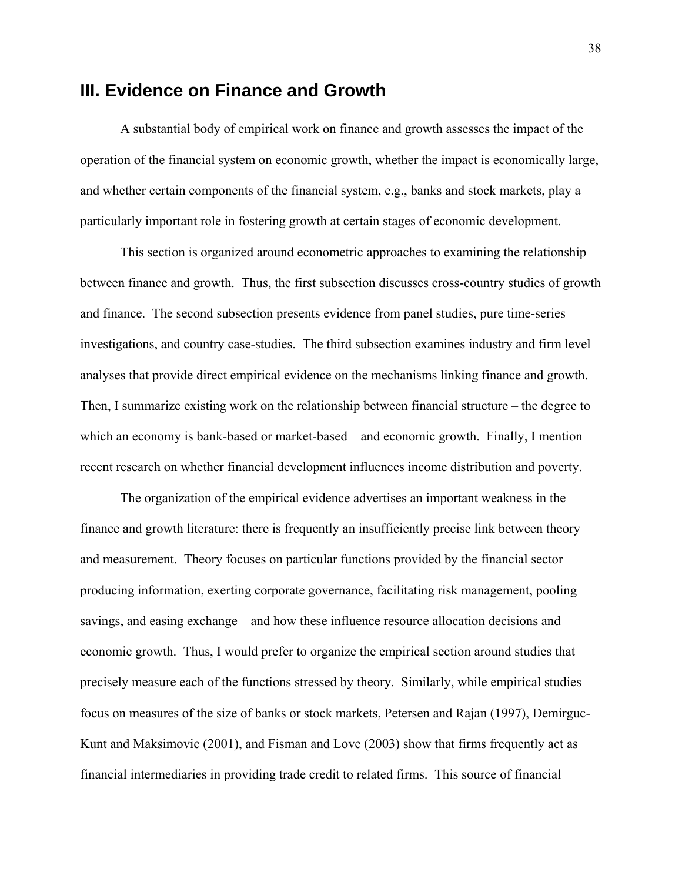# **III. Evidence on Finance and Growth**

 A substantial body of empirical work on finance and growth assesses the impact of the operation of the financial system on economic growth, whether the impact is economically large, and whether certain components of the financial system, e.g., banks and stock markets, play a particularly important role in fostering growth at certain stages of economic development.

 This section is organized around econometric approaches to examining the relationship between finance and growth. Thus, the first subsection discusses cross-country studies of growth and finance. The second subsection presents evidence from panel studies, pure time-series investigations, and country case-studies. The third subsection examines industry and firm level analyses that provide direct empirical evidence on the mechanisms linking finance and growth. Then, I summarize existing work on the relationship between financial structure – the degree to which an economy is bank-based or market-based – and economic growth. Finally, I mention recent research on whether financial development influences income distribution and poverty.

 The organization of the empirical evidence advertises an important weakness in the finance and growth literature: there is frequently an insufficiently precise link between theory and measurement. Theory focuses on particular functions provided by the financial sector – producing information, exerting corporate governance, facilitating risk management, pooling savings, and easing exchange – and how these influence resource allocation decisions and economic growth. Thus, I would prefer to organize the empirical section around studies that precisely measure each of the functions stressed by theory. Similarly, while empirical studies focus on measures of the size of banks or stock markets, Petersen and Rajan (1997), Demirguc-Kunt and Maksimovic (2001), and Fisman and Love (2003) show that firms frequently act as financial intermediaries in providing trade credit to related firms. This source of financial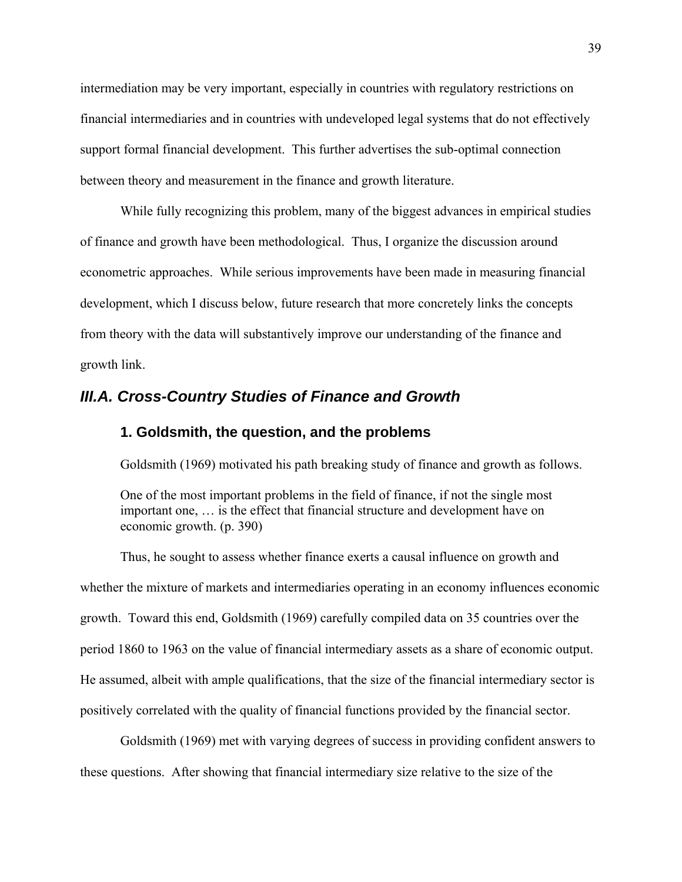intermediation may be very important, especially in countries with regulatory restrictions on financial intermediaries and in countries with undeveloped legal systems that do not effectively support formal financial development. This further advertises the sub-optimal connection between theory and measurement in the finance and growth literature.

While fully recognizing this problem, many of the biggest advances in empirical studies of finance and growth have been methodological. Thus, I organize the discussion around econometric approaches. While serious improvements have been made in measuring financial development, which I discuss below, future research that more concretely links the concepts from theory with the data will substantively improve our understanding of the finance and growth link.

# *III.A. Cross-Country Studies of Finance and Growth*

### **1. Goldsmith, the question, and the problems**

Goldsmith (1969) motivated his path breaking study of finance and growth as follows.

One of the most important problems in the field of finance, if not the single most important one, … is the effect that financial structure and development have on economic growth. (p. 390)

Thus, he sought to assess whether finance exerts a causal influence on growth and whether the mixture of markets and intermediaries operating in an economy influences economic growth. Toward this end, Goldsmith (1969) carefully compiled data on 35 countries over the period 1860 to 1963 on the value of financial intermediary assets as a share of economic output. He assumed, albeit with ample qualifications, that the size of the financial intermediary sector is positively correlated with the quality of financial functions provided by the financial sector.

Goldsmith (1969) met with varying degrees of success in providing confident answers to these questions. After showing that financial intermediary size relative to the size of the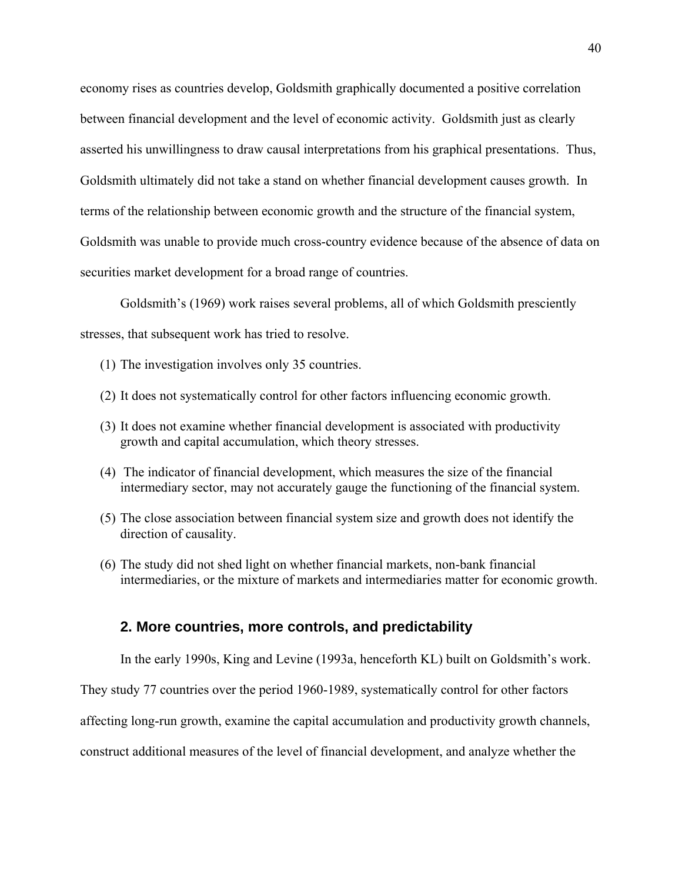economy rises as countries develop, Goldsmith graphically documented a positive correlation between financial development and the level of economic activity. Goldsmith just as clearly asserted his unwillingness to draw causal interpretations from his graphical presentations. Thus, Goldsmith ultimately did not take a stand on whether financial development causes growth. In terms of the relationship between economic growth and the structure of the financial system, Goldsmith was unable to provide much cross-country evidence because of the absence of data on securities market development for a broad range of countries.

Goldsmith's (1969) work raises several problems, all of which Goldsmith presciently stresses, that subsequent work has tried to resolve.

- (1) The investigation involves only 35 countries.
- (2) It does not systematically control for other factors influencing economic growth.
- (3) It does not examine whether financial development is associated with productivity growth and capital accumulation, which theory stresses.
- (4) The indicator of financial development, which measures the size of the financial intermediary sector, may not accurately gauge the functioning of the financial system.
- (5) The close association between financial system size and growth does not identify the direction of causality.
- (6) The study did not shed light on whether financial markets, non-bank financial intermediaries, or the mixture of markets and intermediaries matter for economic growth.

## **2. More countries, more controls, and predictability**

In the early 1990s, King and Levine (1993a, henceforth KL) built on Goldsmith's work.

They study 77 countries over the period 1960-1989, systematically control for other factors

affecting long-run growth, examine the capital accumulation and productivity growth channels,

construct additional measures of the level of financial development, and analyze whether the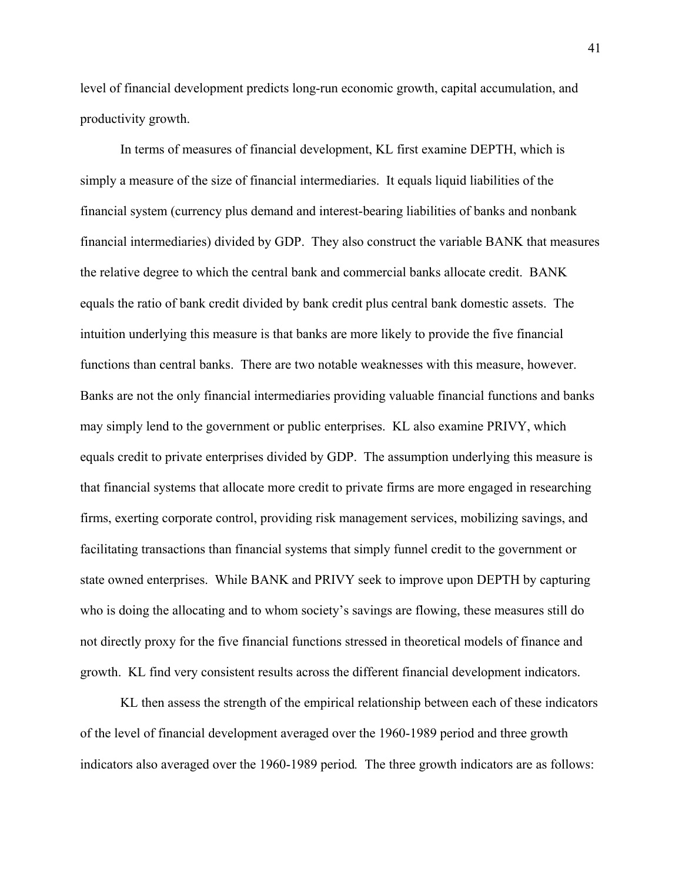level of financial development predicts long-run economic growth, capital accumulation, and productivity growth.

In terms of measures of financial development, KL first examine DEPTH, which is simply a measure of the size of financial intermediaries. It equals liquid liabilities of the financial system (currency plus demand and interest-bearing liabilities of banks and nonbank financial intermediaries) divided by GDP. They also construct the variable BANK that measures the relative degree to which the central bank and commercial banks allocate credit. BANK equals the ratio of bank credit divided by bank credit plus central bank domestic assets. The intuition underlying this measure is that banks are more likely to provide the five financial functions than central banks. There are two notable weaknesses with this measure, however. Banks are not the only financial intermediaries providing valuable financial functions and banks may simply lend to the government or public enterprises. KL also examine PRIVY, which equals credit to private enterprises divided by GDP. The assumption underlying this measure is that financial systems that allocate more credit to private firms are more engaged in researching firms, exerting corporate control, providing risk management services, mobilizing savings, and facilitating transactions than financial systems that simply funnel credit to the government or state owned enterprises. While BANK and PRIVY seek to improve upon DEPTH by capturing who is doing the allocating and to whom society's savings are flowing, these measures still do not directly proxy for the five financial functions stressed in theoretical models of finance and growth. KL find very consistent results across the different financial development indicators.

KL then assess the strength of the empirical relationship between each of these indicators of the level of financial development averaged over the 1960-1989 period and three growth indicators also averaged over the 1960-1989 period*.* The three growth indicators are as follows: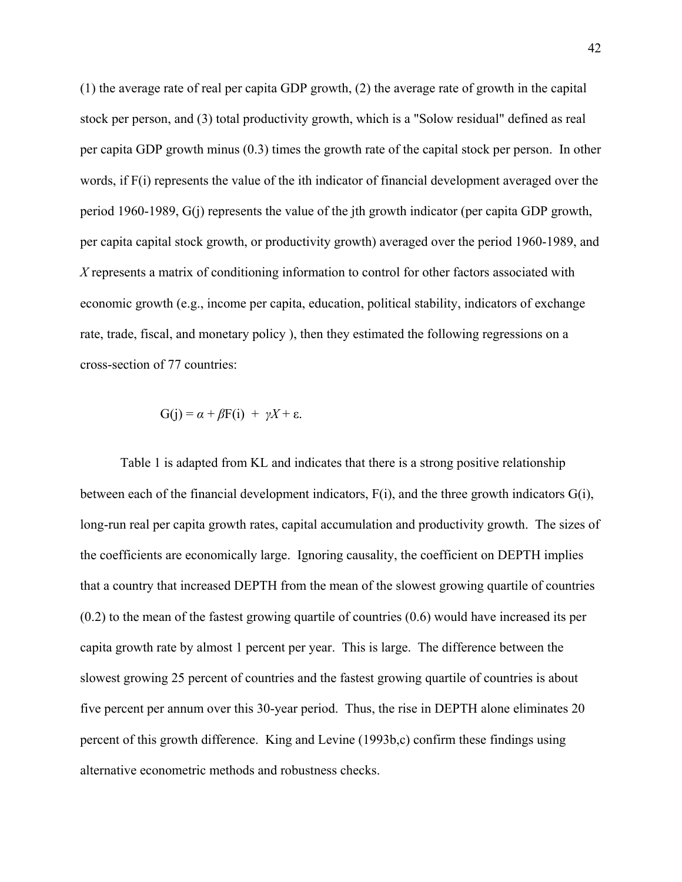(1) the average rate of real per capita GDP growth, (2) the average rate of growth in the capital stock per person, and (3) total productivity growth, which is a "Solow residual" defined as real per capita GDP growth minus (0.3) times the growth rate of the capital stock per person. In other words, if F(i) represents the value of the ith indicator of financial development averaged over the period 1960-1989, G(j) represents the value of the jth growth indicator (per capita GDP growth, per capita capital stock growth, or productivity growth) averaged over the period 1960-1989, and *X* represents a matrix of conditioning information to control for other factors associated with economic growth (e.g., income per capita, education, political stability, indicators of exchange rate, trade, fiscal, and monetary policy ), then they estimated the following regressions on a cross-section of 77 countries:

$$
G(j) = \alpha + \beta F(i) + \gamma X + \varepsilon.
$$

Table 1 is adapted from KL and indicates that there is a strong positive relationship between each of the financial development indicators, F(i), and the three growth indicators G(i), long-run real per capita growth rates, capital accumulation and productivity growth. The sizes of the coefficients are economically large. Ignoring causality, the coefficient on DEPTH implies that a country that increased DEPTH from the mean of the slowest growing quartile of countries (0.2) to the mean of the fastest growing quartile of countries (0.6) would have increased its per capita growth rate by almost 1 percent per year. This is large. The difference between the slowest growing 25 percent of countries and the fastest growing quartile of countries is about five percent per annum over this 30-year period. Thus, the rise in DEPTH alone eliminates 20 percent of this growth difference. King and Levine (1993b,c) confirm these findings using alternative econometric methods and robustness checks.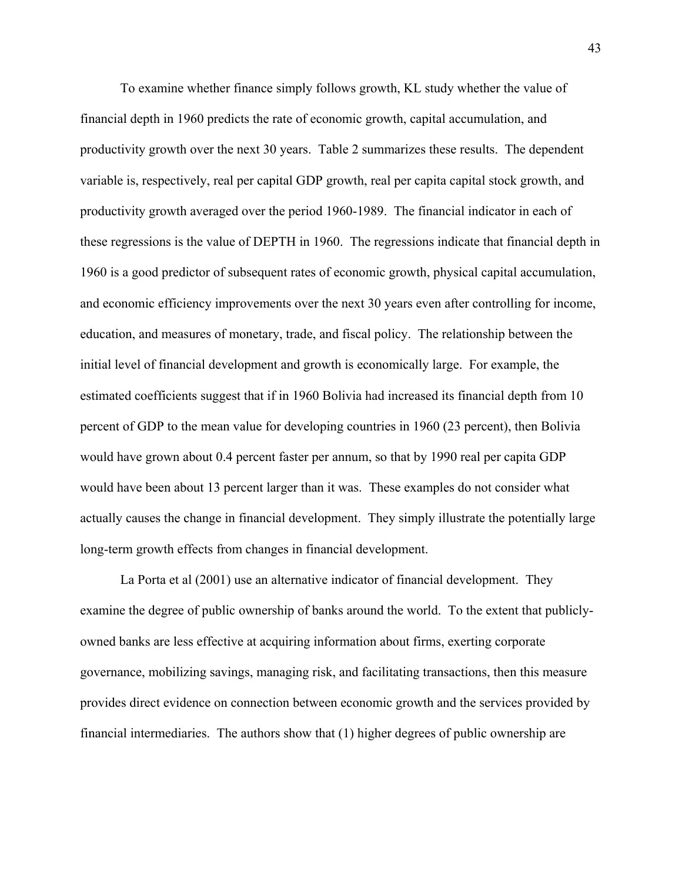To examine whether finance simply follows growth, KL study whether the value of financial depth in 1960 predicts the rate of economic growth, capital accumulation, and productivity growth over the next 30 years. Table 2 summarizes these results. The dependent variable is, respectively, real per capital GDP growth, real per capita capital stock growth, and productivity growth averaged over the period 1960-1989. The financial indicator in each of these regressions is the value of DEPTH in 1960. The regressions indicate that financial depth in 1960 is a good predictor of subsequent rates of economic growth, physical capital accumulation, and economic efficiency improvements over the next 30 years even after controlling for income, education, and measures of monetary, trade, and fiscal policy. The relationship between the initial level of financial development and growth is economically large. For example, the estimated coefficients suggest that if in 1960 Bolivia had increased its financial depth from 10 percent of GDP to the mean value for developing countries in 1960 (23 percent), then Bolivia would have grown about 0.4 percent faster per annum, so that by 1990 real per capita GDP would have been about 13 percent larger than it was. These examples do not consider what actually causes the change in financial development. They simply illustrate the potentially large long-term growth effects from changes in financial development.

La Porta et al (2001) use an alternative indicator of financial development. They examine the degree of public ownership of banks around the world. To the extent that publiclyowned banks are less effective at acquiring information about firms, exerting corporate governance, mobilizing savings, managing risk, and facilitating transactions, then this measure provides direct evidence on connection between economic growth and the services provided by financial intermediaries. The authors show that (1) higher degrees of public ownership are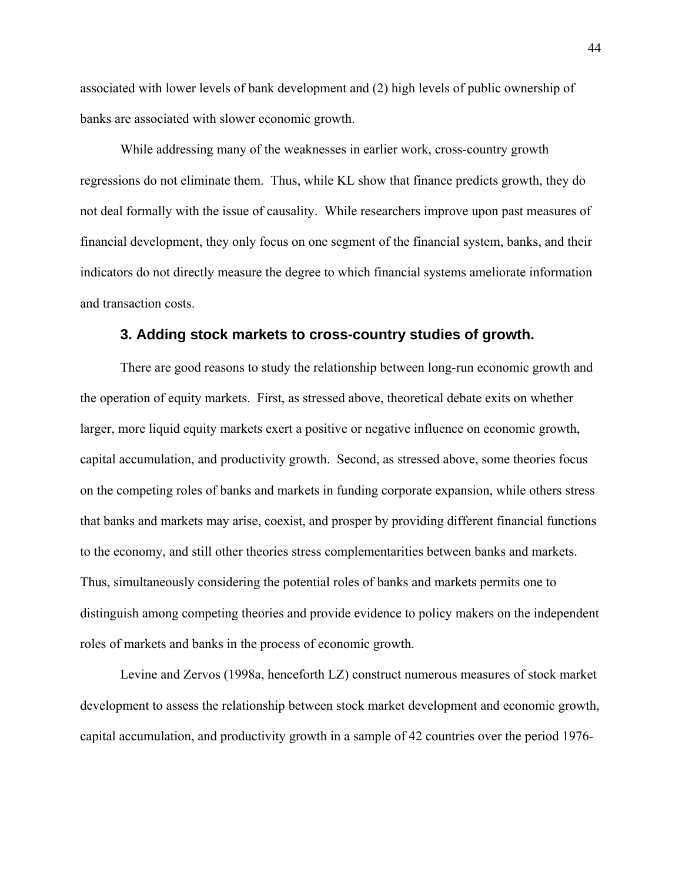associated with lower levels of bank development and (2) high levels of public ownership of banks are associated with slower economic growth.

While addressing many of the weaknesses in earlier work, cross-country growth regressions do not eliminate them. Thus, while KL show that finance predicts growth, they do not deal formally with the issue of causality. While researchers improve upon past measures of financial development, they only focus on one segment of the financial system, banks, and their indicators do not directly measure the degree to which financial systems ameliorate information and transaction costs.

#### **3. Adding stock markets to cross-country studies of growth.**

 There are good reasons to study the relationship between long-run economic growth and the operation of equity markets. First, as stressed above, theoretical debate exits on whether larger, more liquid equity markets exert a positive or negative influence on economic growth, capital accumulation, and productivity growth. Second, as stressed above, some theories focus on the competing roles of banks and markets in funding corporate expansion, while others stress that banks and markets may arise, coexist, and prosper by providing different financial functions to the economy, and still other theories stress complementarities between banks and markets. Thus, simultaneously considering the potential roles of banks and markets permits one to distinguish among competing theories and provide evidence to policy makers on the independent roles of markets and banks in the process of economic growth.

Levine and Zervos (1998a, henceforth LZ) construct numerous measures of stock market development to assess the relationship between stock market development and economic growth, capital accumulation, and productivity growth in a sample of 42 countries over the period 1976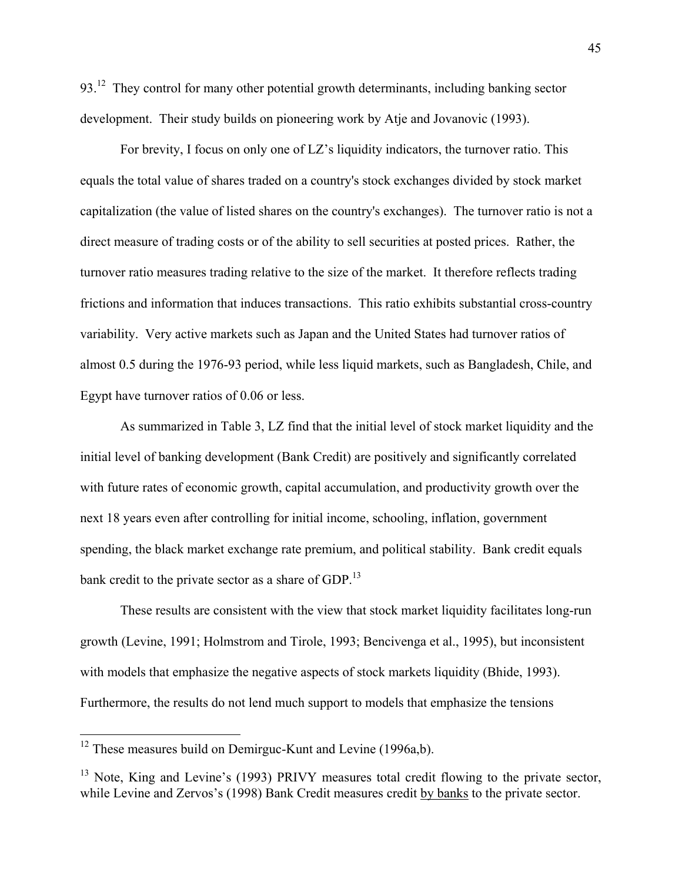93.<sup>12</sup> They control for many other potential growth determinants, including banking sector development. Their study builds on pioneering work by Atje and Jovanovic (1993).

For brevity, I focus on only one of LZ's liquidity indicators, the turnover ratio. This equals the total value of shares traded on a country's stock exchanges divided by stock market capitalization (the value of listed shares on the country's exchanges). The turnover ratio is not a direct measure of trading costs or of the ability to sell securities at posted prices. Rather, the turnover ratio measures trading relative to the size of the market. It therefore reflects trading frictions and information that induces transactions. This ratio exhibits substantial cross-country variability. Very active markets such as Japan and the United States had turnover ratios of almost 0.5 during the 1976-93 period, while less liquid markets, such as Bangladesh, Chile, and Egypt have turnover ratios of 0.06 or less.

As summarized in Table 3, LZ find that the initial level of stock market liquidity and the initial level of banking development (Bank Credit) are positively and significantly correlated with future rates of economic growth, capital accumulation, and productivity growth over the next 18 years even after controlling for initial income, schooling, inflation, government spending, the black market exchange rate premium, and political stability. Bank credit equals bank credit to the private sector as a share of GDP. $^{13}$ 

These results are consistent with the view that stock market liquidity facilitates long-run growth (Levine, 1991; Holmstrom and Tirole, 1993; Bencivenga et al., 1995), but inconsistent with models that emphasize the negative aspects of stock markets liquidity (Bhide, 1993). Furthermore, the results do not lend much support to models that emphasize the tensions

 $\overline{a}$ 

 $12$  These measures build on Demirguc-Kunt and Levine (1996a,b).

<sup>&</sup>lt;sup>13</sup> Note, King and Levine's (1993) PRIVY measures total credit flowing to the private sector, while Levine and Zervos's (1998) Bank Credit measures credit by banks to the private sector.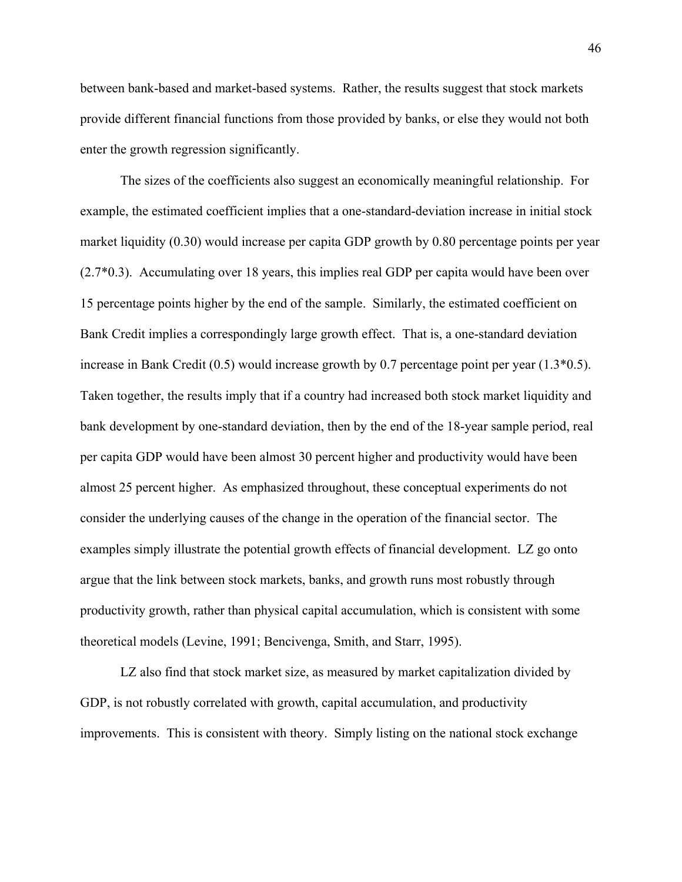between bank-based and market-based systems. Rather, the results suggest that stock markets provide different financial functions from those provided by banks, or else they would not both enter the growth regression significantly.

The sizes of the coefficients also suggest an economically meaningful relationship. For example, the estimated coefficient implies that a one-standard-deviation increase in initial stock market liquidity (0.30) would increase per capita GDP growth by 0.80 percentage points per year (2.7\*0.3). Accumulating over 18 years, this implies real GDP per capita would have been over 15 percentage points higher by the end of the sample. Similarly, the estimated coefficient on Bank Credit implies a correspondingly large growth effect. That is, a one-standard deviation increase in Bank Credit (0.5) would increase growth by 0.7 percentage point per year (1.3\*0.5). Taken together, the results imply that if a country had increased both stock market liquidity and bank development by one-standard deviation, then by the end of the 18-year sample period, real per capita GDP would have been almost 30 percent higher and productivity would have been almost 25 percent higher. As emphasized throughout, these conceptual experiments do not consider the underlying causes of the change in the operation of the financial sector. The examples simply illustrate the potential growth effects of financial development. LZ go onto argue that the link between stock markets, banks, and growth runs most robustly through productivity growth, rather than physical capital accumulation, which is consistent with some theoretical models (Levine, 1991; Bencivenga, Smith, and Starr, 1995).

LZ also find that stock market size, as measured by market capitalization divided by GDP, is not robustly correlated with growth, capital accumulation, and productivity improvements. This is consistent with theory. Simply listing on the national stock exchange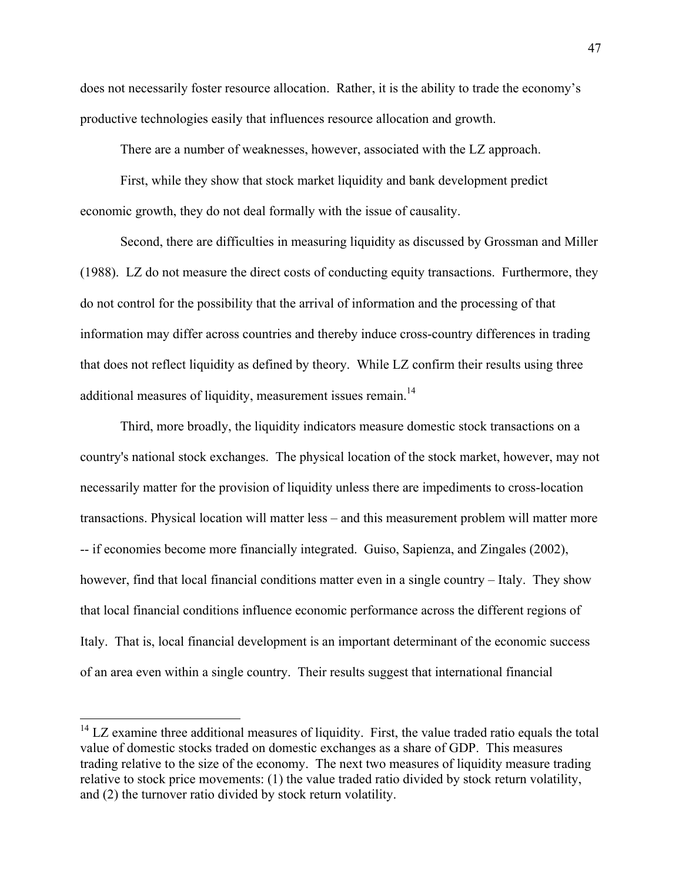does not necessarily foster resource allocation. Rather, it is the ability to trade the economy's productive technologies easily that influences resource allocation and growth.

There are a number of weaknesses, however, associated with the LZ approach.

First, while they show that stock market liquidity and bank development predict economic growth, they do not deal formally with the issue of causality.

Second, there are difficulties in measuring liquidity as discussed by Grossman and Miller (1988). LZ do not measure the direct costs of conducting equity transactions. Furthermore, they do not control for the possibility that the arrival of information and the processing of that information may differ across countries and thereby induce cross-country differences in trading that does not reflect liquidity as defined by theory. While LZ confirm their results using three additional measures of liquidity, measurement issues remain.<sup>14</sup>

Third, more broadly, the liquidity indicators measure domestic stock transactions on a country's national stock exchanges. The physical location of the stock market, however, may not necessarily matter for the provision of liquidity unless there are impediments to cross-location transactions. Physical location will matter less – and this measurement problem will matter more -- if economies become more financially integrated. Guiso, Sapienza, and Zingales (2002), however, find that local financial conditions matter even in a single country – Italy. They show that local financial conditions influence economic performance across the different regions of Italy. That is, local financial development is an important determinant of the economic success of an area even within a single country. Their results suggest that international financial

 $\overline{a}$ 

 $14$  LZ examine three additional measures of liquidity. First, the value traded ratio equals the total value of domestic stocks traded on domestic exchanges as a share of GDP. This measures trading relative to the size of the economy. The next two measures of liquidity measure trading relative to stock price movements: (1) the value traded ratio divided by stock return volatility, and (2) the turnover ratio divided by stock return volatility.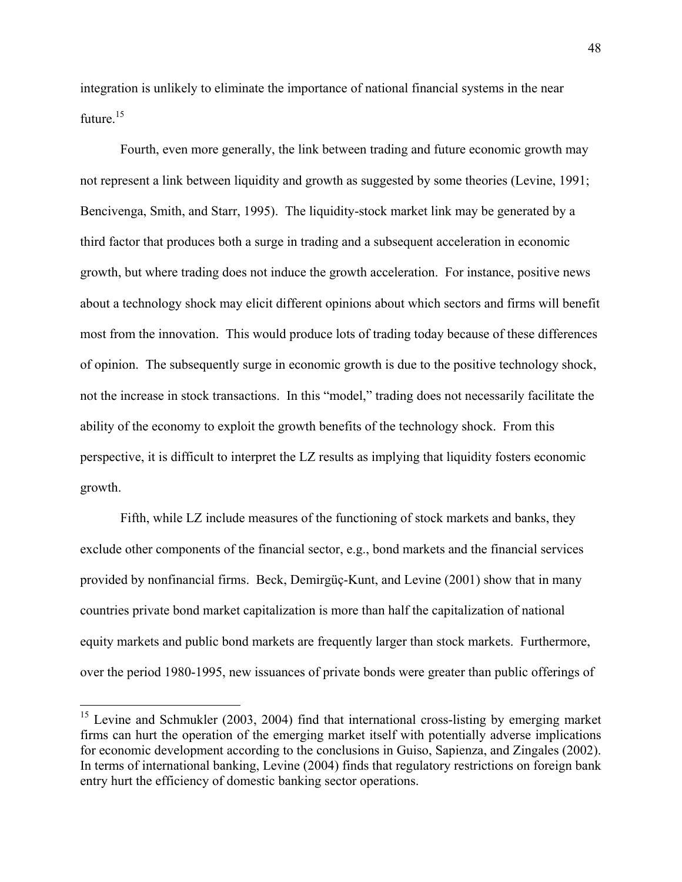integration is unlikely to eliminate the importance of national financial systems in the near future $15$ 

Fourth, even more generally, the link between trading and future economic growth may not represent a link between liquidity and growth as suggested by some theories (Levine, 1991; Bencivenga, Smith, and Starr, 1995). The liquidity-stock market link may be generated by a third factor that produces both a surge in trading and a subsequent acceleration in economic growth, but where trading does not induce the growth acceleration. For instance, positive news about a technology shock may elicit different opinions about which sectors and firms will benefit most from the innovation. This would produce lots of trading today because of these differences of opinion. The subsequently surge in economic growth is due to the positive technology shock, not the increase in stock transactions. In this "model," trading does not necessarily facilitate the ability of the economy to exploit the growth benefits of the technology shock. From this perspective, it is difficult to interpret the LZ results as implying that liquidity fosters economic growth.

Fifth, while LZ include measures of the functioning of stock markets and banks, they exclude other components of the financial sector, e.g., bond markets and the financial services provided by nonfinancial firms. Beck, Demirgüç-Kunt, and Levine (2001) show that in many countries private bond market capitalization is more than half the capitalization of national equity markets and public bond markets are frequently larger than stock markets. Furthermore, over the period 1980-1995, new issuances of private bonds were greater than public offerings of

 $\overline{a}$ 

 $15$  Levine and Schmukler (2003, 2004) find that international cross-listing by emerging market firms can hurt the operation of the emerging market itself with potentially adverse implications for economic development according to the conclusions in Guiso, Sapienza, and Zingales (2002). In terms of international banking, Levine (2004) finds that regulatory restrictions on foreign bank entry hurt the efficiency of domestic banking sector operations.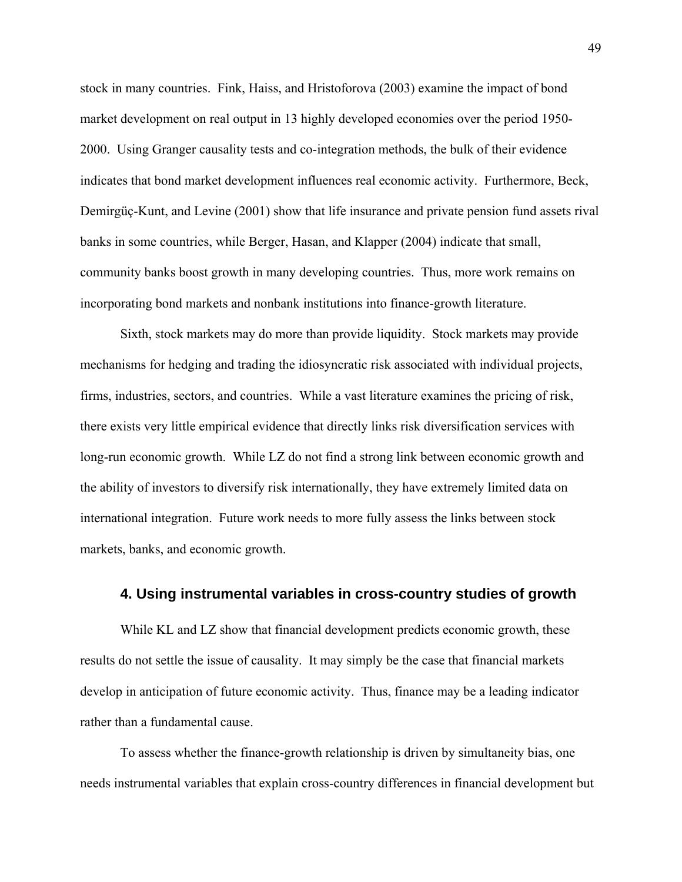stock in many countries. Fink, Haiss, and Hristoforova (2003) examine the impact of bond market development on real output in 13 highly developed economies over the period 1950- 2000. Using Granger causality tests and co-integration methods, the bulk of their evidence indicates that bond market development influences real economic activity. Furthermore, Beck, Demirgüç-Kunt, and Levine (2001) show that life insurance and private pension fund assets rival banks in some countries, while Berger, Hasan, and Klapper (2004) indicate that small, community banks boost growth in many developing countries. Thus, more work remains on incorporating bond markets and nonbank institutions into finance-growth literature.

Sixth, stock markets may do more than provide liquidity. Stock markets may provide mechanisms for hedging and trading the idiosyncratic risk associated with individual projects, firms, industries, sectors, and countries. While a vast literature examines the pricing of risk, there exists very little empirical evidence that directly links risk diversification services with long-run economic growth. While LZ do not find a strong link between economic growth and the ability of investors to diversify risk internationally, they have extremely limited data on international integration. Future work needs to more fully assess the links between stock markets, banks, and economic growth.

### **4. Using instrumental variables in cross-country studies of growth**

While KL and LZ show that financial development predicts economic growth, these results do not settle the issue of causality. It may simply be the case that financial markets develop in anticipation of future economic activity. Thus, finance may be a leading indicator rather than a fundamental cause.

 To assess whether the finance-growth relationship is driven by simultaneity bias, one needs instrumental variables that explain cross-country differences in financial development but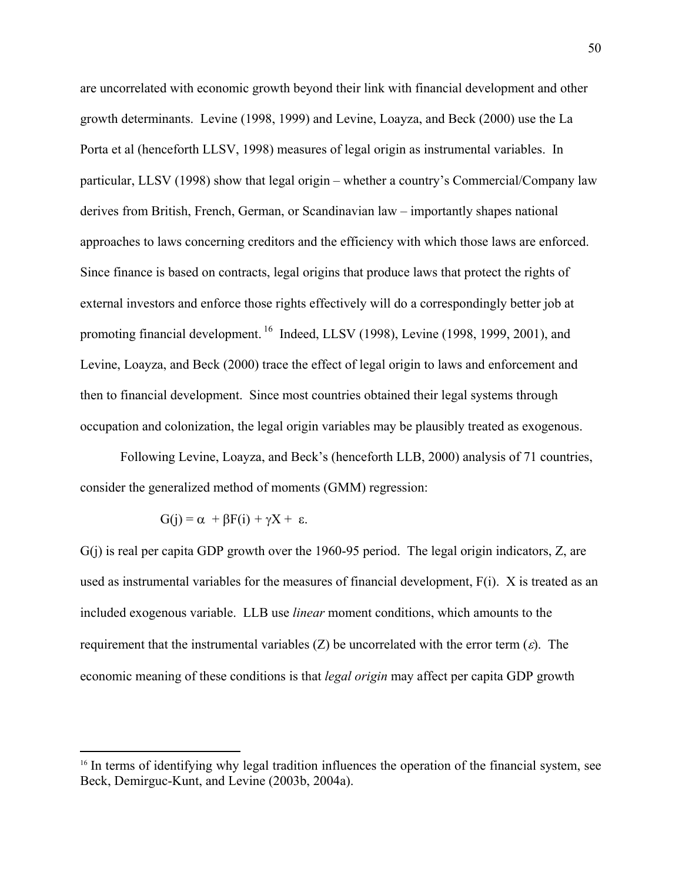are uncorrelated with economic growth beyond their link with financial development and other growth determinants. Levine (1998, 1999) and Levine, Loayza, and Beck (2000) use the La Porta et al (henceforth LLSV, 1998) measures of legal origin as instrumental variables. In particular, LLSV (1998) show that legal origin – whether a country's Commercial/Company law derives from British, French, German, or Scandinavian law – importantly shapes national approaches to laws concerning creditors and the efficiency with which those laws are enforced. Since finance is based on contracts, legal origins that produce laws that protect the rights of external investors and enforce those rights effectively will do a correspondingly better job at promoting financial development. 16 Indeed, LLSV (1998), Levine (1998, 1999, 2001), and Levine, Loayza, and Beck (2000) trace the effect of legal origin to laws and enforcement and then to financial development. Since most countries obtained their legal systems through occupation and colonization, the legal origin variables may be plausibly treated as exogenous.

 Following Levine, Loayza, and Beck's (henceforth LLB, 2000) analysis of 71 countries, consider the generalized method of moments (GMM) regression:

$$
G(j) = \alpha + \beta F(i) + \gamma X + \varepsilon.
$$

1

G(j) is real per capita GDP growth over the 1960-95 period. The legal origin indicators, Z, are used as instrumental variables for the measures of financial development, F(i). X is treated as an included exogenous variable. LLB use *linear* moment conditions, which amounts to the requirement that the instrumental variables (Z) be uncorrelated with the error term  $(\varepsilon)$ . The economic meaning of these conditions is that *legal origin* may affect per capita GDP growth

<sup>&</sup>lt;sup>16</sup> In terms of identifying why legal tradition influences the operation of the financial system, see Beck, Demirguc-Kunt, and Levine (2003b, 2004a).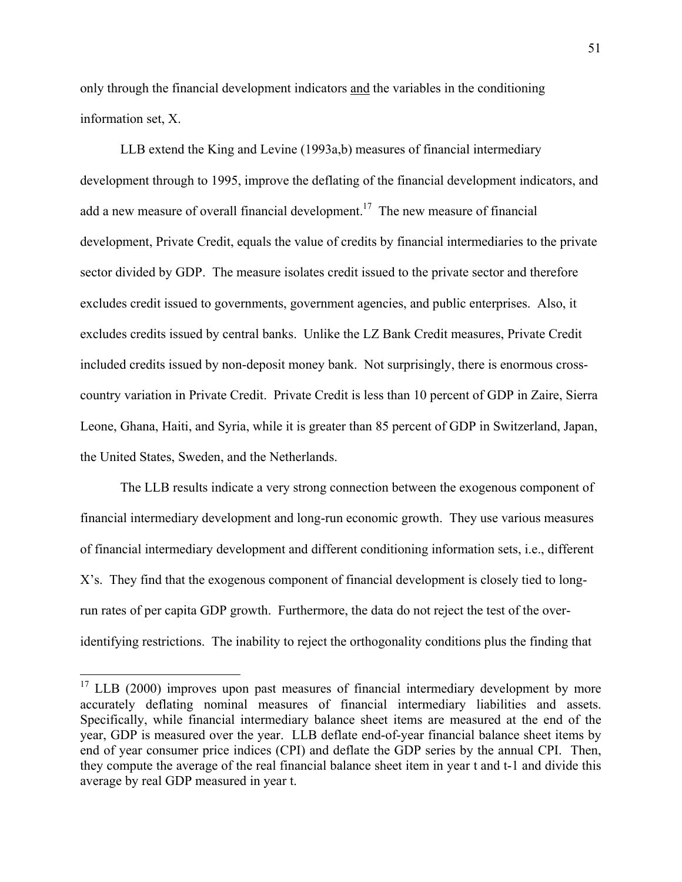only through the financial development indicators and the variables in the conditioning information set, X.

 LLB extend the King and Levine (1993a,b) measures of financial intermediary development through to 1995, improve the deflating of the financial development indicators, and add a new measure of overall financial development.<sup>17</sup> The new measure of financial development, Private Credit, equals the value of credits by financial intermediaries to the private sector divided by GDP. The measure isolates credit issued to the private sector and therefore excludes credit issued to governments, government agencies, and public enterprises. Also, it excludes credits issued by central banks. Unlike the LZ Bank Credit measures, Private Credit included credits issued by non-deposit money bank. Not surprisingly, there is enormous crosscountry variation in Private Credit. Private Credit is less than 10 percent of GDP in Zaire, Sierra Leone, Ghana, Haiti, and Syria, while it is greater than 85 percent of GDP in Switzerland, Japan, the United States, Sweden, and the Netherlands.

The LLB results indicate a very strong connection between the exogenous component of financial intermediary development and long-run economic growth. They use various measures of financial intermediary development and different conditioning information sets, i.e., different X's. They find that the exogenous component of financial development is closely tied to longrun rates of per capita GDP growth. Furthermore, the data do not reject the test of the overidentifying restrictions. The inability to reject the orthogonality conditions plus the finding that

1

 $17$  LLB (2000) improves upon past measures of financial intermediary development by more accurately deflating nominal measures of financial intermediary liabilities and assets. Specifically, while financial intermediary balance sheet items are measured at the end of the year, GDP is measured over the year. LLB deflate end-of-year financial balance sheet items by end of year consumer price indices (CPI) and deflate the GDP series by the annual CPI. Then, they compute the average of the real financial balance sheet item in year t and t-1 and divide this average by real GDP measured in year t.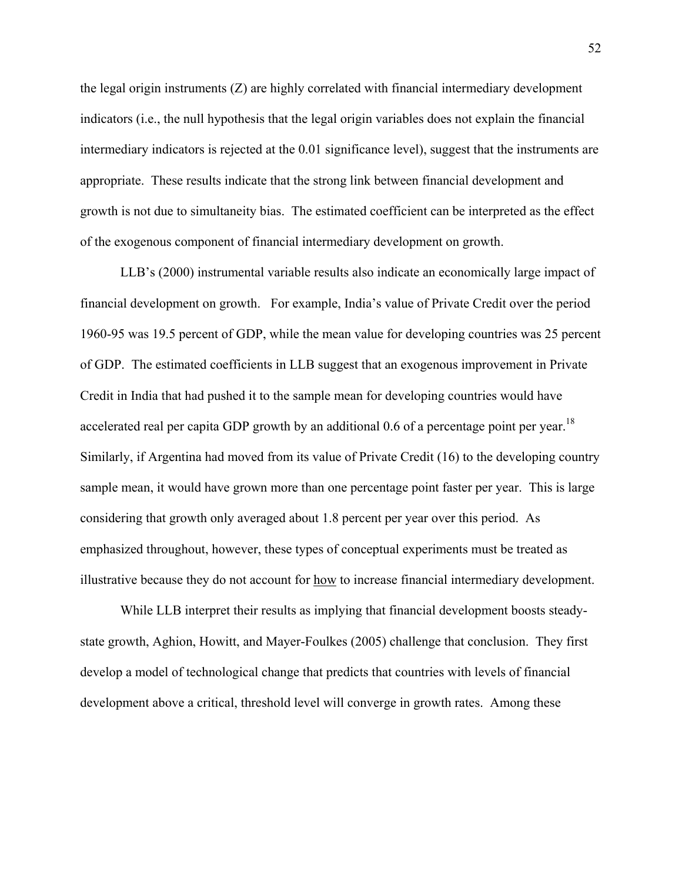the legal origin instruments  $(Z)$  are highly correlated with financial intermediary development indicators (i.e., the null hypothesis that the legal origin variables does not explain the financial intermediary indicators is rejected at the 0.01 significance level), suggest that the instruments are appropriate. These results indicate that the strong link between financial development and growth is not due to simultaneity bias. The estimated coefficient can be interpreted as the effect of the exogenous component of financial intermediary development on growth.

 LLB's (2000) instrumental variable results also indicate an economically large impact of financial development on growth. For example, India's value of Private Credit over the period 1960-95 was 19.5 percent of GDP, while the mean value for developing countries was 25 percent of GDP. The estimated coefficients in LLB suggest that an exogenous improvement in Private Credit in India that had pushed it to the sample mean for developing countries would have accelerated real per capita GDP growth by an additional 0.6 of a percentage point per year.<sup>18</sup> Similarly, if Argentina had moved from its value of Private Credit (16) to the developing country sample mean, it would have grown more than one percentage point faster per year. This is large considering that growth only averaged about 1.8 percent per year over this period. As emphasized throughout, however, these types of conceptual experiments must be treated as illustrative because they do not account for how to increase financial intermediary development.

 While LLB interpret their results as implying that financial development boosts steadystate growth, Aghion, Howitt, and Mayer-Foulkes (2005) challenge that conclusion. They first develop a model of technological change that predicts that countries with levels of financial development above a critical, threshold level will converge in growth rates. Among these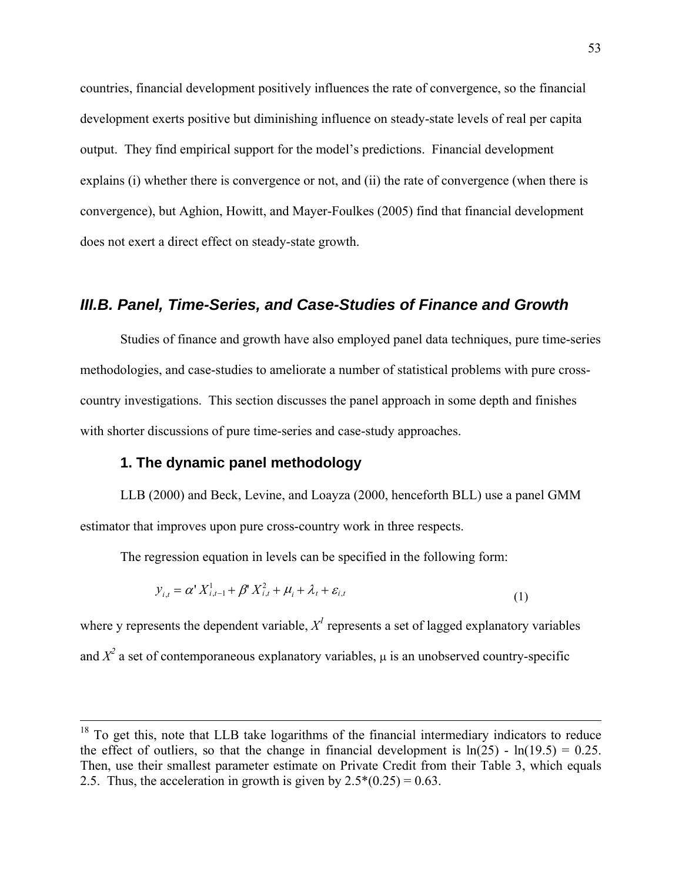countries, financial development positively influences the rate of convergence, so the financial development exerts positive but diminishing influence on steady-state levels of real per capita output. They find empirical support for the model's predictions. Financial development explains (i) whether there is convergence or not, and (ii) the rate of convergence (when there is convergence), but Aghion, Howitt, and Mayer-Foulkes (2005) find that financial development does not exert a direct effect on steady-state growth.

# *III.B. Panel, Time-Series, and Case-Studies of Finance and Growth*

 Studies of finance and growth have also employed panel data techniques, pure time-series methodologies, and case-studies to ameliorate a number of statistical problems with pure crosscountry investigations. This section discusses the panel approach in some depth and finishes with shorter discussions of pure time-series and case-study approaches.

### **1. The dynamic panel methodology**

LLB (2000) and Beck, Levine, and Loayza (2000, henceforth BLL) use a panel GMM estimator that improves upon pure cross-country work in three respects.

The regression equation in levels can be specified in the following form:

$$
\mathcal{Y}_{i,t} = \alpha^{\dagger} X_{i,t-1}^1 + \beta^{\dagger} X_{i,t}^2 + \mu_i + \lambda_t + \varepsilon_{i,t}
$$
\n<sup>(1)</sup>

where y represents the dependent variable,  $X<sup>I</sup>$  represents a set of lagged explanatory variables and  $X^2$  a set of contemporaneous explanatory variables,  $\mu$  is an unobserved country-specific

 $18$  To get this, note that LLB take logarithms of the financial intermediary indicators to reduce the effect of outliers, so that the change in financial development is  $ln(25) - ln(19.5) = 0.25$ . Then, use their smallest parameter estimate on Private Credit from their Table 3, which equals 2.5. Thus, the acceleration in growth is given by  $2.5*(0.25) = 0.63$ .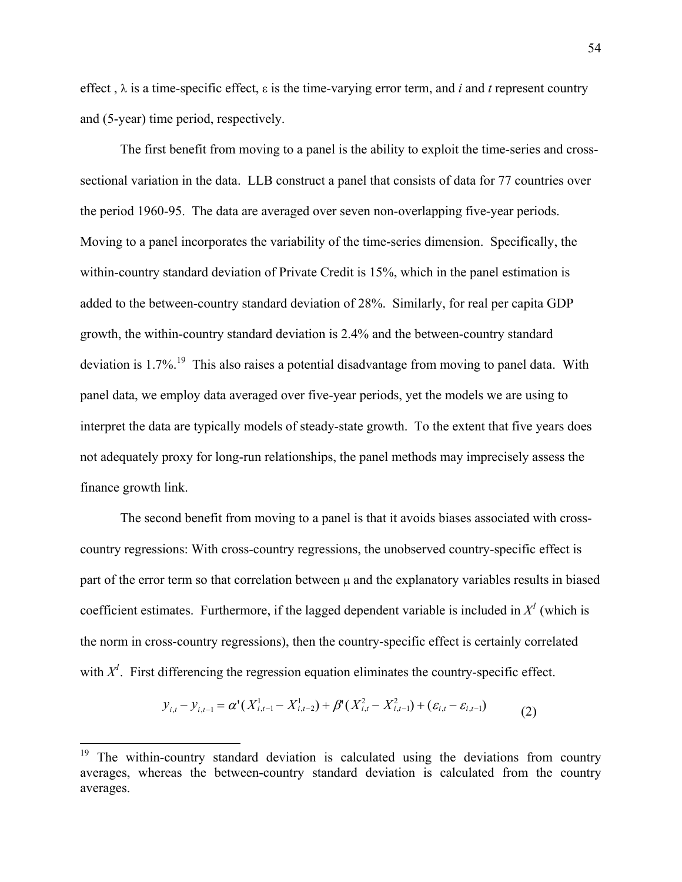effect , λ is a time-specific effect, ε is the time-varying error term, and *i* and *t* represent country and (5-year) time period, respectively.

 The first benefit from moving to a panel is the ability to exploit the time-series and crosssectional variation in the data. LLB construct a panel that consists of data for 77 countries over the period 1960-95. The data are averaged over seven non-overlapping five-year periods. Moving to a panel incorporates the variability of the time-series dimension. Specifically, the within-country standard deviation of Private Credit is 15%, which in the panel estimation is added to the between-country standard deviation of 28%. Similarly, for real per capita GDP growth, the within-country standard deviation is 2.4% and the between-country standard deviation is  $1.7\%$ <sup>19</sup>. This also raises a potential disadvantage from moving to panel data. With panel data, we employ data averaged over five-year periods, yet the models we are using to interpret the data are typically models of steady-state growth. To the extent that five years does not adequately proxy for long-run relationships, the panel methods may imprecisely assess the finance growth link.

The second benefit from moving to a panel is that it avoids biases associated with crosscountry regressions: With cross-country regressions, the unobserved country-specific effect is part of the error term so that correlation between  $\mu$  and the explanatory variables results in biased coefficient estimates. Furthermore, if the lagged dependent variable is included in  $X<sup>1</sup>$  (which is the norm in cross-country regressions), then the country-specific effect is certainly correlated with  $X<sup>I</sup>$ . First differencing the regression equation eliminates the country-specific effect.

$$
y_{i,t} - y_{i,t-1} = \alpha'(X_{i,t-1}^1 - X_{i,t-2}^1) + \beta'(X_{i,t}^2 - X_{i,t-1}^2) + (\varepsilon_{i,t} - \varepsilon_{i,t-1})
$$
(2)

 $\overline{a}$ 

<sup>&</sup>lt;sup>19</sup> The within-country standard deviation is calculated using the deviations from country averages, whereas the between-country standard deviation is calculated from the country averages.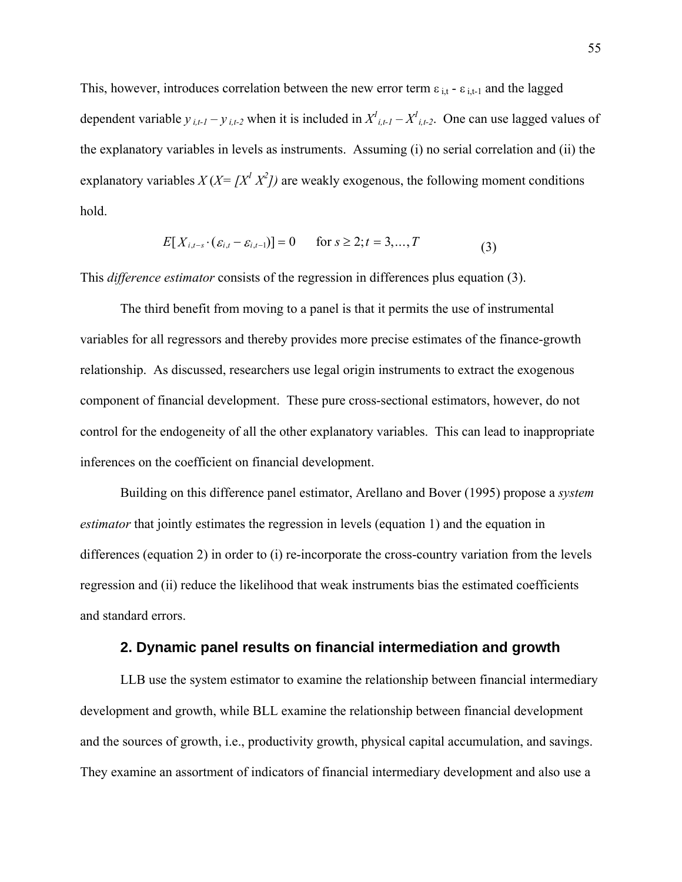This, however, introduces correlation between the new error term  $\varepsilon_{i,t}$  -  $\varepsilon_{i,t-1}$  and the lagged dependent variable  $y_{i,t-1} - y_{i,t-2}$  when it is included in  $X^l_{i,t-1} - X^l_{i,t-2}$ . One can use lagged values of the explanatory variables in levels as instruments. Assuming (i) no serial correlation and (ii) the explanatory variables  $X(X = \{X^T X^2\})$  are weakly exogenous, the following moment conditions hold.

$$
E[X_{i,t-s} \cdot (\varepsilon_{i,t} - \varepsilon_{i,t-1})] = 0 \quad \text{for } s \ge 2; t = 3,...,T
$$
 (3)

This *difference estimator* consists of the regression in differences plus equation (3).

The third benefit from moving to a panel is that it permits the use of instrumental variables for all regressors and thereby provides more precise estimates of the finance-growth relationship. As discussed, researchers use legal origin instruments to extract the exogenous component of financial development. These pure cross-sectional estimators, however, do not control for the endogeneity of all the other explanatory variables. This can lead to inappropriate inferences on the coefficient on financial development.

Building on this difference panel estimator, Arellano and Bover (1995) propose a *system estimator* that jointly estimates the regression in levels (equation 1) and the equation in differences (equation 2) in order to (i) re-incorporate the cross-country variation from the levels regression and (ii) reduce the likelihood that weak instruments bias the estimated coefficients and standard errors.

#### **2. Dynamic panel results on financial intermediation and growth**

 LLB use the system estimator to examine the relationship between financial intermediary development and growth, while BLL examine the relationship between financial development and the sources of growth, i.e., productivity growth, physical capital accumulation, and savings. They examine an assortment of indicators of financial intermediary development and also use a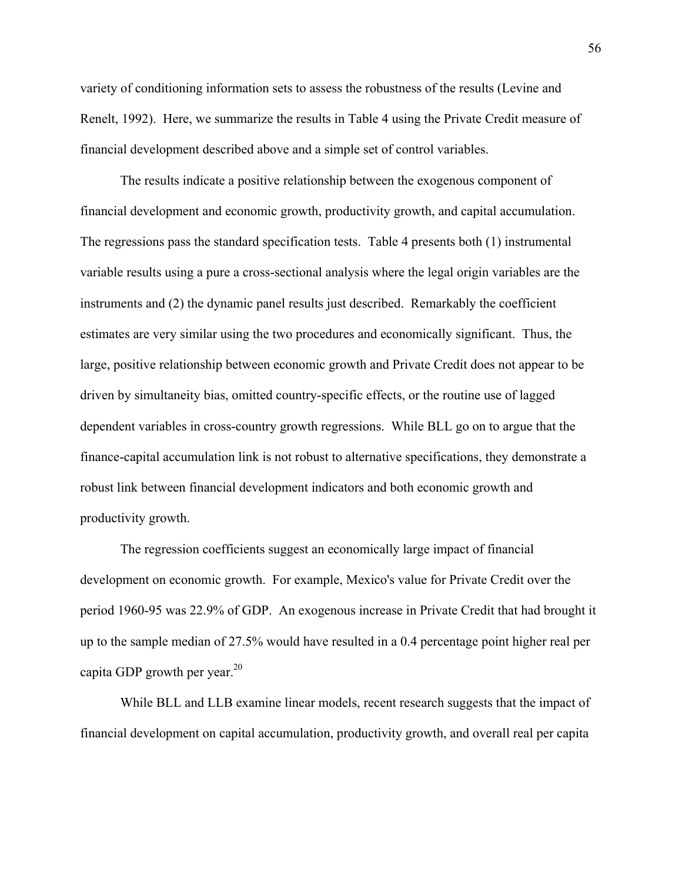variety of conditioning information sets to assess the robustness of the results (Levine and Renelt, 1992). Here, we summarize the results in Table 4 using the Private Credit measure of financial development described above and a simple set of control variables.

The results indicate a positive relationship between the exogenous component of financial development and economic growth, productivity growth, and capital accumulation. The regressions pass the standard specification tests. Table 4 presents both (1) instrumental variable results using a pure a cross-sectional analysis where the legal origin variables are the instruments and (2) the dynamic panel results just described. Remarkably the coefficient estimates are very similar using the two procedures and economically significant. Thus, the large, positive relationship between economic growth and Private Credit does not appear to be driven by simultaneity bias, omitted country-specific effects, or the routine use of lagged dependent variables in cross-country growth regressions. While BLL go on to argue that the finance-capital accumulation link is not robust to alternative specifications, they demonstrate a robust link between financial development indicators and both economic growth and productivity growth.

The regression coefficients suggest an economically large impact of financial development on economic growth. For example, Mexico's value for Private Credit over the period 1960-95 was 22.9% of GDP. An exogenous increase in Private Credit that had brought it up to the sample median of 27.5% would have resulted in a 0.4 percentage point higher real per capita GDP growth per year. $^{20}$ 

While BLL and LLB examine linear models, recent research suggests that the impact of financial development on capital accumulation, productivity growth, and overall real per capita

56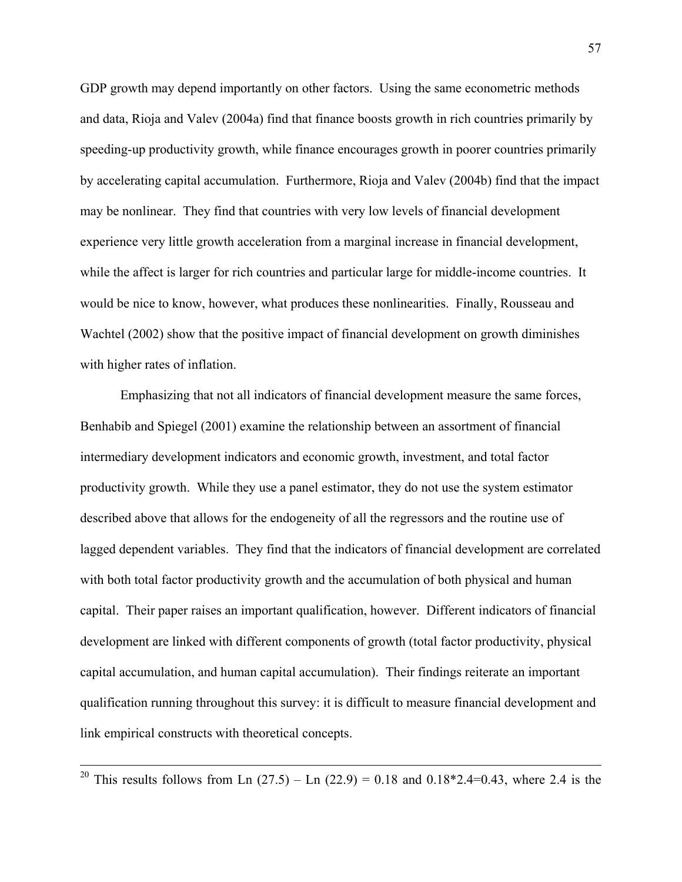GDP growth may depend importantly on other factors. Using the same econometric methods and data, Rioja and Valev (2004a) find that finance boosts growth in rich countries primarily by speeding-up productivity growth, while finance encourages growth in poorer countries primarily by accelerating capital accumulation. Furthermore, Rioja and Valev (2004b) find that the impact may be nonlinear. They find that countries with very low levels of financial development experience very little growth acceleration from a marginal increase in financial development, while the affect is larger for rich countries and particular large for middle-income countries. It would be nice to know, however, what produces these nonlinearities. Finally, Rousseau and Wachtel (2002) show that the positive impact of financial development on growth diminishes with higher rates of inflation.

Emphasizing that not all indicators of financial development measure the same forces, Benhabib and Spiegel (2001) examine the relationship between an assortment of financial intermediary development indicators and economic growth, investment, and total factor productivity growth. While they use a panel estimator, they do not use the system estimator described above that allows for the endogeneity of all the regressors and the routine use of lagged dependent variables. They find that the indicators of financial development are correlated with both total factor productivity growth and the accumulation of both physical and human capital. Their paper raises an important qualification, however. Different indicators of financial development are linked with different components of growth (total factor productivity, physical capital accumulation, and human capital accumulation). Their findings reiterate an important qualification running throughout this survey: it is difficult to measure financial development and link empirical constructs with theoretical concepts.

<sup>&</sup>lt;sup>20</sup> This results follows from Ln (27.5) – Ln (22.9) = 0.18 and 0.18\*2.4=0.43, where 2.4 is the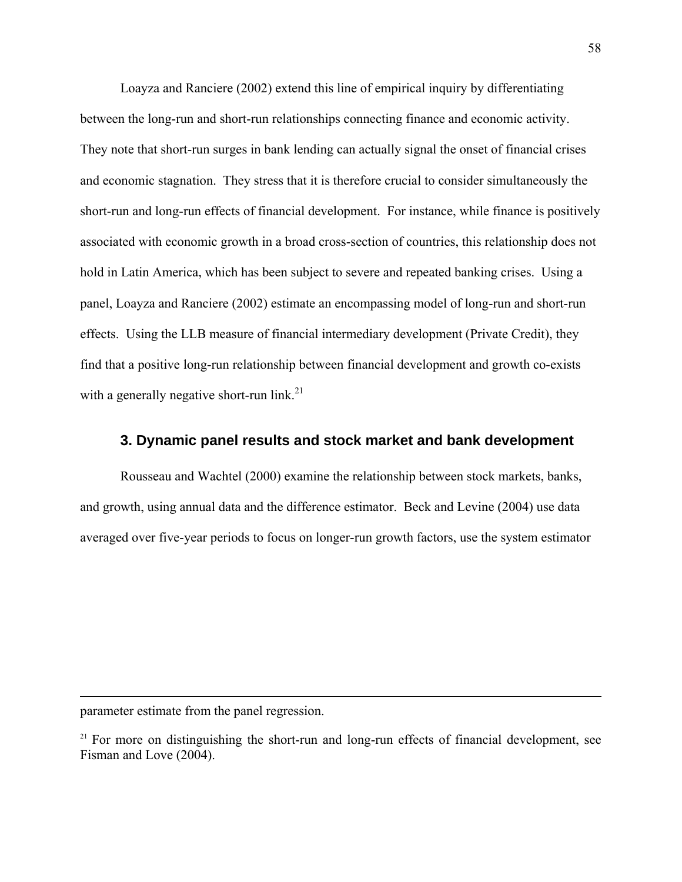Loayza and Ranciere (2002) extend this line of empirical inquiry by differentiating between the long-run and short-run relationships connecting finance and economic activity. They note that short-run surges in bank lending can actually signal the onset of financial crises and economic stagnation. They stress that it is therefore crucial to consider simultaneously the short-run and long-run effects of financial development. For instance, while finance is positively associated with economic growth in a broad cross-section of countries, this relationship does not hold in Latin America, which has been subject to severe and repeated banking crises. Using a panel, Loayza and Ranciere (2002) estimate an encompassing model of long-run and short-run effects. Using the LLB measure of financial intermediary development (Private Credit), they find that a positive long-run relationship between financial development and growth co-exists with a generally negative short-run link. $21$ 

### **3. Dynamic panel results and stock market and bank development**

 Rousseau and Wachtel (2000) examine the relationship between stock markets, banks, and growth, using annual data and the difference estimator. Beck and Levine (2004) use data averaged over five-year periods to focus on longer-run growth factors, use the system estimator

parameter estimate from the panel regression.

 $\overline{a}$ 

<sup>&</sup>lt;sup>21</sup> For more on distinguishing the short-run and long-run effects of financial development, see Fisman and Love (2004).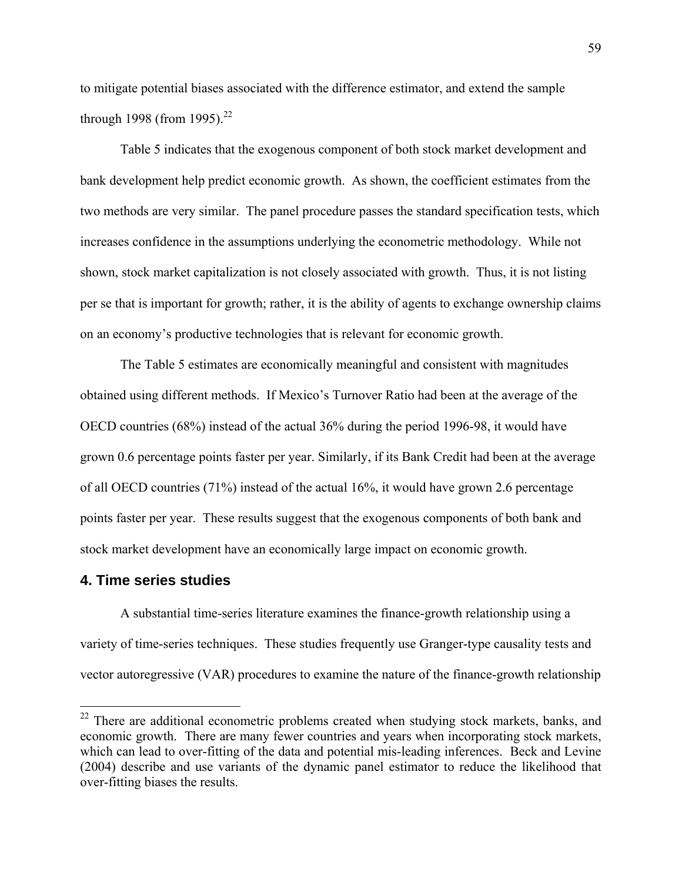to mitigate potential biases associated with the difference estimator, and extend the sample through 1998 (from 1995).<sup>22</sup>

Table 5 indicates that the exogenous component of both stock market development and bank development help predict economic growth. As shown, the coefficient estimates from the two methods are very similar. The panel procedure passes the standard specification tests, which increases confidence in the assumptions underlying the econometric methodology. While not shown, stock market capitalization is not closely associated with growth. Thus, it is not listing per se that is important for growth; rather, it is the ability of agents to exchange ownership claims on an economy's productive technologies that is relevant for economic growth.

The Table 5 estimates are economically meaningful and consistent with magnitudes obtained using different methods. If Mexico's Turnover Ratio had been at the average of the OECD countries (68%) instead of the actual 36% during the period 1996-98, it would have grown 0.6 percentage points faster per year. Similarly, if its Bank Credit had been at the average of all OECD countries (71%) instead of the actual 16%, it would have grown 2.6 percentage points faster per year. These results suggest that the exogenous components of both bank and stock market development have an economically large impact on economic growth.

#### **4. Time series studies**

 $\overline{a}$ 

A substantial time-series literature examines the finance-growth relationship using a variety of time-series techniques. These studies frequently use Granger-type causality tests and vector autoregressive (VAR) procedures to examine the nature of the finance-growth relationship

 $22$  There are additional econometric problems created when studying stock markets, banks, and economic growth. There are many fewer countries and years when incorporating stock markets, which can lead to over-fitting of the data and potential mis-leading inferences. Beck and Levine (2004) describe and use variants of the dynamic panel estimator to reduce the likelihood that over-fitting biases the results.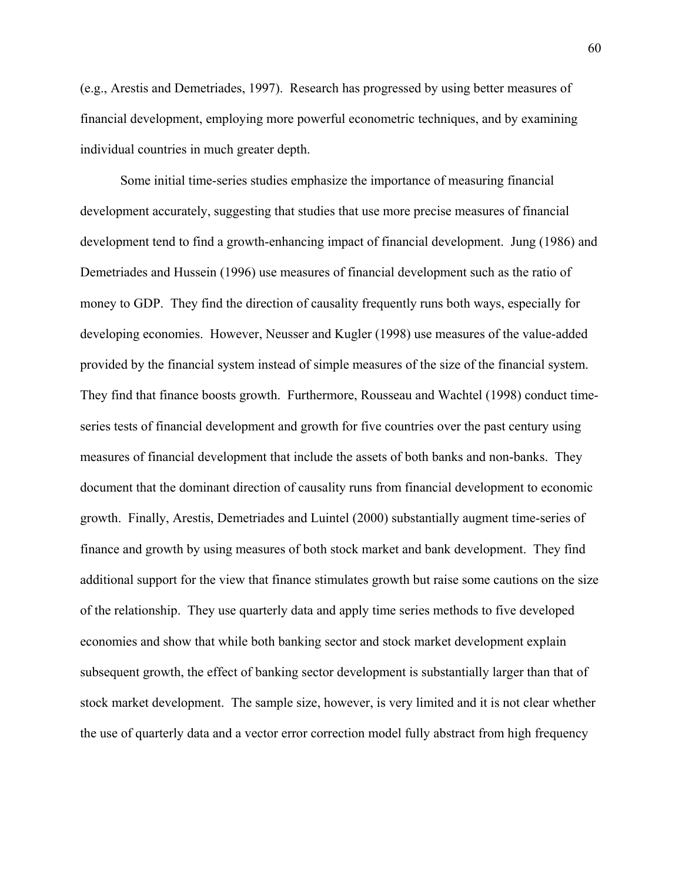(e.g., Arestis and Demetriades, 1997). Research has progressed by using better measures of financial development, employing more powerful econometric techniques, and by examining individual countries in much greater depth.

Some initial time-series studies emphasize the importance of measuring financial development accurately, suggesting that studies that use more precise measures of financial development tend to find a growth-enhancing impact of financial development. Jung (1986) and Demetriades and Hussein (1996) use measures of financial development such as the ratio of money to GDP. They find the direction of causality frequently runs both ways, especially for developing economies. However, Neusser and Kugler (1998) use measures of the value-added provided by the financial system instead of simple measures of the size of the financial system. They find that finance boosts growth. Furthermore, Rousseau and Wachtel (1998) conduct timeseries tests of financial development and growth for five countries over the past century using measures of financial development that include the assets of both banks and non-banks. They document that the dominant direction of causality runs from financial development to economic growth. Finally, Arestis, Demetriades and Luintel (2000) substantially augment time-series of finance and growth by using measures of both stock market and bank development. They find additional support for the view that finance stimulates growth but raise some cautions on the size of the relationship. They use quarterly data and apply time series methods to five developed economies and show that while both banking sector and stock market development explain subsequent growth, the effect of banking sector development is substantially larger than that of stock market development. The sample size, however, is very limited and it is not clear whether the use of quarterly data and a vector error correction model fully abstract from high frequency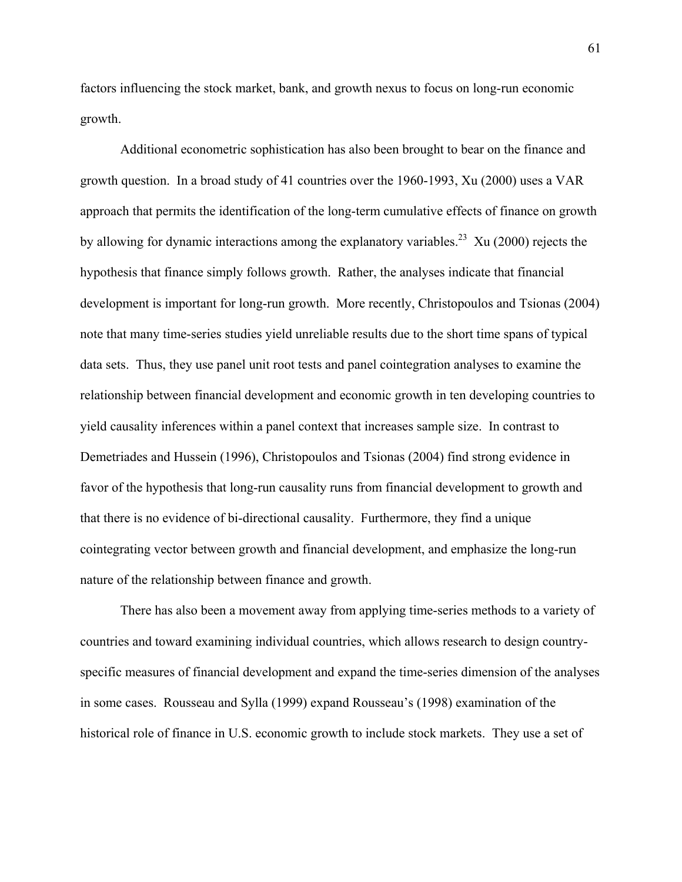factors influencing the stock market, bank, and growth nexus to focus on long-run economic growth.

Additional econometric sophistication has also been brought to bear on the finance and growth question. In a broad study of 41 countries over the 1960-1993, Xu (2000) uses a VAR approach that permits the identification of the long-term cumulative effects of finance on growth by allowing for dynamic interactions among the explanatory variables.<sup>23</sup> Xu (2000) rejects the hypothesis that finance simply follows growth. Rather, the analyses indicate that financial development is important for long-run growth. More recently, Christopoulos and Tsionas (2004) note that many time-series studies yield unreliable results due to the short time spans of typical data sets. Thus, they use panel unit root tests and panel cointegration analyses to examine the relationship between financial development and economic growth in ten developing countries to yield causality inferences within a panel context that increases sample size. In contrast to Demetriades and Hussein (1996), Christopoulos and Tsionas (2004) find strong evidence in favor of the hypothesis that long-run causality runs from financial development to growth and that there is no evidence of bi-directional causality. Furthermore, they find a unique cointegrating vector between growth and financial development, and emphasize the long-run nature of the relationship between finance and growth.

There has also been a movement away from applying time-series methods to a variety of countries and toward examining individual countries, which allows research to design countryspecific measures of financial development and expand the time-series dimension of the analyses in some cases. Rousseau and Sylla (1999) expand Rousseau's (1998) examination of the historical role of finance in U.S. economic growth to include stock markets. They use a set of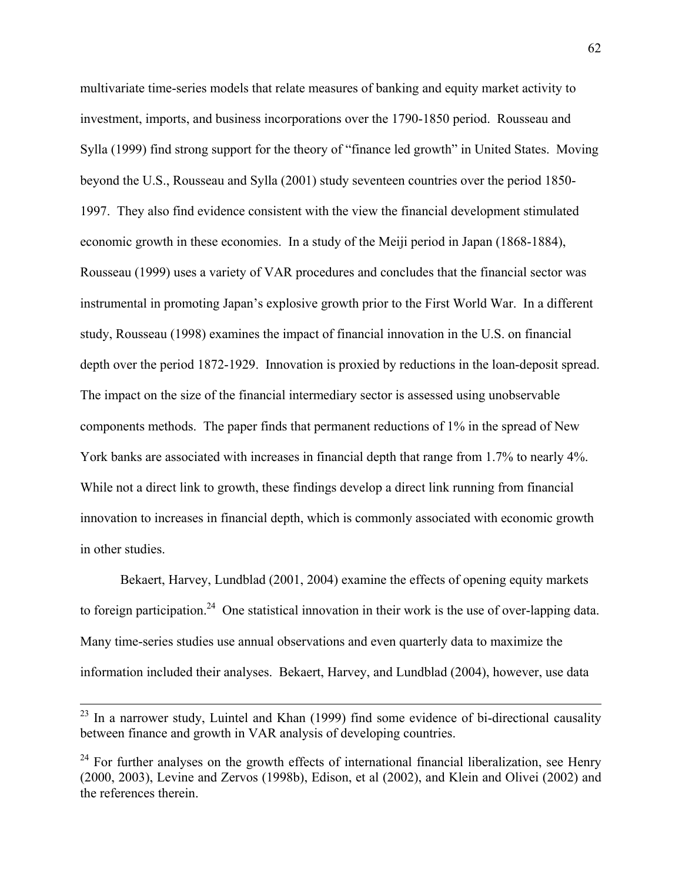multivariate time-series models that relate measures of banking and equity market activity to investment, imports, and business incorporations over the 1790-1850 period. Rousseau and Sylla (1999) find strong support for the theory of "finance led growth" in United States. Moving beyond the U.S., Rousseau and Sylla (2001) study seventeen countries over the period 1850- 1997. They also find evidence consistent with the view the financial development stimulated economic growth in these economies. In a study of the Meiji period in Japan (1868-1884), Rousseau (1999) uses a variety of VAR procedures and concludes that the financial sector was instrumental in promoting Japan's explosive growth prior to the First World War. In a different study, Rousseau (1998) examines the impact of financial innovation in the U.S. on financial depth over the period 1872-1929. Innovation is proxied by reductions in the loan-deposit spread. The impact on the size of the financial intermediary sector is assessed using unobservable components methods. The paper finds that permanent reductions of 1% in the spread of New York banks are associated with increases in financial depth that range from 1.7% to nearly 4%. While not a direct link to growth, these findings develop a direct link running from financial innovation to increases in financial depth, which is commonly associated with economic growth in other studies.

Bekaert, Harvey, Lundblad (2001, 2004) examine the effects of opening equity markets to foreign participation.24 One statistical innovation in their work is the use of over-lapping data. Many time-series studies use annual observations and even quarterly data to maximize the information included their analyses. Bekaert, Harvey, and Lundblad (2004), however, use data

 $23$  In a narrower study, Luintel and Khan (1999) find some evidence of bi-directional causality between finance and growth in VAR analysis of developing countries.

 $24$  For further analyses on the growth effects of international financial liberalization, see Henry (2000, 2003), Levine and Zervos (1998b), Edison, et al (2002), and Klein and Olivei (2002) and the references therein.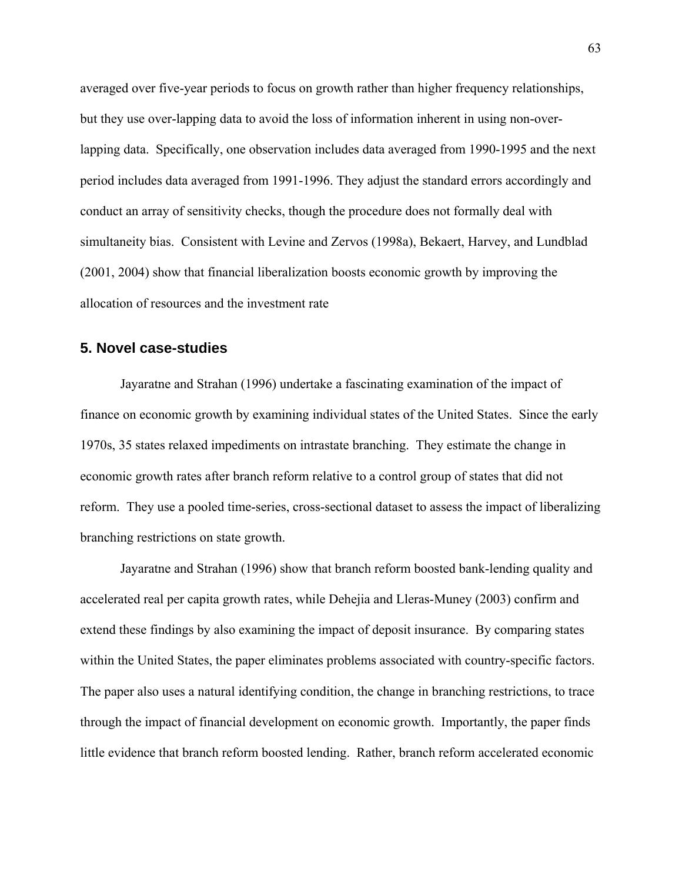averaged over five-year periods to focus on growth rather than higher frequency relationships, but they use over-lapping data to avoid the loss of information inherent in using non-overlapping data. Specifically, one observation includes data averaged from 1990-1995 and the next period includes data averaged from 1991-1996. They adjust the standard errors accordingly and conduct an array of sensitivity checks, though the procedure does not formally deal with simultaneity bias. Consistent with Levine and Zervos (1998a), Bekaert, Harvey, and Lundblad (2001, 2004) show that financial liberalization boosts economic growth by improving the allocation of resources and the investment rate

#### **5. Novel case-studies**

 Jayaratne and Strahan (1996) undertake a fascinating examination of the impact of finance on economic growth by examining individual states of the United States. Since the early 1970s, 35 states relaxed impediments on intrastate branching. They estimate the change in economic growth rates after branch reform relative to a control group of states that did not reform. They use a pooled time-series, cross-sectional dataset to assess the impact of liberalizing branching restrictions on state growth.

Jayaratne and Strahan (1996) show that branch reform boosted bank-lending quality and accelerated real per capita growth rates, while Dehejia and Lleras-Muney (2003) confirm and extend these findings by also examining the impact of deposit insurance. By comparing states within the United States, the paper eliminates problems associated with country-specific factors. The paper also uses a natural identifying condition, the change in branching restrictions, to trace through the impact of financial development on economic growth. Importantly, the paper finds little evidence that branch reform boosted lending. Rather, branch reform accelerated economic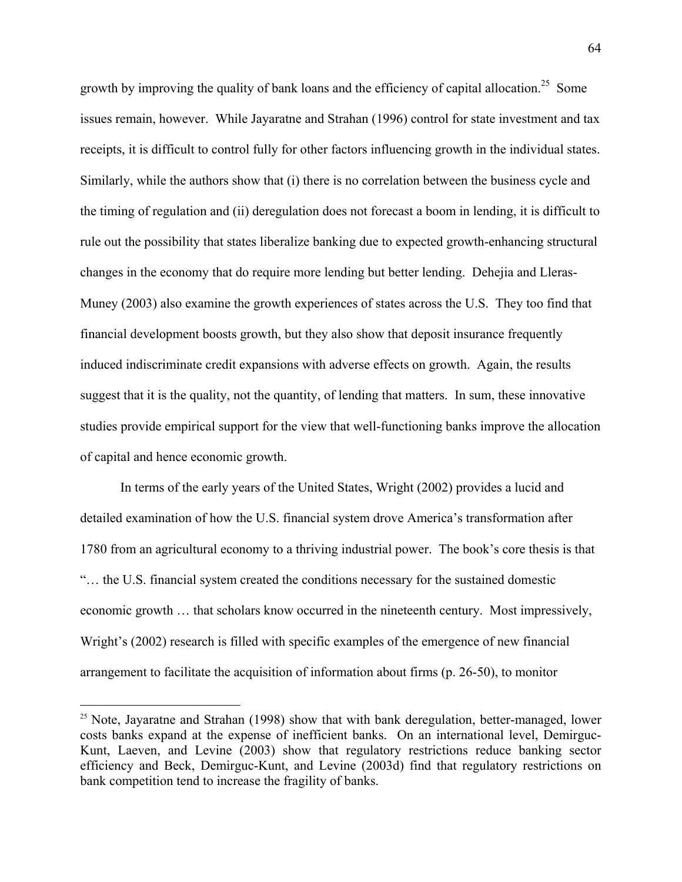growth by improving the quality of bank loans and the efficiency of capital allocation.<sup>25</sup> Some issues remain, however. While Jayaratne and Strahan (1996) control for state investment and tax receipts, it is difficult to control fully for other factors influencing growth in the individual states. Similarly, while the authors show that (i) there is no correlation between the business cycle and the timing of regulation and (ii) deregulation does not forecast a boom in lending, it is difficult to rule out the possibility that states liberalize banking due to expected growth-enhancing structural changes in the economy that do require more lending but better lending. Dehejia and Lleras-Muney (2003) also examine the growth experiences of states across the U.S. They too find that financial development boosts growth, but they also show that deposit insurance frequently induced indiscriminate credit expansions with adverse effects on growth. Again, the results suggest that it is the quality, not the quantity, of lending that matters. In sum, these innovative studies provide empirical support for the view that well-functioning banks improve the allocation of capital and hence economic growth.

In terms of the early years of the United States, Wright (2002) provides a lucid and detailed examination of how the U.S. financial system drove America's transformation after 1780 from an agricultural economy to a thriving industrial power. The book's core thesis is that "… the U.S. financial system created the conditions necessary for the sustained domestic economic growth … that scholars know occurred in the nineteenth century. Most impressively, Wright's (2002) research is filled with specific examples of the emergence of new financial arrangement to facilitate the acquisition of information about firms (p. 26-50), to monitor

 $\overline{a}$ 

 $25$  Note, Jayaratne and Strahan (1998) show that with bank deregulation, better-managed, lower costs banks expand at the expense of inefficient banks. On an international level, Demirguc-Kunt, Laeven, and Levine (2003) show that regulatory restrictions reduce banking sector efficiency and Beck, Demirguc-Kunt, and Levine (2003d) find that regulatory restrictions on bank competition tend to increase the fragility of banks.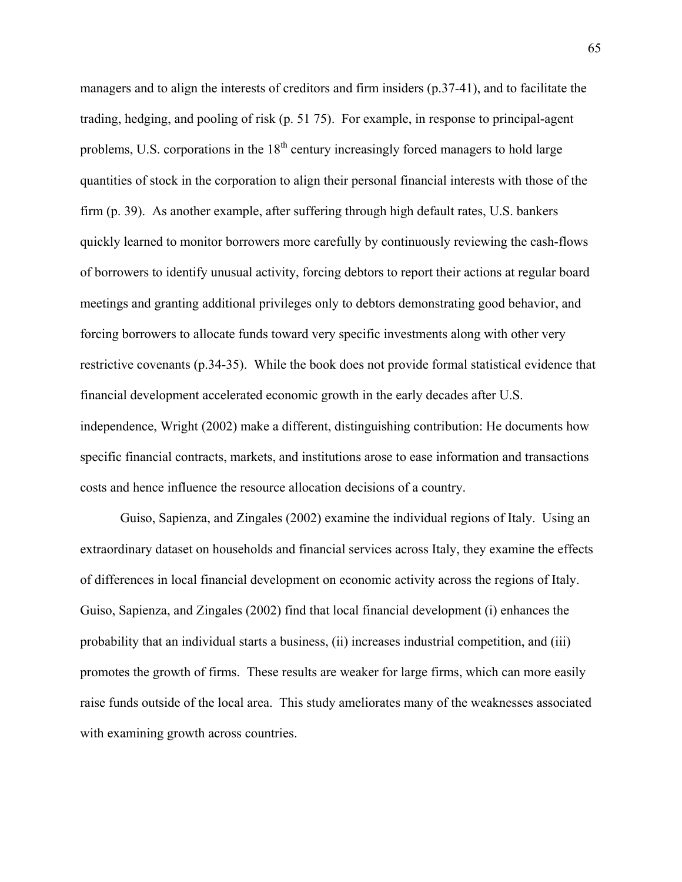managers and to align the interests of creditors and firm insiders (p.37-41), and to facilitate the trading, hedging, and pooling of risk (p. 51 75). For example, in response to principal-agent problems, U.S. corporations in the  $18<sup>th</sup>$  century increasingly forced managers to hold large quantities of stock in the corporation to align their personal financial interests with those of the firm (p. 39). As another example, after suffering through high default rates, U.S. bankers quickly learned to monitor borrowers more carefully by continuously reviewing the cash-flows of borrowers to identify unusual activity, forcing debtors to report their actions at regular board meetings and granting additional privileges only to debtors demonstrating good behavior, and forcing borrowers to allocate funds toward very specific investments along with other very restrictive covenants (p.34-35). While the book does not provide formal statistical evidence that financial development accelerated economic growth in the early decades after U.S. independence, Wright (2002) make a different, distinguishing contribution: He documents how specific financial contracts, markets, and institutions arose to ease information and transactions costs and hence influence the resource allocation decisions of a country.

Guiso, Sapienza, and Zingales (2002) examine the individual regions of Italy. Using an extraordinary dataset on households and financial services across Italy, they examine the effects of differences in local financial development on economic activity across the regions of Italy. Guiso, Sapienza, and Zingales (2002) find that local financial development (i) enhances the probability that an individual starts a business, (ii) increases industrial competition, and (iii) promotes the growth of firms. These results are weaker for large firms, which can more easily raise funds outside of the local area. This study ameliorates many of the weaknesses associated with examining growth across countries.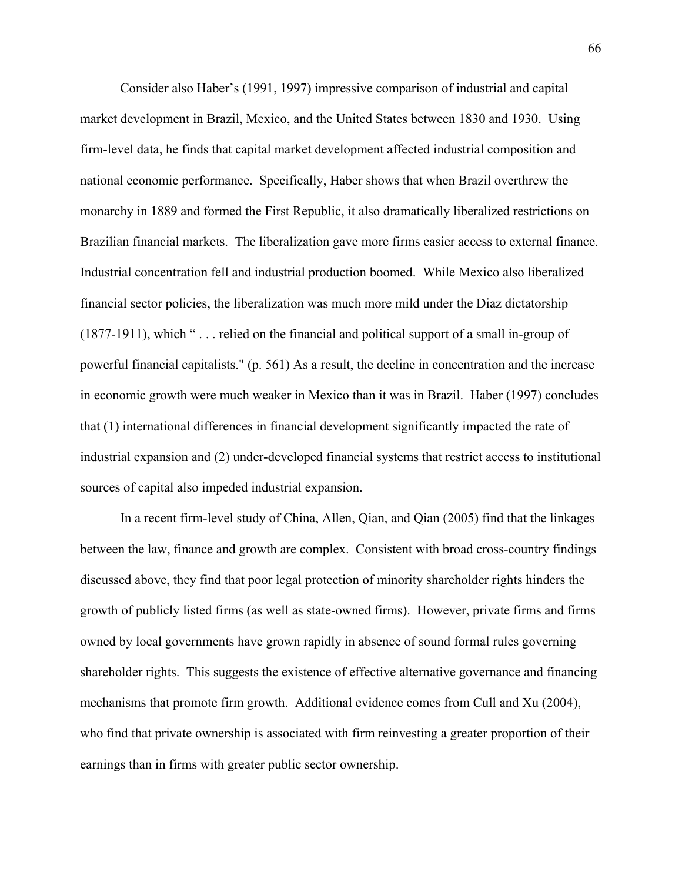Consider also Haber's (1991, 1997) impressive comparison of industrial and capital market development in Brazil, Mexico, and the United States between 1830 and 1930. Using firm-level data, he finds that capital market development affected industrial composition and national economic performance. Specifically, Haber shows that when Brazil overthrew the monarchy in 1889 and formed the First Republic, it also dramatically liberalized restrictions on Brazilian financial markets. The liberalization gave more firms easier access to external finance. Industrial concentration fell and industrial production boomed. While Mexico also liberalized financial sector policies, the liberalization was much more mild under the Diaz dictatorship (1877-1911), which " . . . relied on the financial and political support of a small in-group of powerful financial capitalists." (p. 561) As a result, the decline in concentration and the increase in economic growth were much weaker in Mexico than it was in Brazil. Haber (1997) concludes that (1) international differences in financial development significantly impacted the rate of industrial expansion and (2) under-developed financial systems that restrict access to institutional sources of capital also impeded industrial expansion.

 In a recent firm-level study of China, Allen, Qian, and Qian (2005) find that the linkages between the law, finance and growth are complex. Consistent with broad cross-country findings discussed above, they find that poor legal protection of minority shareholder rights hinders the growth of publicly listed firms (as well as state-owned firms). However, private firms and firms owned by local governments have grown rapidly in absence of sound formal rules governing shareholder rights. This suggests the existence of effective alternative governance and financing mechanisms that promote firm growth. Additional evidence comes from Cull and Xu (2004), who find that private ownership is associated with firm reinvesting a greater proportion of their earnings than in firms with greater public sector ownership.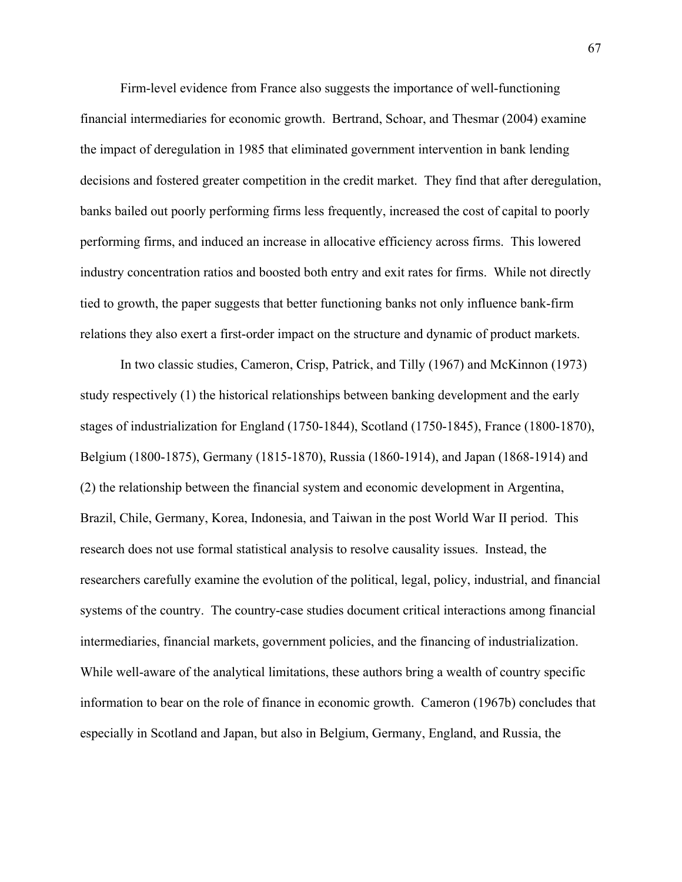Firm-level evidence from France also suggests the importance of well-functioning financial intermediaries for economic growth. Bertrand, Schoar, and Thesmar (2004) examine the impact of deregulation in 1985 that eliminated government intervention in bank lending decisions and fostered greater competition in the credit market. They find that after deregulation, banks bailed out poorly performing firms less frequently, increased the cost of capital to poorly performing firms, and induced an increase in allocative efficiency across firms. This lowered industry concentration ratios and boosted both entry and exit rates for firms. While not directly tied to growth, the paper suggests that better functioning banks not only influence bank-firm relations they also exert a first-order impact on the structure and dynamic of product markets.

In two classic studies, Cameron, Crisp, Patrick, and Tilly (1967) and McKinnon (1973) study respectively (1) the historical relationships between banking development and the early stages of industrialization for England (1750-1844), Scotland (1750-1845), France (1800-1870), Belgium (1800-1875), Germany (1815-1870), Russia (1860-1914), and Japan (1868-1914) and (2) the relationship between the financial system and economic development in Argentina, Brazil, Chile, Germany, Korea, Indonesia, and Taiwan in the post World War II period. This research does not use formal statistical analysis to resolve causality issues. Instead, the researchers carefully examine the evolution of the political, legal, policy, industrial, and financial systems of the country. The country-case studies document critical interactions among financial intermediaries, financial markets, government policies, and the financing of industrialization. While well-aware of the analytical limitations, these authors bring a wealth of country specific information to bear on the role of finance in economic growth. Cameron (1967b) concludes that especially in Scotland and Japan, but also in Belgium, Germany, England, and Russia, the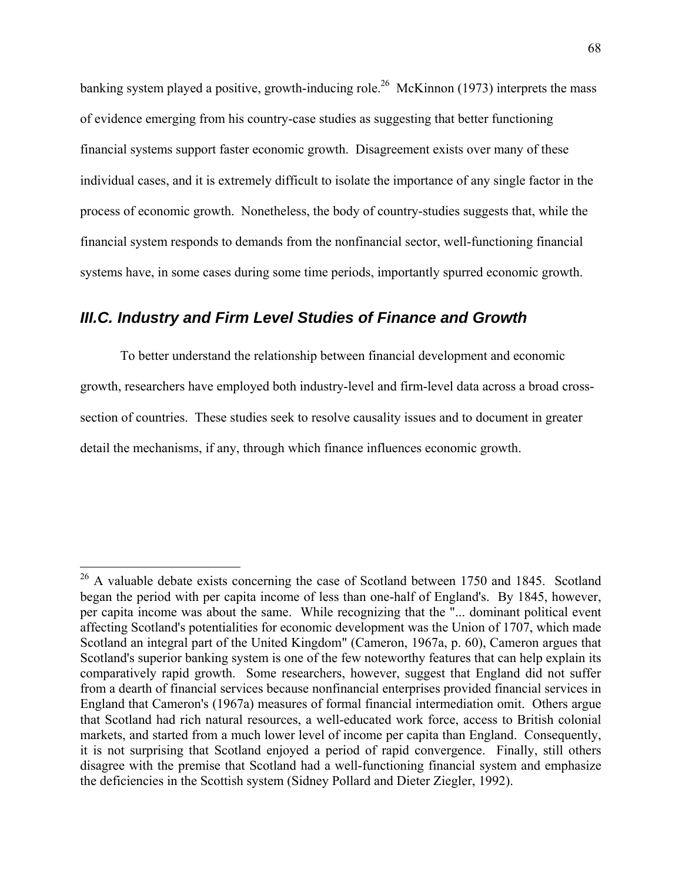banking system played a positive, growth-inducing role.<sup>26</sup> McKinnon (1973) interprets the mass of evidence emerging from his country-case studies as suggesting that better functioning financial systems support faster economic growth. Disagreement exists over many of these individual cases, and it is extremely difficult to isolate the importance of any single factor in the process of economic growth. Nonetheless, the body of country-studies suggests that, while the financial system responds to demands from the nonfinancial sector, well-functioning financial systems have, in some cases during some time periods, importantly spurred economic growth.

# *III.C. Industry and Firm Level Studies of Finance and Growth*

 $\overline{a}$ 

 To better understand the relationship between financial development and economic growth, researchers have employed both industry-level and firm-level data across a broad crosssection of countries. These studies seek to resolve causality issues and to document in greater detail the mechanisms, if any, through which finance influences economic growth.

 $26$  A valuable debate exists concerning the case of Scotland between 1750 and 1845. Scotland began the period with per capita income of less than one-half of England's. By 1845, however, per capita income was about the same. While recognizing that the "... dominant political event affecting Scotland's potentialities for economic development was the Union of 1707, which made Scotland an integral part of the United Kingdom" (Cameron, 1967a, p. 60), Cameron argues that Scotland's superior banking system is one of the few noteworthy features that can help explain its comparatively rapid growth. Some researchers, however, suggest that England did not suffer from a dearth of financial services because nonfinancial enterprises provided financial services in England that Cameron's (1967a) measures of formal financial intermediation omit. Others argue that Scotland had rich natural resources, a well-educated work force, access to British colonial markets, and started from a much lower level of income per capita than England. Consequently, it is not surprising that Scotland enjoyed a period of rapid convergence. Finally, still others disagree with the premise that Scotland had a well-functioning financial system and emphasize the deficiencies in the Scottish system (Sidney Pollard and Dieter Ziegler, 1992).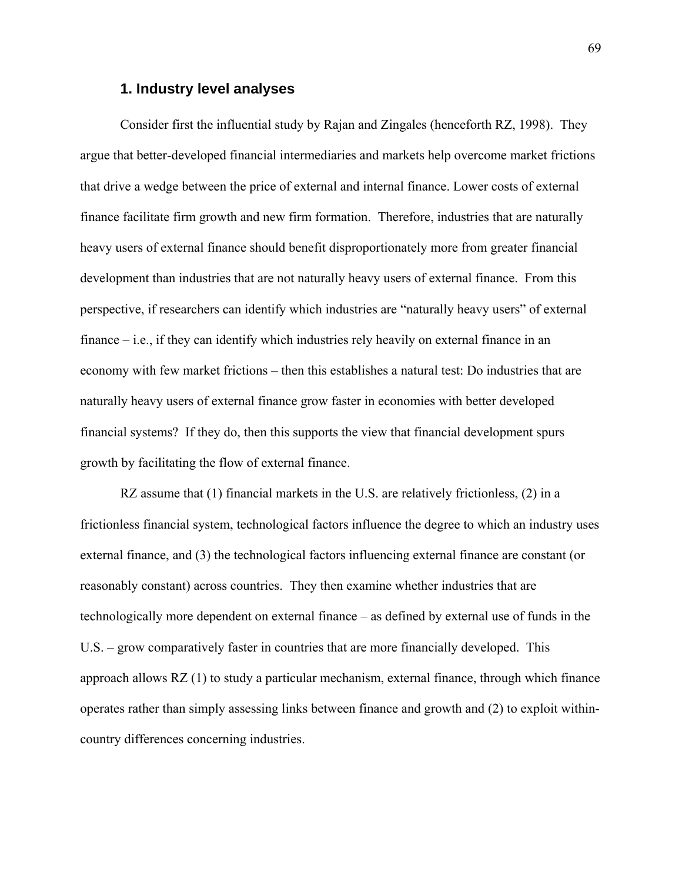#### **1. Industry level analyses**

Consider first the influential study by Rajan and Zingales (henceforth RZ, 1998). They argue that better-developed financial intermediaries and markets help overcome market frictions that drive a wedge between the price of external and internal finance. Lower costs of external finance facilitate firm growth and new firm formation. Therefore, industries that are naturally heavy users of external finance should benefit disproportionately more from greater financial development than industries that are not naturally heavy users of external finance. From this perspective, if researchers can identify which industries are "naturally heavy users" of external finance – i.e., if they can identify which industries rely heavily on external finance in an economy with few market frictions – then this establishes a natural test: Do industries that are naturally heavy users of external finance grow faster in economies with better developed financial systems? If they do, then this supports the view that financial development spurs growth by facilitating the flow of external finance.

RZ assume that (1) financial markets in the U.S. are relatively frictionless, (2) in a frictionless financial system, technological factors influence the degree to which an industry uses external finance, and (3) the technological factors influencing external finance are constant (or reasonably constant) across countries. They then examine whether industries that are technologically more dependent on external finance – as defined by external use of funds in the U.S. – grow comparatively faster in countries that are more financially developed. This approach allows RZ (1) to study a particular mechanism, external finance, through which finance operates rather than simply assessing links between finance and growth and (2) to exploit withincountry differences concerning industries.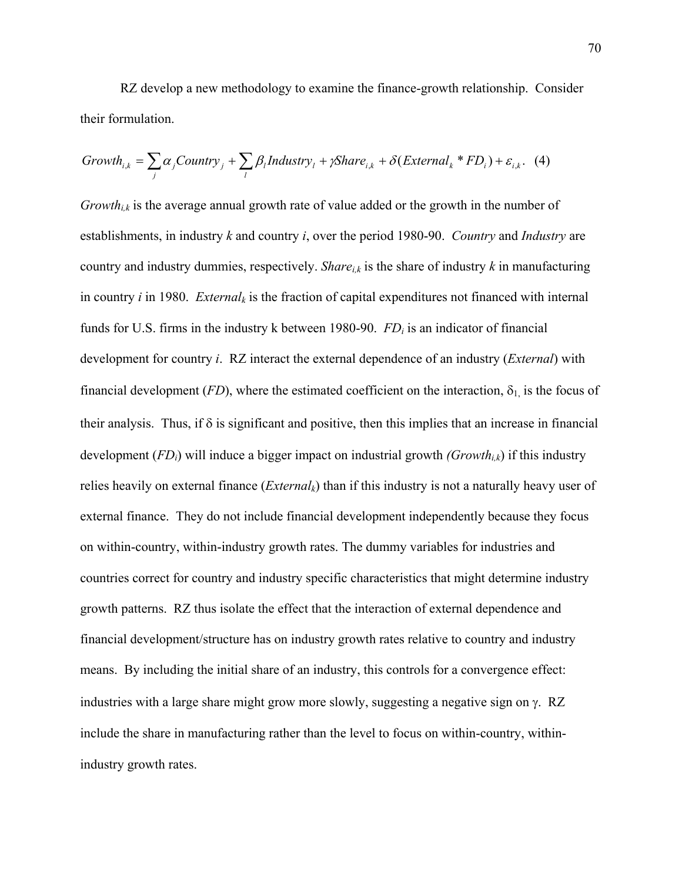RZ develop a new methodology to examine the finance-growth relationship. Consider their formulation.

$$
Growth_{i,k} = \sum_{j} \alpha_{j}Country_{j} + \sum_{l} \beta_{l} Industry_{l} + \gammaShare_{i,k} + \delta(External_{k} * FD_{i}) + \varepsilon_{i,k}.
$$
 (4)

*Growth<sub>ik</sub>* is the average annual growth rate of value added or the growth in the number of establishments, in industry *k* and country *i*, over the period 1980-90. *Country* and *Industry* are country and industry dummies, respectively. *Share*<sub>ik</sub> is the share of industry k in manufacturing in country  $i$  in 1980. *External<sub>k</sub>* is the fraction of capital expenditures not financed with internal funds for U.S. firms in the industry k between 1980-90.  $FD_i$  is an indicator of financial development for country *i*. RZ interact the external dependence of an industry (*External*) with financial development (*FD*), where the estimated coefficient on the interaction,  $\delta_1$  is the focus of their analysis. Thus, if  $\delta$  is significant and positive, then this implies that an increase in financial development  $(FD_i)$  will induce a bigger impact on industrial growth  $(Growth_{i,k})$  if this industry relies heavily on external finance (*Externalk*) than if this industry is not a naturally heavy user of external finance. They do not include financial development independently because they focus on within-country, within-industry growth rates. The dummy variables for industries and countries correct for country and industry specific characteristics that might determine industry growth patterns. RZ thus isolate the effect that the interaction of external dependence and financial development/structure has on industry growth rates relative to country and industry means. By including the initial share of an industry, this controls for a convergence effect: industries with a large share might grow more slowly, suggesting a negative sign on γ. RZ include the share in manufacturing rather than the level to focus on within-country, withinindustry growth rates.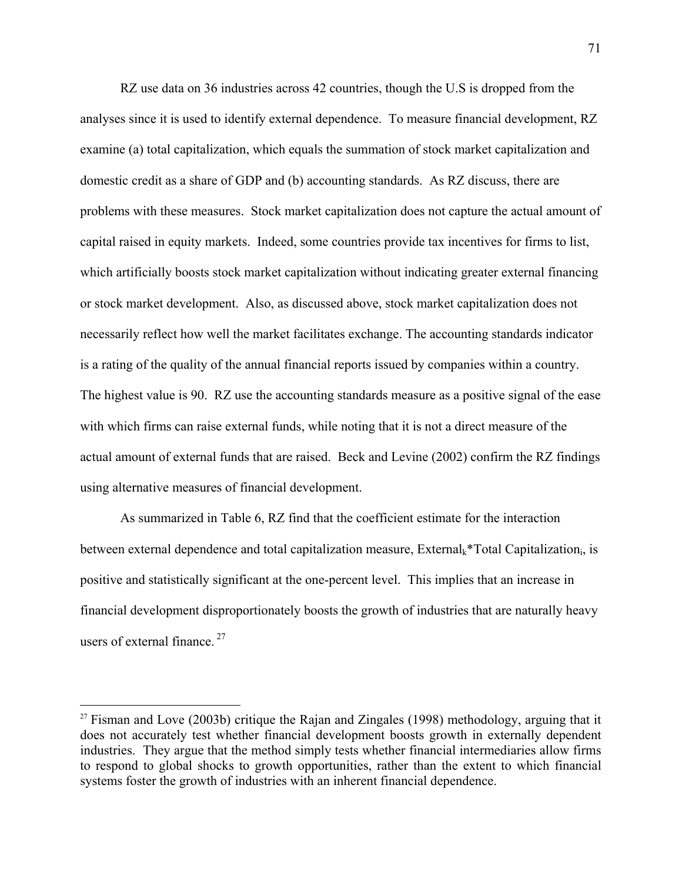RZ use data on 36 industries across 42 countries, though the U.S is dropped from the analyses since it is used to identify external dependence. To measure financial development, RZ examine (a) total capitalization, which equals the summation of stock market capitalization and domestic credit as a share of GDP and (b) accounting standards. As RZ discuss, there are problems with these measures. Stock market capitalization does not capture the actual amount of capital raised in equity markets. Indeed, some countries provide tax incentives for firms to list, which artificially boosts stock market capitalization without indicating greater external financing or stock market development. Also, as discussed above, stock market capitalization does not necessarily reflect how well the market facilitates exchange. The accounting standards indicator is a rating of the quality of the annual financial reports issued by companies within a country. The highest value is 90. RZ use the accounting standards measure as a positive signal of the ease with which firms can raise external funds, while noting that it is not a direct measure of the actual amount of external funds that are raised. Beck and Levine (2002) confirm the RZ findings using alternative measures of financial development.

 As summarized in Table 6, RZ find that the coefficient estimate for the interaction between external dependence and total capitalization measure, External<sub>k</sub>\*Total Capitalization<sub>i</sub>, is positive and statistically significant at the one-percent level. This implies that an increase in financial development disproportionately boosts the growth of industries that are naturally heavy users of external finance.  $27$ 

 $\overline{a}$ 

 $27$  Fisman and Love (2003b) critique the Rajan and Zingales (1998) methodology, arguing that it does not accurately test whether financial development boosts growth in externally dependent industries. They argue that the method simply tests whether financial intermediaries allow firms to respond to global shocks to growth opportunities, rather than the extent to which financial systems foster the growth of industries with an inherent financial dependence.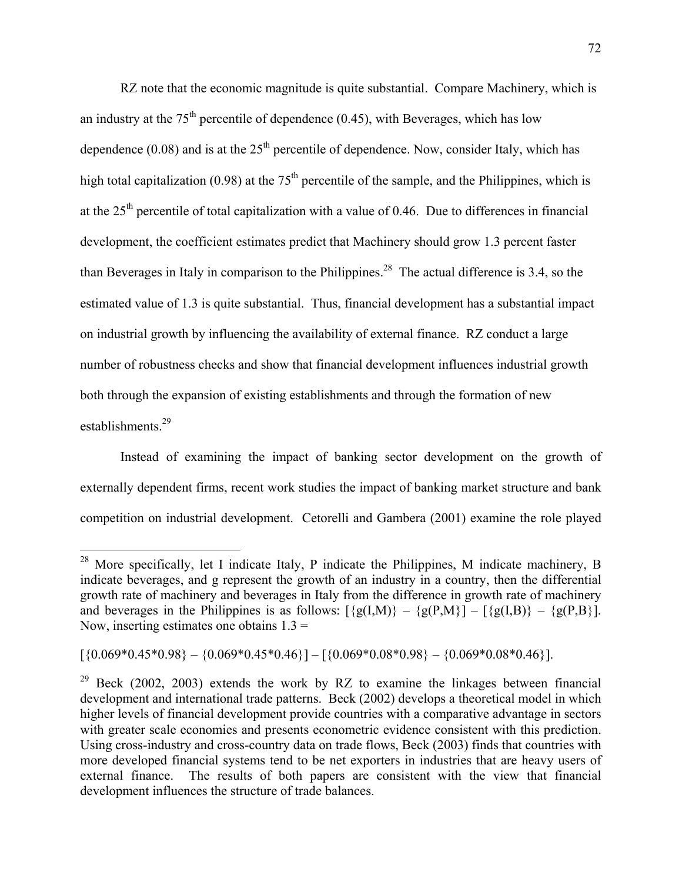RZ note that the economic magnitude is quite substantial. Compare Machinery, which is an industry at the  $75<sup>th</sup>$  percentile of dependence (0.45), with Beverages, which has low dependence (0.08) and is at the  $25<sup>th</sup>$  percentile of dependence. Now, consider Italy, which has high total capitalization (0.98) at the 75<sup>th</sup> percentile of the sample, and the Philippines, which is at the  $25<sup>th</sup>$  percentile of total capitalization with a value of 0.46. Due to differences in financial development, the coefficient estimates predict that Machinery should grow 1.3 percent faster than Beverages in Italy in comparison to the Philippines.<sup>28</sup> The actual difference is 3.4, so the estimated value of 1.3 is quite substantial. Thus, financial development has a substantial impact on industrial growth by influencing the availability of external finance. RZ conduct a large number of robustness checks and show that financial development influences industrial growth both through the expansion of existing establishments and through the formation of new establishments.<sup>29</sup>

Instead of examining the impact of banking sector development on the growth of externally dependent firms, recent work studies the impact of banking market structure and bank competition on industrial development. Cetorelli and Gambera (2001) examine the role played

<sup>&</sup>lt;sup>28</sup> More specifically, let I indicate Italy, P indicate the Philippines, M indicate machinery, B indicate beverages, and g represent the growth of an industry in a country, then the differential growth rate of machinery and beverages in Italy from the difference in growth rate of machinery and beverages in the Philippines is as follows:  $[\{g(I,M)\} - \{g(P,M)\} - [\{g(I,B)\} - \{g(P,B)\}].$ Now, inserting estimates one obtains  $1.3 =$ 

 $[{0.069*0.45*0.98} - {0.069*0.45*0.46}] - [{0.069*0.08*0.98} - {0.069*0.08*0.46}]$ .

 $^{29}$  Beck (2002, 2003) extends the work by RZ to examine the linkages between financial development and international trade patterns. Beck (2002) develops a theoretical model in which higher levels of financial development provide countries with a comparative advantage in sectors with greater scale economies and presents econometric evidence consistent with this prediction. Using cross-industry and cross-country data on trade flows, Beck (2003) finds that countries with more developed financial systems tend to be net exporters in industries that are heavy users of external finance. The results of both papers are consistent with the view that financial development influences the structure of trade balances.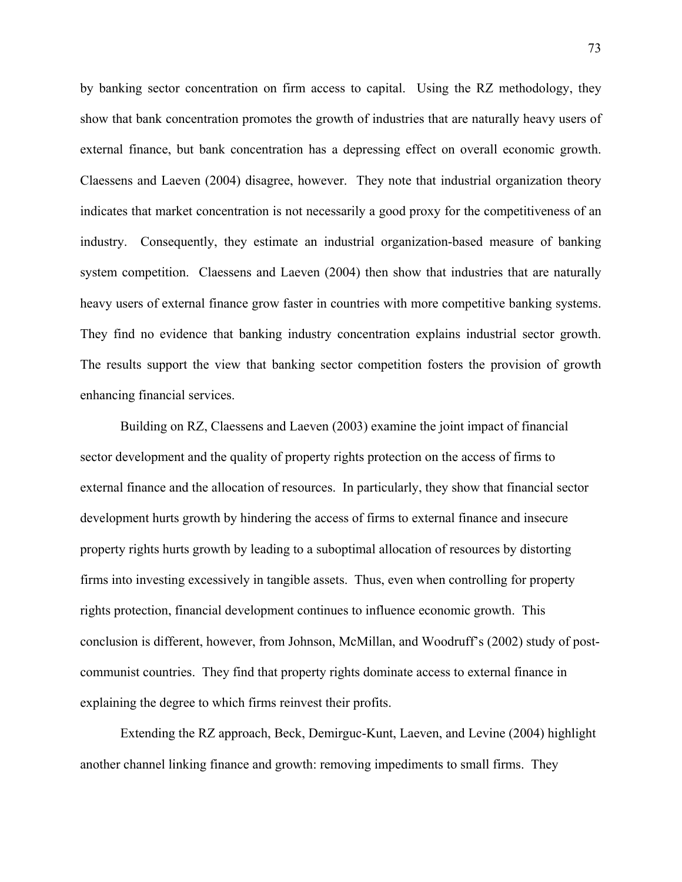by banking sector concentration on firm access to capital. Using the RZ methodology, they show that bank concentration promotes the growth of industries that are naturally heavy users of external finance, but bank concentration has a depressing effect on overall economic growth. Claessens and Laeven (2004) disagree, however. They note that industrial organization theory indicates that market concentration is not necessarily a good proxy for the competitiveness of an industry. Consequently, they estimate an industrial organization-based measure of banking system competition. Claessens and Laeven (2004) then show that industries that are naturally heavy users of external finance grow faster in countries with more competitive banking systems. They find no evidence that banking industry concentration explains industrial sector growth. The results support the view that banking sector competition fosters the provision of growth enhancing financial services.

Building on RZ, Claessens and Laeven (2003) examine the joint impact of financial sector development and the quality of property rights protection on the access of firms to external finance and the allocation of resources. In particularly, they show that financial sector development hurts growth by hindering the access of firms to external finance and insecure property rights hurts growth by leading to a suboptimal allocation of resources by distorting firms into investing excessively in tangible assets. Thus, even when controlling for property rights protection, financial development continues to influence economic growth. This conclusion is different, however, from Johnson, McMillan, and Woodruff's (2002) study of postcommunist countries. They find that property rights dominate access to external finance in explaining the degree to which firms reinvest their profits.

Extending the RZ approach, Beck, Demirguc-Kunt, Laeven, and Levine (2004) highlight another channel linking finance and growth: removing impediments to small firms. They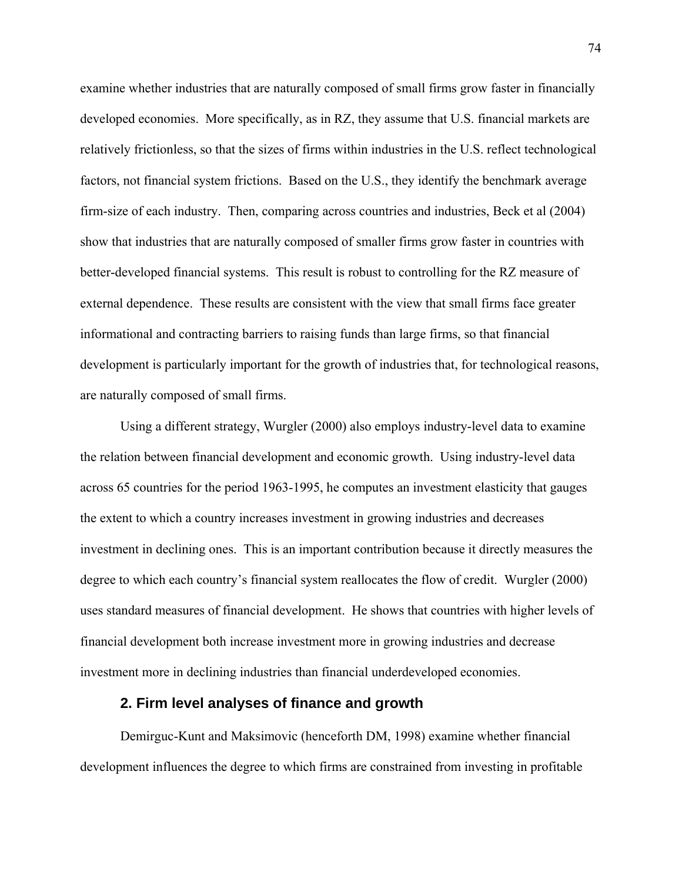examine whether industries that are naturally composed of small firms grow faster in financially developed economies. More specifically, as in RZ, they assume that U.S. financial markets are relatively frictionless, so that the sizes of firms within industries in the U.S. reflect technological factors, not financial system frictions. Based on the U.S., they identify the benchmark average firm-size of each industry. Then, comparing across countries and industries, Beck et al (2004) show that industries that are naturally composed of smaller firms grow faster in countries with better-developed financial systems. This result is robust to controlling for the RZ measure of external dependence. These results are consistent with the view that small firms face greater informational and contracting barriers to raising funds than large firms, so that financial development is particularly important for the growth of industries that, for technological reasons, are naturally composed of small firms.

Using a different strategy, Wurgler (2000) also employs industry-level data to examine the relation between financial development and economic growth. Using industry-level data across 65 countries for the period 1963-1995, he computes an investment elasticity that gauges the extent to which a country increases investment in growing industries and decreases investment in declining ones. This is an important contribution because it directly measures the degree to which each country's financial system reallocates the flow of credit. Wurgler (2000) uses standard measures of financial development. He shows that countries with higher levels of financial development both increase investment more in growing industries and decrease investment more in declining industries than financial underdeveloped economies.

#### **2. Firm level analyses of finance and growth**

Demirguc-Kunt and Maksimovic (henceforth DM, 1998) examine whether financial development influences the degree to which firms are constrained from investing in profitable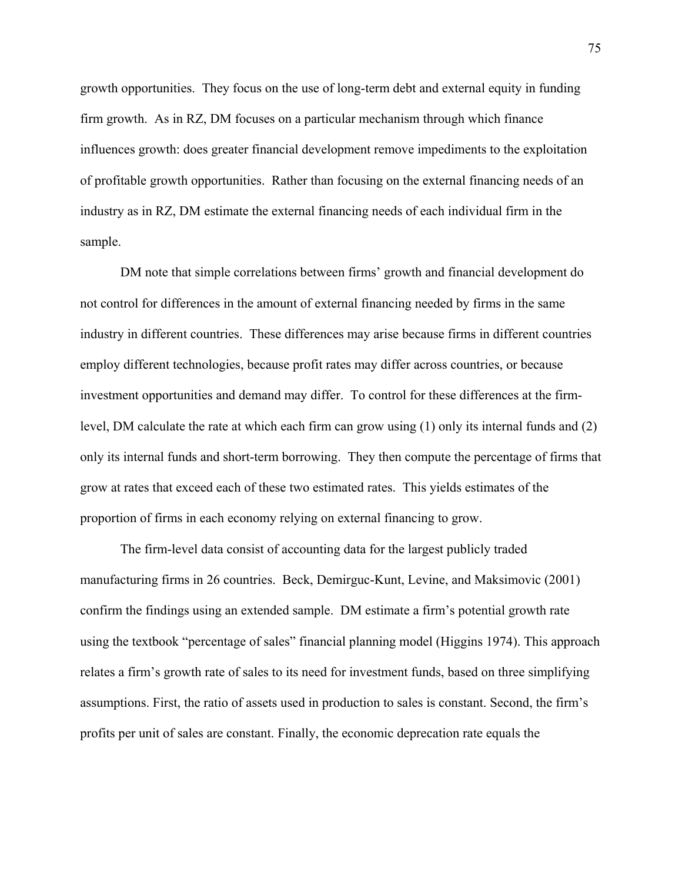growth opportunities. They focus on the use of long-term debt and external equity in funding firm growth. As in RZ, DM focuses on a particular mechanism through which finance influences growth: does greater financial development remove impediments to the exploitation of profitable growth opportunities. Rather than focusing on the external financing needs of an industry as in RZ, DM estimate the external financing needs of each individual firm in the sample.

DM note that simple correlations between firms' growth and financial development do not control for differences in the amount of external financing needed by firms in the same industry in different countries. These differences may arise because firms in different countries employ different technologies, because profit rates may differ across countries, or because investment opportunities and demand may differ. To control for these differences at the firmlevel, DM calculate the rate at which each firm can grow using (1) only its internal funds and (2) only its internal funds and short-term borrowing. They then compute the percentage of firms that grow at rates that exceed each of these two estimated rates. This yields estimates of the proportion of firms in each economy relying on external financing to grow.

The firm-level data consist of accounting data for the largest publicly traded manufacturing firms in 26 countries. Beck, Demirguc-Kunt, Levine, and Maksimovic (2001) confirm the findings using an extended sample. DM estimate a firm's potential growth rate using the textbook "percentage of sales" financial planning model (Higgins 1974). This approach relates a firm's growth rate of sales to its need for investment funds, based on three simplifying assumptions. First, the ratio of assets used in production to sales is constant. Second, the firm's profits per unit of sales are constant. Finally, the economic deprecation rate equals the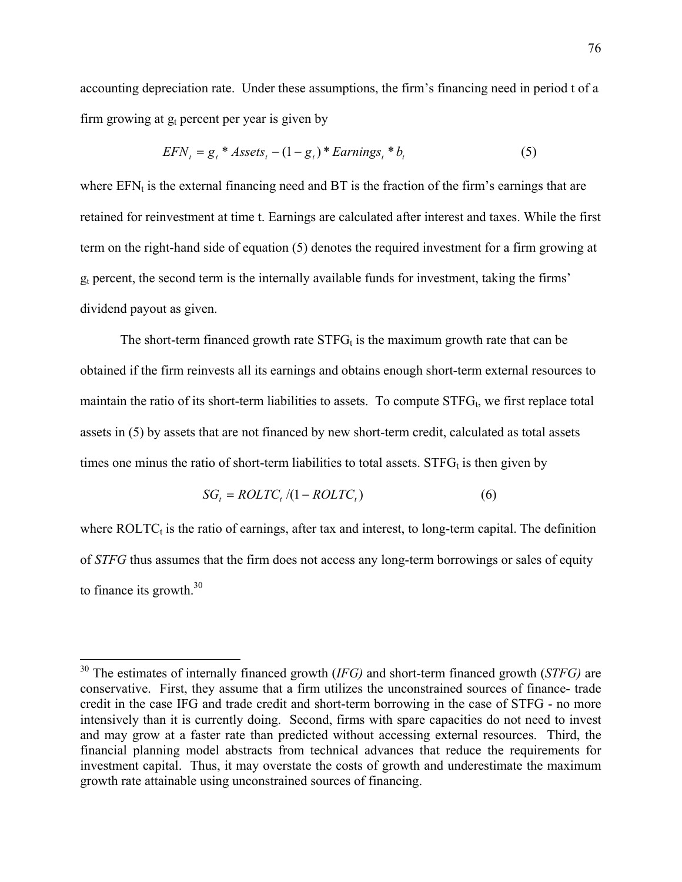accounting depreciation rate. Under these assumptions, the firm's financing need in period t of a firm growing at  $g_t$  percent per year is given by

$$
EFN_t = g_t * \text{Assets}_t - (1 - g_t) * \text{Earnings}_t * b_t \tag{5}
$$

where  $EFN_t$  is the external financing need and  $BT$  is the fraction of the firm's earnings that are retained for reinvestment at time t. Earnings are calculated after interest and taxes. While the first term on the right-hand side of equation (5) denotes the required investment for a firm growing at gt percent, the second term is the internally available funds for investment, taking the firms' dividend payout as given.

The short-term financed growth rate  $STFG_t$  is the maximum growth rate that can be obtained if the firm reinvests all its earnings and obtains enough short-term external resources to maintain the ratio of its short-term liabilities to assets. To compute STFG<sub>t</sub>, we first replace total assets in (5) by assets that are not financed by new short-term credit, calculated as total assets times one minus the ratio of short-term liabilities to total assets.  $STFG_t$  is then given by

$$
SGt = ROLTCt / (1 - ROLTCt)
$$
 (6)

where ROLTC<sub>t</sub> is the ratio of earnings, after tax and interest, to long-term capital. The definition of *STFG* thus assumes that the firm does not access any long-term borrowings or sales of equity to finance its growth.<sup>30</sup>

 $\overline{a}$ 

<sup>30</sup> The estimates of internally financed growth (*IFG)* and short-term financed growth (*STFG)* are conservative. First, they assume that a firm utilizes the unconstrained sources of finance- trade credit in the case IFG and trade credit and short-term borrowing in the case of STFG - no more intensively than it is currently doing. Second, firms with spare capacities do not need to invest and may grow at a faster rate than predicted without accessing external resources. Third, the financial planning model abstracts from technical advances that reduce the requirements for investment capital. Thus, it may overstate the costs of growth and underestimate the maximum growth rate attainable using unconstrained sources of financing.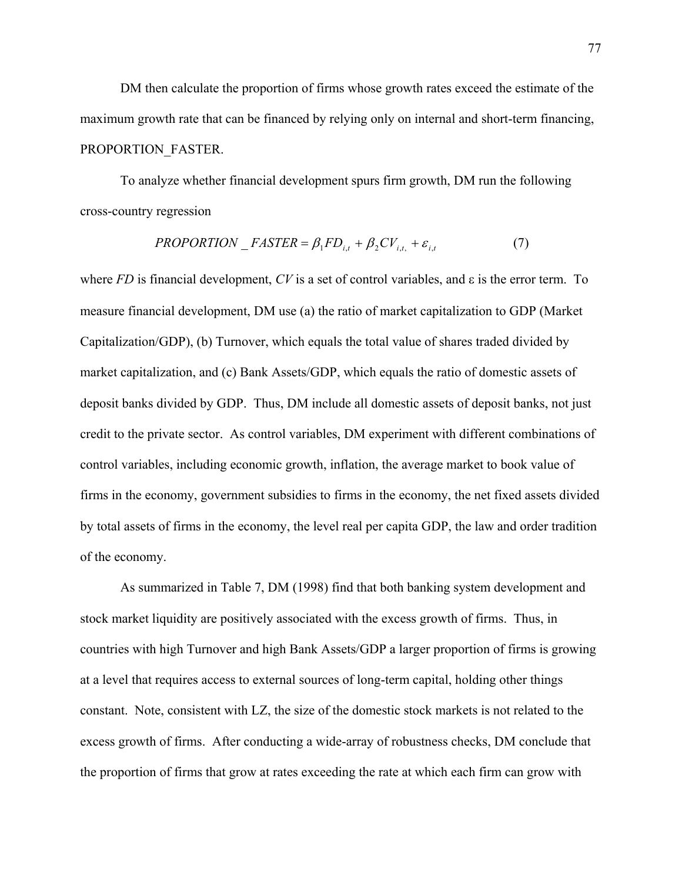DM then calculate the proportion of firms whose growth rates exceed the estimate of the maximum growth rate that can be financed by relying only on internal and short-term financing, PROPORTION\_FASTER.

To analyze whether financial development spurs firm growth, DM run the following cross-country regression

$$
PROPORTION\_FASTER = \beta_1 FD_{i,t} + \beta_2 CV_{i,t} + \varepsilon_{i,t}
$$
\n(7)

where *FD* is financial development, *CV* is a set of control variables, and ε is the error term. To measure financial development, DM use (a) the ratio of market capitalization to GDP (Market Capitalization/GDP), (b) Turnover, which equals the total value of shares traded divided by market capitalization, and (c) Bank Assets/GDP, which equals the ratio of domestic assets of deposit banks divided by GDP. Thus, DM include all domestic assets of deposit banks, not just credit to the private sector. As control variables, DM experiment with different combinations of control variables, including economic growth, inflation, the average market to book value of firms in the economy, government subsidies to firms in the economy, the net fixed assets divided by total assets of firms in the economy, the level real per capita GDP, the law and order tradition of the economy.

 As summarized in Table 7, DM (1998) find that both banking system development and stock market liquidity are positively associated with the excess growth of firms. Thus, in countries with high Turnover and high Bank Assets/GDP a larger proportion of firms is growing at a level that requires access to external sources of long-term capital, holding other things constant. Note, consistent with LZ, the size of the domestic stock markets is not related to the excess growth of firms. After conducting a wide-array of robustness checks, DM conclude that the proportion of firms that grow at rates exceeding the rate at which each firm can grow with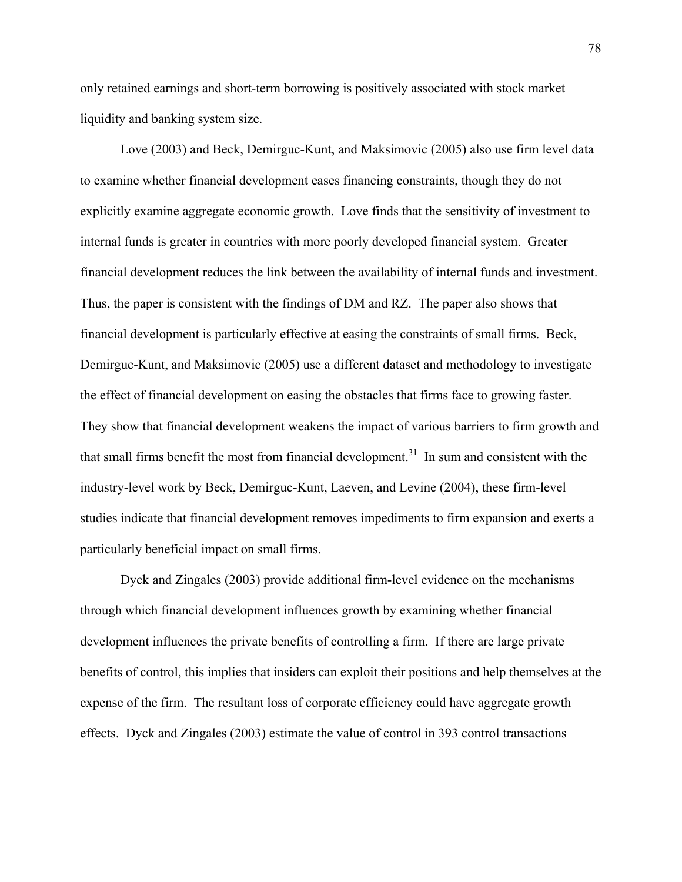only retained earnings and short-term borrowing is positively associated with stock market liquidity and banking system size.

 Love (2003) and Beck, Demirguc-Kunt, and Maksimovic (2005) also use firm level data to examine whether financial development eases financing constraints, though they do not explicitly examine aggregate economic growth. Love finds that the sensitivity of investment to internal funds is greater in countries with more poorly developed financial system. Greater financial development reduces the link between the availability of internal funds and investment. Thus, the paper is consistent with the findings of DM and RZ. The paper also shows that financial development is particularly effective at easing the constraints of small firms. Beck, Demirguc-Kunt, and Maksimovic (2005) use a different dataset and methodology to investigate the effect of financial development on easing the obstacles that firms face to growing faster. They show that financial development weakens the impact of various barriers to firm growth and that small firms benefit the most from financial development.<sup>31</sup> In sum and consistent with the industry-level work by Beck, Demirguc-Kunt, Laeven, and Levine (2004), these firm-level studies indicate that financial development removes impediments to firm expansion and exerts a particularly beneficial impact on small firms.

Dyck and Zingales (2003) provide additional firm-level evidence on the mechanisms through which financial development influences growth by examining whether financial development influences the private benefits of controlling a firm. If there are large private benefits of control, this implies that insiders can exploit their positions and help themselves at the expense of the firm. The resultant loss of corporate efficiency could have aggregate growth effects. Dyck and Zingales (2003) estimate the value of control in 393 control transactions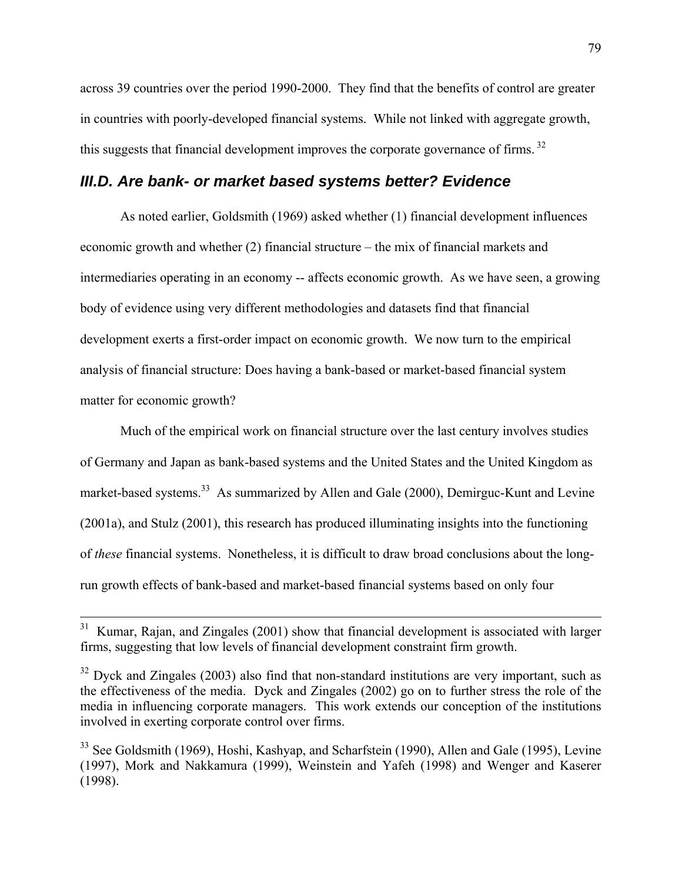across 39 countries over the period 1990-2000. They find that the benefits of control are greater in countries with poorly-developed financial systems. While not linked with aggregate growth, this suggests that financial development improves the corporate governance of firms. 32

### *III.D. Are bank- or market based systems better? Evidence*

 As noted earlier, Goldsmith (1969) asked whether (1) financial development influences economic growth and whether (2) financial structure – the mix of financial markets and intermediaries operating in an economy -- affects economic growth. As we have seen, a growing body of evidence using very different methodologies and datasets find that financial development exerts a first-order impact on economic growth. We now turn to the empirical analysis of financial structure: Does having a bank-based or market-based financial system matter for economic growth?

Much of the empirical work on financial structure over the last century involves studies of Germany and Japan as bank-based systems and the United States and the United Kingdom as market-based systems.<sup>33</sup> As summarized by Allen and Gale (2000), Demirguc-Kunt and Levine (2001a), and Stulz (2001), this research has produced illuminating insights into the functioning of *these* financial systems. Nonetheless, it is difficult to draw broad conclusions about the longrun growth effects of bank-based and market-based financial systems based on only four

<sup>&</sup>lt;sup>31</sup> Kumar, Rajan, and Zingales (2001) show that financial development is associated with larger firms, suggesting that low levels of financial development constraint firm growth.

 $32$  Dyck and Zingales (2003) also find that non-standard institutions are very important, such as the effectiveness of the media. Dyck and Zingales (2002) go on to further stress the role of the media in influencing corporate managers. This work extends our conception of the institutions involved in exerting corporate control over firms.

<sup>&</sup>lt;sup>33</sup> See Goldsmith (1969), Hoshi, Kashyap, and Scharfstein (1990), Allen and Gale (1995), Levine (1997), Mork and Nakkamura (1999), Weinstein and Yafeh (1998) and Wenger and Kaserer (1998).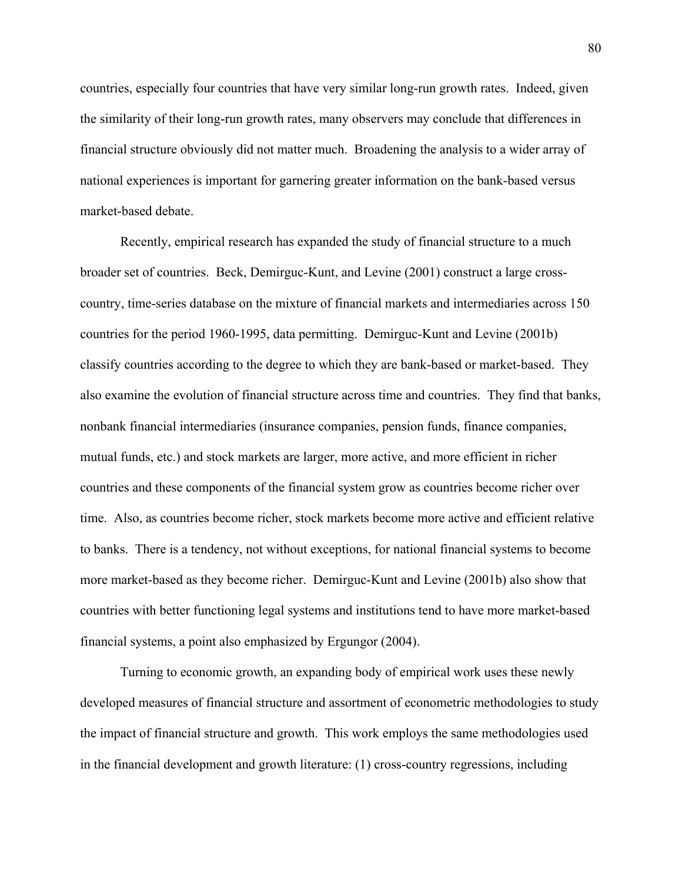countries, especially four countries that have very similar long-run growth rates. Indeed, given the similarity of their long-run growth rates, many observers may conclude that differences in financial structure obviously did not matter much. Broadening the analysis to a wider array of national experiences is important for garnering greater information on the bank-based versus market-based debate.

Recently, empirical research has expanded the study of financial structure to a much broader set of countries. Beck, Demirguc-Kunt, and Levine (2001) construct a large crosscountry, time-series database on the mixture of financial markets and intermediaries across 150 countries for the period 1960-1995, data permitting. Demirguc-Kunt and Levine (2001b) classify countries according to the degree to which they are bank-based or market-based. They also examine the evolution of financial structure across time and countries. They find that banks, nonbank financial intermediaries (insurance companies, pension funds, finance companies, mutual funds, etc.) and stock markets are larger, more active, and more efficient in richer countries and these components of the financial system grow as countries become richer over time. Also, as countries become richer, stock markets become more active and efficient relative to banks. There is a tendency, not without exceptions, for national financial systems to become more market-based as they become richer. Demirguc-Kunt and Levine (2001b) also show that countries with better functioning legal systems and institutions tend to have more market-based financial systems, a point also emphasized by Ergungor (2004).

Turning to economic growth, an expanding body of empirical work uses these newly developed measures of financial structure and assortment of econometric methodologies to study the impact of financial structure and growth. This work employs the same methodologies used in the financial development and growth literature: (1) cross-country regressions, including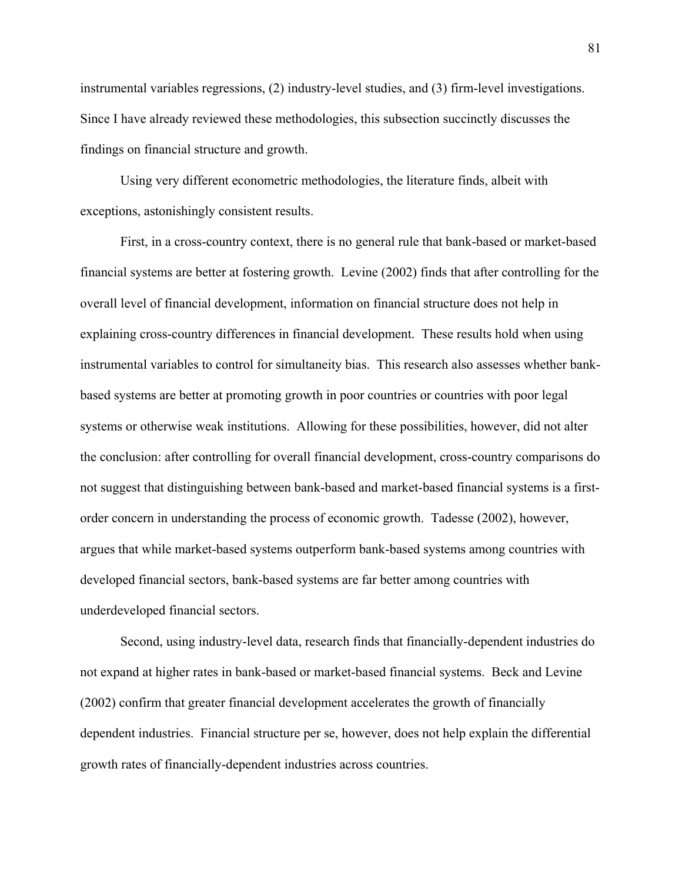instrumental variables regressions, (2) industry-level studies, and (3) firm-level investigations. Since I have already reviewed these methodologies, this subsection succinctly discusses the findings on financial structure and growth.

Using very different econometric methodologies, the literature finds, albeit with exceptions, astonishingly consistent results.

First, in a cross-country context, there is no general rule that bank-based or market-based financial systems are better at fostering growth. Levine (2002) finds that after controlling for the overall level of financial development, information on financial structure does not help in explaining cross-country differences in financial development. These results hold when using instrumental variables to control for simultaneity bias. This research also assesses whether bankbased systems are better at promoting growth in poor countries or countries with poor legal systems or otherwise weak institutions. Allowing for these possibilities, however, did not alter the conclusion: after controlling for overall financial development, cross-country comparisons do not suggest that distinguishing between bank-based and market-based financial systems is a firstorder concern in understanding the process of economic growth. Tadesse (2002), however, argues that while market-based systems outperform bank-based systems among countries with developed financial sectors, bank-based systems are far better among countries with underdeveloped financial sectors.

Second, using industry-level data, research finds that financially-dependent industries do not expand at higher rates in bank-based or market-based financial systems. Beck and Levine (2002) confirm that greater financial development accelerates the growth of financially dependent industries. Financial structure per se, however, does not help explain the differential growth rates of financially-dependent industries across countries.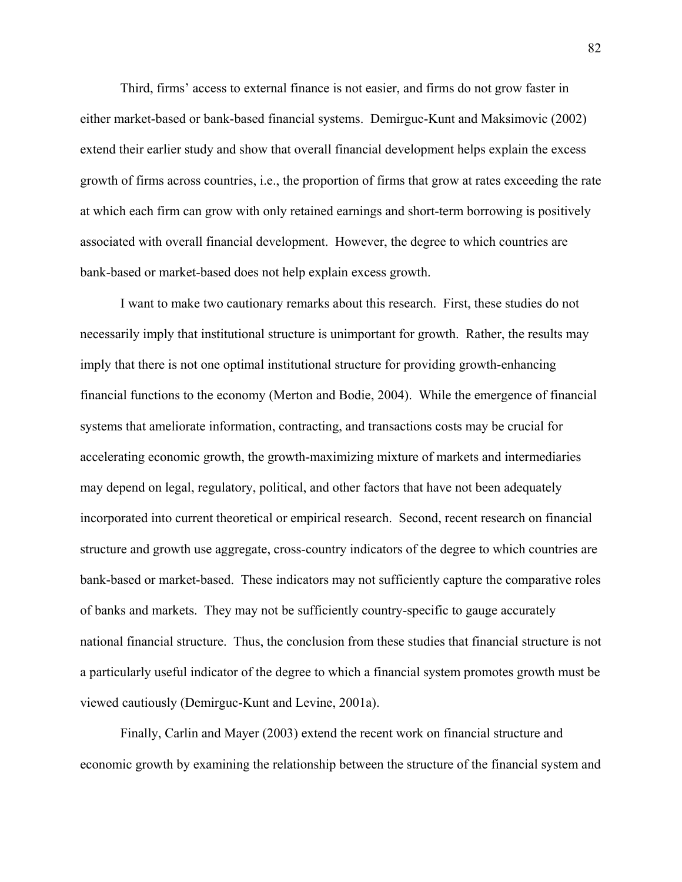Third, firms' access to external finance is not easier, and firms do not grow faster in either market-based or bank-based financial systems. Demirguc-Kunt and Maksimovic (2002) extend their earlier study and show that overall financial development helps explain the excess growth of firms across countries, i.e., the proportion of firms that grow at rates exceeding the rate at which each firm can grow with only retained earnings and short-term borrowing is positively associated with overall financial development. However, the degree to which countries are bank-based or market-based does not help explain excess growth.

I want to make two cautionary remarks about this research. First, these studies do not necessarily imply that institutional structure is unimportant for growth. Rather, the results may imply that there is not one optimal institutional structure for providing growth-enhancing financial functions to the economy (Merton and Bodie, 2004). While the emergence of financial systems that ameliorate information, contracting, and transactions costs may be crucial for accelerating economic growth, the growth-maximizing mixture of markets and intermediaries may depend on legal, regulatory, political, and other factors that have not been adequately incorporated into current theoretical or empirical research. Second, recent research on financial structure and growth use aggregate, cross-country indicators of the degree to which countries are bank-based or market-based. These indicators may not sufficiently capture the comparative roles of banks and markets. They may not be sufficiently country-specific to gauge accurately national financial structure. Thus, the conclusion from these studies that financial structure is not a particularly useful indicator of the degree to which a financial system promotes growth must be viewed cautiously (Demirguc-Kunt and Levine, 2001a).

Finally, Carlin and Mayer (2003) extend the recent work on financial structure and economic growth by examining the relationship between the structure of the financial system and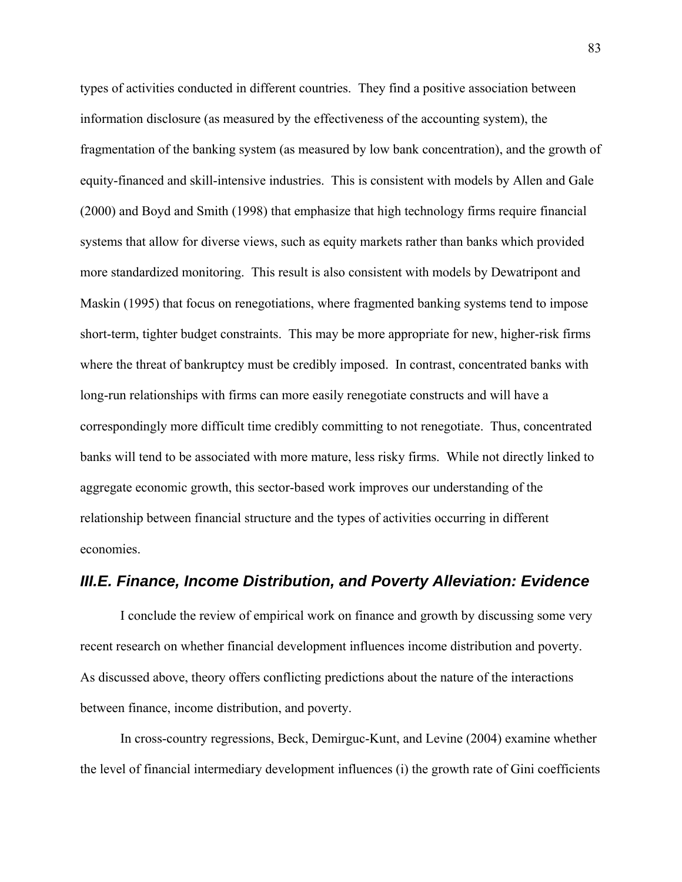types of activities conducted in different countries. They find a positive association between information disclosure (as measured by the effectiveness of the accounting system), the fragmentation of the banking system (as measured by low bank concentration), and the growth of equity-financed and skill-intensive industries. This is consistent with models by Allen and Gale (2000) and Boyd and Smith (1998) that emphasize that high technology firms require financial systems that allow for diverse views, such as equity markets rather than banks which provided more standardized monitoring. This result is also consistent with models by Dewatripont and Maskin (1995) that focus on renegotiations, where fragmented banking systems tend to impose short-term, tighter budget constraints. This may be more appropriate for new, higher-risk firms where the threat of bankruptcy must be credibly imposed. In contrast, concentrated banks with long-run relationships with firms can more easily renegotiate constructs and will have a correspondingly more difficult time credibly committing to not renegotiate. Thus, concentrated banks will tend to be associated with more mature, less risky firms. While not directly linked to aggregate economic growth, this sector-based work improves our understanding of the relationship between financial structure and the types of activities occurring in different economies.

### *III.E. Finance, Income Distribution, and Poverty Alleviation: Evidence*

 I conclude the review of empirical work on finance and growth by discussing some very recent research on whether financial development influences income distribution and poverty. As discussed above, theory offers conflicting predictions about the nature of the interactions between finance, income distribution, and poverty.

 In cross-country regressions, Beck, Demirguc-Kunt, and Levine (2004) examine whether the level of financial intermediary development influences (i) the growth rate of Gini coefficients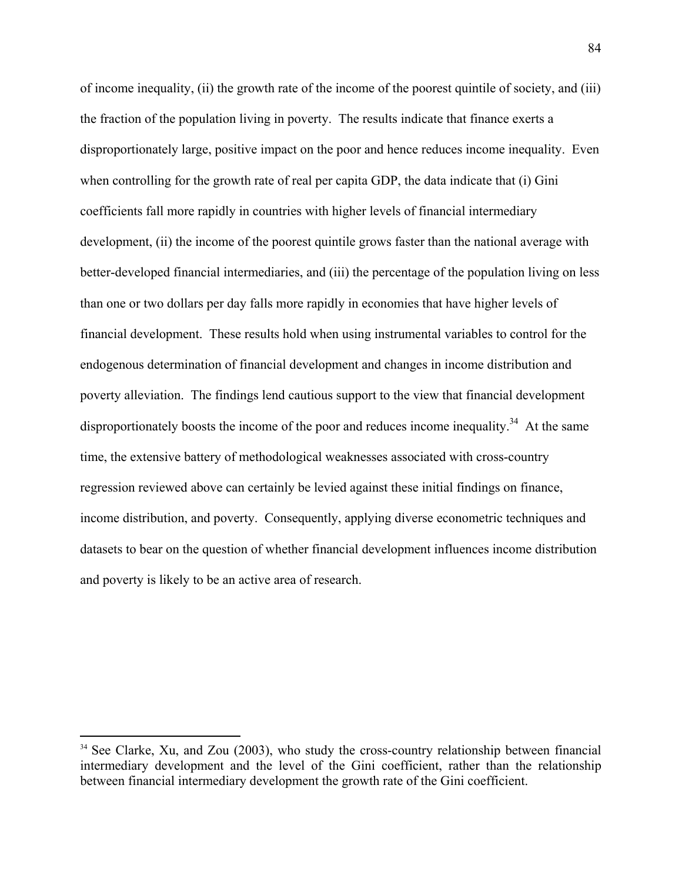of income inequality, (ii) the growth rate of the income of the poorest quintile of society, and (iii) the fraction of the population living in poverty. The results indicate that finance exerts a disproportionately large, positive impact on the poor and hence reduces income inequality. Even when controlling for the growth rate of real per capita GDP, the data indicate that (i) Gini coefficients fall more rapidly in countries with higher levels of financial intermediary development, (ii) the income of the poorest quintile grows faster than the national average with better-developed financial intermediaries, and (iii) the percentage of the population living on less than one or two dollars per day falls more rapidly in economies that have higher levels of financial development. These results hold when using instrumental variables to control for the endogenous determination of financial development and changes in income distribution and poverty alleviation. The findings lend cautious support to the view that financial development disproportionately boosts the income of the poor and reduces income inequality.<sup>34</sup> At the same time, the extensive battery of methodological weaknesses associated with cross-country regression reviewed above can certainly be levied against these initial findings on finance, income distribution, and poverty. Consequently, applying diverse econometric techniques and datasets to bear on the question of whether financial development influences income distribution and poverty is likely to be an active area of research.

<sup>&</sup>lt;sup>34</sup> See Clarke, Xu, and Zou (2003), who study the cross-country relationship between financial intermediary development and the level of the Gini coefficient, rather than the relationship between financial intermediary development the growth rate of the Gini coefficient.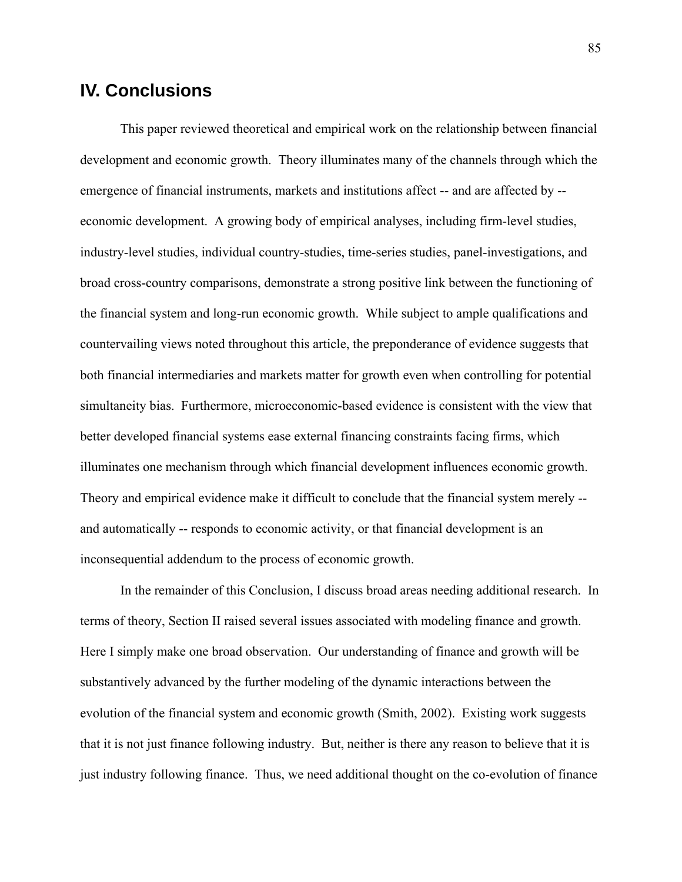# **IV. Conclusions**

This paper reviewed theoretical and empirical work on the relationship between financial development and economic growth. Theory illuminates many of the channels through which the emergence of financial instruments, markets and institutions affect -- and are affected by - economic development. A growing body of empirical analyses, including firm-level studies, industry-level studies, individual country-studies, time-series studies, panel-investigations, and broad cross-country comparisons, demonstrate a strong positive link between the functioning of the financial system and long-run economic growth. While subject to ample qualifications and countervailing views noted throughout this article, the preponderance of evidence suggests that both financial intermediaries and markets matter for growth even when controlling for potential simultaneity bias. Furthermore, microeconomic-based evidence is consistent with the view that better developed financial systems ease external financing constraints facing firms, which illuminates one mechanism through which financial development influences economic growth. Theory and empirical evidence make it difficult to conclude that the financial system merely - and automatically -- responds to economic activity, or that financial development is an inconsequential addendum to the process of economic growth.

In the remainder of this Conclusion, I discuss broad areas needing additional research. In terms of theory, Section II raised several issues associated with modeling finance and growth. Here I simply make one broad observation. Our understanding of finance and growth will be substantively advanced by the further modeling of the dynamic interactions between the evolution of the financial system and economic growth (Smith, 2002). Existing work suggests that it is not just finance following industry. But, neither is there any reason to believe that it is just industry following finance. Thus, we need additional thought on the co-evolution of finance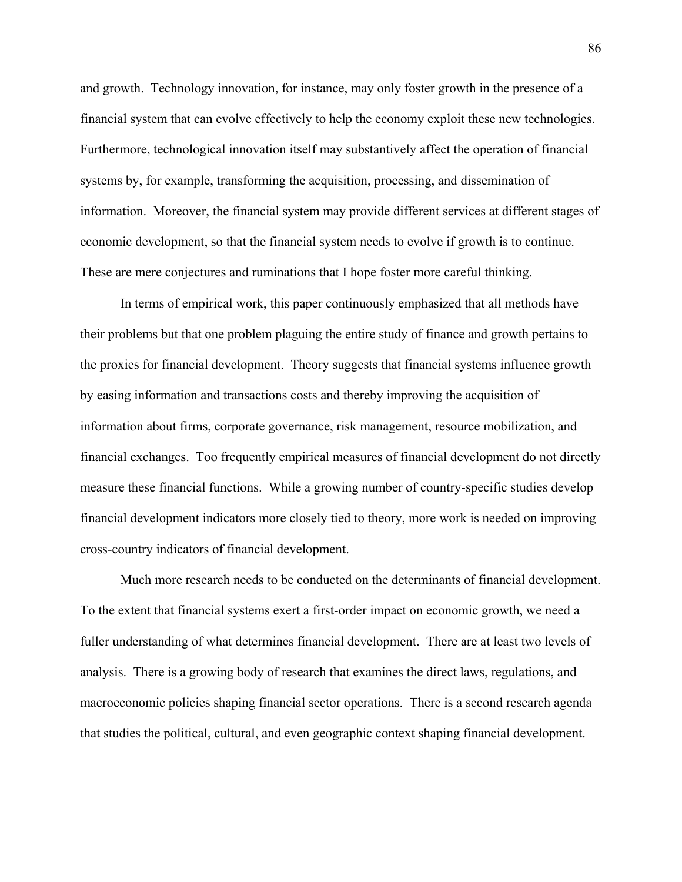and growth. Technology innovation, for instance, may only foster growth in the presence of a financial system that can evolve effectively to help the economy exploit these new technologies. Furthermore, technological innovation itself may substantively affect the operation of financial systems by, for example, transforming the acquisition, processing, and dissemination of information. Moreover, the financial system may provide different services at different stages of economic development, so that the financial system needs to evolve if growth is to continue. These are mere conjectures and ruminations that I hope foster more careful thinking.

In terms of empirical work, this paper continuously emphasized that all methods have their problems but that one problem plaguing the entire study of finance and growth pertains to the proxies for financial development. Theory suggests that financial systems influence growth by easing information and transactions costs and thereby improving the acquisition of information about firms, corporate governance, risk management, resource mobilization, and financial exchanges. Too frequently empirical measures of financial development do not directly measure these financial functions. While a growing number of country-specific studies develop financial development indicators more closely tied to theory, more work is needed on improving cross-country indicators of financial development.

Much more research needs to be conducted on the determinants of financial development. To the extent that financial systems exert a first-order impact on economic growth, we need a fuller understanding of what determines financial development. There are at least two levels of analysis. There is a growing body of research that examines the direct laws, regulations, and macroeconomic policies shaping financial sector operations. There is a second research agenda that studies the political, cultural, and even geographic context shaping financial development.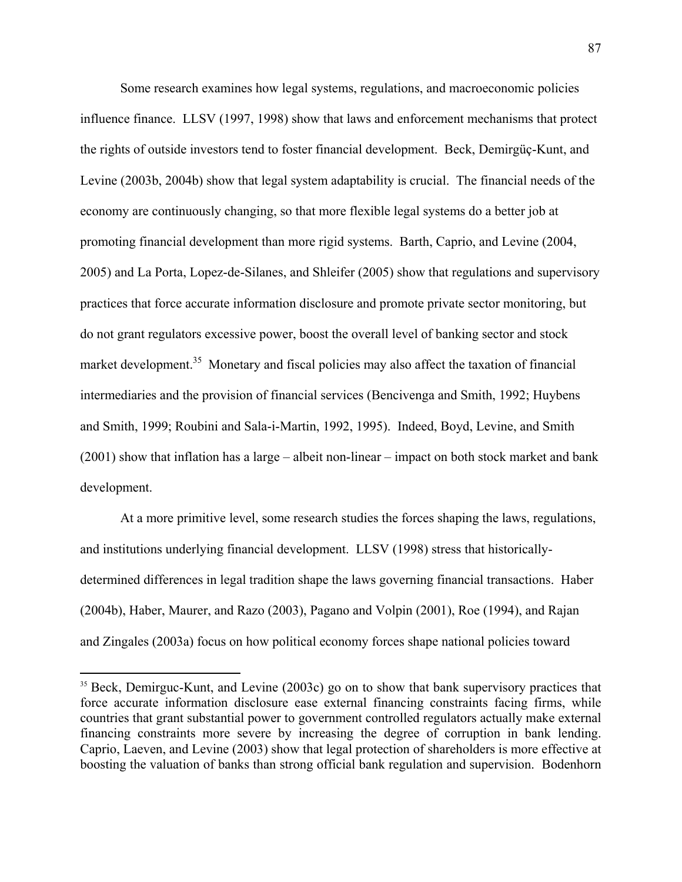Some research examines how legal systems, regulations, and macroeconomic policies influence finance. LLSV (1997, 1998) show that laws and enforcement mechanisms that protect the rights of outside investors tend to foster financial development. Beck, Demirgüç-Kunt, and Levine (2003b, 2004b) show that legal system adaptability is crucial. The financial needs of the economy are continuously changing, so that more flexible legal systems do a better job at promoting financial development than more rigid systems. Barth, Caprio, and Levine (2004, 2005) and La Porta, Lopez-de-Silanes, and Shleifer (2005) show that regulations and supervisory practices that force accurate information disclosure and promote private sector monitoring, but do not grant regulators excessive power, boost the overall level of banking sector and stock market development.<sup>35</sup> Monetary and fiscal policies may also affect the taxation of financial intermediaries and the provision of financial services (Bencivenga and Smith, 1992; Huybens and Smith, 1999; Roubini and Sala-i-Martin, 1992, 1995). Indeed, Boyd, Levine, and Smith (2001) show that inflation has a large – albeit non-linear – impact on both stock market and bank development.

At a more primitive level, some research studies the forces shaping the laws, regulations, and institutions underlying financial development. LLSV (1998) stress that historicallydetermined differences in legal tradition shape the laws governing financial transactions. Haber (2004b), Haber, Maurer, and Razo (2003), Pagano and Volpin (2001), Roe (1994), and Rajan and Zingales (2003a) focus on how political economy forces shape national policies toward

<sup>&</sup>lt;sup>35</sup> Beck, Demirguc-Kunt, and Levine (2003c) go on to show that bank supervisory practices that force accurate information disclosure ease external financing constraints facing firms, while countries that grant substantial power to government controlled regulators actually make external financing constraints more severe by increasing the degree of corruption in bank lending. Caprio, Laeven, and Levine (2003) show that legal protection of shareholders is more effective at boosting the valuation of banks than strong official bank regulation and supervision. Bodenhorn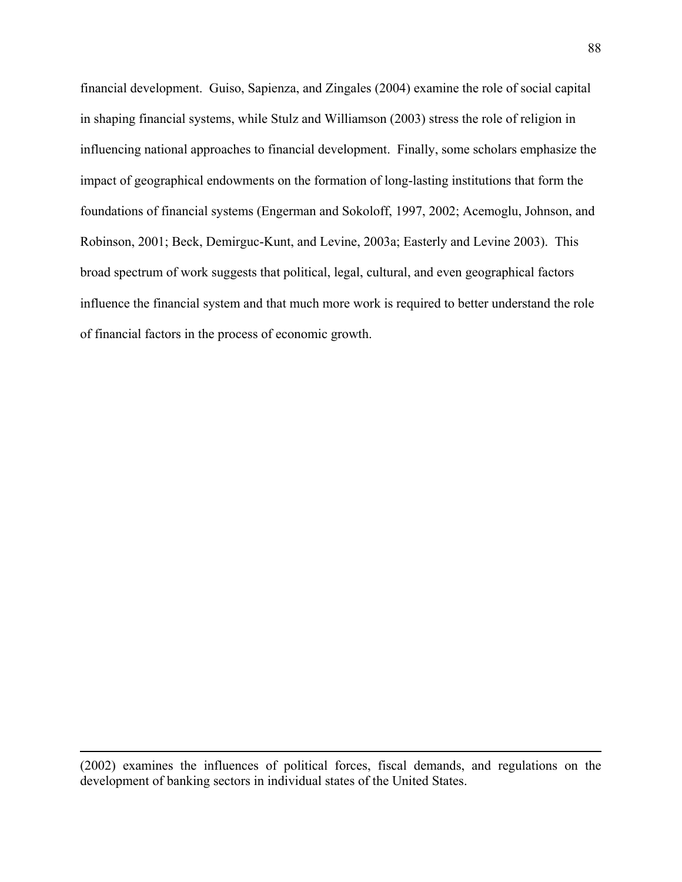financial development. Guiso, Sapienza, and Zingales (2004) examine the role of social capital in shaping financial systems, while Stulz and Williamson (2003) stress the role of religion in influencing national approaches to financial development. Finally, some scholars emphasize the impact of geographical endowments on the formation of long-lasting institutions that form the foundations of financial systems (Engerman and Sokoloff, 1997, 2002; Acemoglu, Johnson, and Robinson, 2001; Beck, Demirguc-Kunt, and Levine, 2003a; Easterly and Levine 2003). This broad spectrum of work suggests that political, legal, cultural, and even geographical factors influence the financial system and that much more work is required to better understand the role of financial factors in the process of economic growth.

(2002) examines the influences of political forces, fiscal demands, and regulations on the development of banking sectors in individual states of the United States.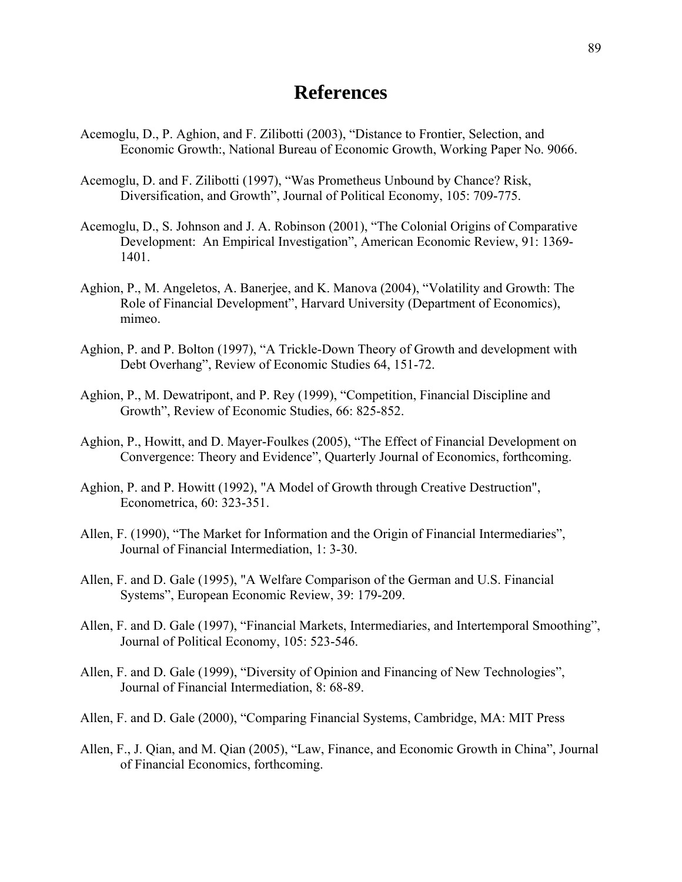## **References**

- Acemoglu, D., P. Aghion, and F. Zilibotti (2003), "Distance to Frontier, Selection, and Economic Growth:, National Bureau of Economic Growth, Working Paper No. 9066.
- Acemoglu, D. and F. Zilibotti (1997), "Was Prometheus Unbound by Chance? Risk, Diversification, and Growth", Journal of Political Economy, 105: 709-775.
- Acemoglu, D., S. Johnson and J. A. Robinson (2001), "The Colonial Origins of Comparative Development: An Empirical Investigation", American Economic Review, 91: 1369- 1401.
- Aghion, P., M. Angeletos, A. Banerjee, and K. Manova (2004), "Volatility and Growth: The Role of Financial Development", Harvard University (Department of Economics), mimeo.
- Aghion, P. and P. Bolton (1997), "A Trickle-Down Theory of Growth and development with Debt Overhang", Review of Economic Studies 64, 151-72.
- Aghion, P., M. Dewatripont, and P. Rey (1999), "Competition, Financial Discipline and Growth", Review of Economic Studies, 66: 825-852.
- Aghion, P., Howitt, and D. Mayer-Foulkes (2005), "The Effect of Financial Development on Convergence: Theory and Evidence", Quarterly Journal of Economics, forthcoming.
- Aghion, P. and P. Howitt (1992), "A Model of Growth through Creative Destruction", Econometrica, 60: 323-351.
- Allen, F. (1990), "The Market for Information and the Origin of Financial Intermediaries", Journal of Financial Intermediation, 1: 3-30.
- Allen, F. and D. Gale (1995), "A Welfare Comparison of the German and U.S. Financial Systems", European Economic Review, 39: 179-209.
- Allen, F. and D. Gale (1997), "Financial Markets, Intermediaries, and Intertemporal Smoothing", Journal of Political Economy, 105: 523-546.
- Allen, F. and D. Gale (1999), "Diversity of Opinion and Financing of New Technologies", Journal of Financial Intermediation, 8: 68-89.
- Allen, F. and D. Gale (2000), "Comparing Financial Systems, Cambridge, MA: MIT Press
- Allen, F., J. Qian, and M. Qian (2005), "Law, Finance, and Economic Growth in China", Journal of Financial Economics, forthcoming.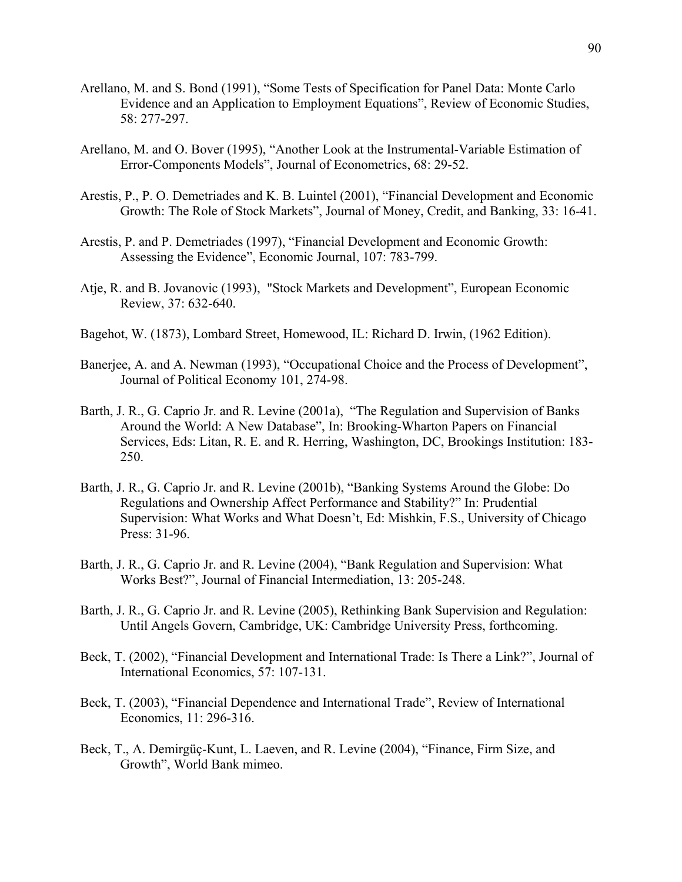- Arellano, M. and S. Bond (1991), "Some Tests of Specification for Panel Data: Monte Carlo Evidence and an Application to Employment Equations", Review of Economic Studies, 58: 277-297.
- Arellano, M. and O. Bover (1995), "Another Look at the Instrumental-Variable Estimation of Error-Components Models", Journal of Econometrics, 68: 29-52.
- Arestis, P., P. O. Demetriades and K. B. Luintel (2001), "Financial Development and Economic Growth: The Role of Stock Markets", Journal of Money, Credit, and Banking, 33: 16-41.
- Arestis, P. and P. Demetriades (1997), "Financial Development and Economic Growth: Assessing the Evidence", Economic Journal, 107: 783-799.
- Atje, R. and B. Jovanovic (1993), "Stock Markets and Development", European Economic Review, 37: 632-640.
- Bagehot, W. (1873), Lombard Street, Homewood, IL: Richard D. Irwin, (1962 Edition).
- Banerjee, A. and A. Newman (1993), "Occupational Choice and the Process of Development", Journal of Political Economy 101, 274-98.
- Barth, J. R., G. Caprio Jr. and R. Levine (2001a), "The Regulation and Supervision of Banks Around the World: A New Database", In: Brooking-Wharton Papers on Financial Services, Eds: Litan, R. E. and R. Herring, Washington, DC, Brookings Institution: 183- 250.
- Barth, J. R., G. Caprio Jr. and R. Levine (2001b), "Banking Systems Around the Globe: Do Regulations and Ownership Affect Performance and Stability?" In: Prudential Supervision: What Works and What Doesn't, Ed: Mishkin, F.S., University of Chicago Press: 31-96.
- Barth, J. R., G. Caprio Jr. and R. Levine (2004), "Bank Regulation and Supervision: What Works Best?", Journal of Financial Intermediation, 13: 205-248.
- Barth, J. R., G. Caprio Jr. and R. Levine (2005), Rethinking Bank Supervision and Regulation: Until Angels Govern, Cambridge, UK: Cambridge University Press, forthcoming.
- Beck, T. (2002), "Financial Development and International Trade: Is There a Link?", Journal of International Economics, 57: 107-131.
- Beck, T. (2003), "Financial Dependence and International Trade", Review of International Economics, 11: 296-316.
- Beck, T., A. Demirgüç-Kunt, L. Laeven, and R. Levine (2004), "Finance, Firm Size, and Growth", World Bank mimeo.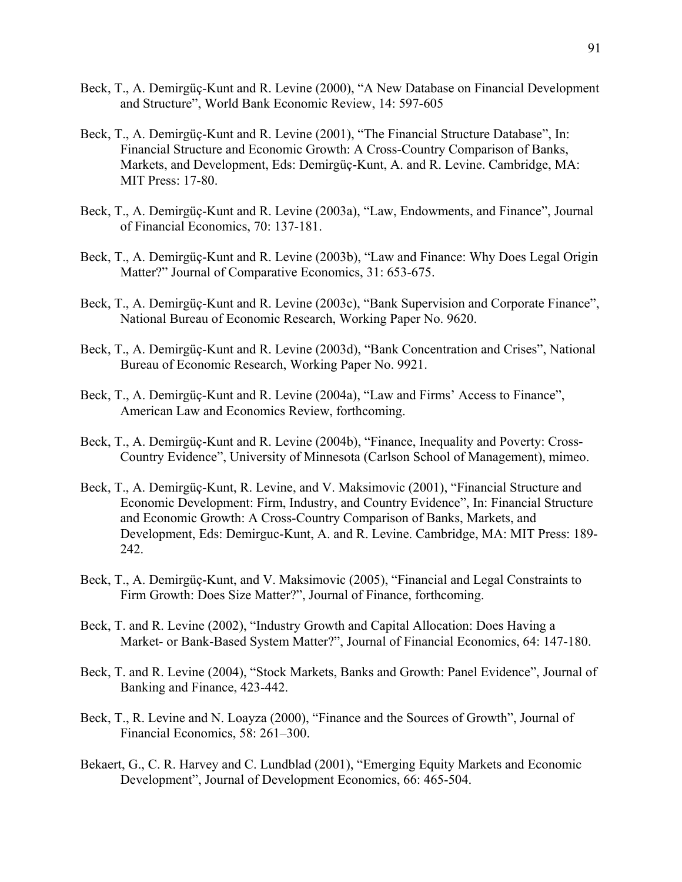- Beck, T., A. Demirgüç-Kunt and R. Levine (2000), "A New Database on Financial Development and Structure", World Bank Economic Review, 14: 597-605
- Beck, T., A. Demirgüç-Kunt and R. Levine (2001), "The Financial Structure Database", In: Financial Structure and Economic Growth: A Cross-Country Comparison of Banks, Markets, and Development, Eds: Demirgüç-Kunt, A. and R. Levine. Cambridge, MA: MIT Press: 17-80.
- Beck, T., A. Demirgüç-Kunt and R. Levine (2003a), "Law, Endowments, and Finance", Journal of Financial Economics, 70: 137-181.
- Beck, T., A. Demirgüç-Kunt and R. Levine (2003b), "Law and Finance: Why Does Legal Origin Matter?" Journal of Comparative Economics, 31: 653-675.
- Beck, T., A. Demirgüç-Kunt and R. Levine (2003c), "Bank Supervision and Corporate Finance", National Bureau of Economic Research, Working Paper No. 9620.
- Beck, T., A. Demirgüç-Kunt and R. Levine (2003d), "Bank Concentration and Crises", National Bureau of Economic Research, Working Paper No. 9921.
- Beck, T., A. Demirgüç-Kunt and R. Levine (2004a), "Law and Firms' Access to Finance", American Law and Economics Review, forthcoming.
- Beck, T., A. Demirgüç-Kunt and R. Levine (2004b), "Finance, Inequality and Poverty: Cross-Country Evidence", University of Minnesota (Carlson School of Management), mimeo.
- Beck, T., A. Demirgüç-Kunt, R. Levine, and V. Maksimovic (2001), "Financial Structure and Economic Development: Firm, Industry, and Country Evidence", In: Financial Structure and Economic Growth: A Cross-Country Comparison of Banks, Markets, and Development, Eds: Demirguc-Kunt, A. and R. Levine. Cambridge, MA: MIT Press: 189- 242.
- Beck, T., A. Demirgüç-Kunt, and V. Maksimovic (2005), "Financial and Legal Constraints to Firm Growth: Does Size Matter?", Journal of Finance, forthcoming.
- Beck, T. and R. Levine (2002), "Industry Growth and Capital Allocation: Does Having a Market- or Bank-Based System Matter?", Journal of Financial Economics, 64: 147-180.
- Beck, T. and R. Levine (2004), "Stock Markets, Banks and Growth: Panel Evidence", Journal of Banking and Finance, 423-442.
- Beck, T., R. Levine and N. Loayza (2000), "Finance and the Sources of Growth", Journal of Financial Economics, 58: 261–300.
- Bekaert, G., C. R. Harvey and C. Lundblad (2001), "Emerging Equity Markets and Economic Development", Journal of Development Economics, 66: 465-504.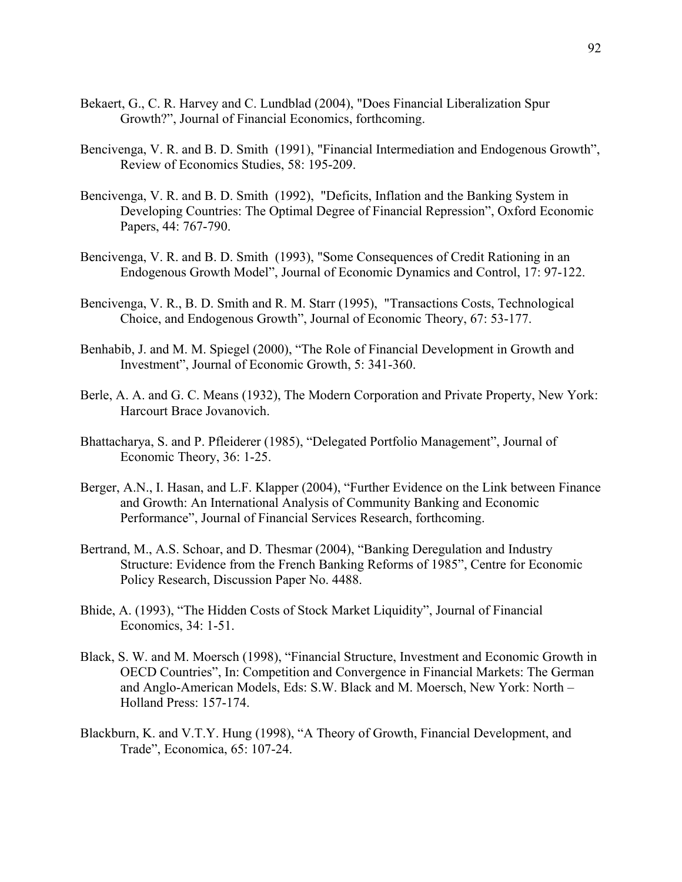- Bekaert, G., C. R. Harvey and C. Lundblad (2004), "Does Financial Liberalization Spur Growth?", Journal of Financial Economics, forthcoming.
- Bencivenga, V. R. and B. D. Smith (1991), "Financial Intermediation and Endogenous Growth", Review of Economics Studies, 58: 195-209.
- Bencivenga, V. R. and B. D. Smith (1992), "Deficits, Inflation and the Banking System in Developing Countries: The Optimal Degree of Financial Repression", Oxford Economic Papers, 44: 767-790.
- Bencivenga, V. R. and B. D. Smith (1993), "Some Consequences of Credit Rationing in an Endogenous Growth Model", Journal of Economic Dynamics and Control, 17: 97-122.
- Bencivenga, V. R., B. D. Smith and R. M. Starr (1995), "Transactions Costs, Technological Choice, and Endogenous Growth", Journal of Economic Theory, 67: 53-177.
- Benhabib, J. and M. M. Spiegel (2000), "The Role of Financial Development in Growth and Investment", Journal of Economic Growth, 5: 341-360.
- Berle, A. A. and G. C. Means (1932), The Modern Corporation and Private Property, New York: Harcourt Brace Jovanovich.
- Bhattacharya, S. and P. Pfleiderer (1985), "Delegated Portfolio Management", Journal of Economic Theory, 36: 1-25.
- Berger, A.N., I. Hasan, and L.F. Klapper (2004), "Further Evidence on the Link between Finance and Growth: An International Analysis of Community Banking and Economic Performance", Journal of Financial Services Research, forthcoming.
- Bertrand, M., A.S. Schoar, and D. Thesmar (2004), "Banking Deregulation and Industry Structure: Evidence from the French Banking Reforms of 1985", Centre for Economic Policy Research, Discussion Paper No. 4488.
- Bhide, A. (1993), "The Hidden Costs of Stock Market Liquidity", Journal of Financial Economics, 34: 1-51.
- Black, S. W. and M. Moersch (1998), "Financial Structure, Investment and Economic Growth in OECD Countries", In: Competition and Convergence in Financial Markets: The German and Anglo-American Models, Eds: S.W. Black and M. Moersch, New York: North – Holland Press: 157-174.
- Blackburn, K. and V.T.Y. Hung (1998), "A Theory of Growth, Financial Development, and Trade", Economica, 65: 107-24.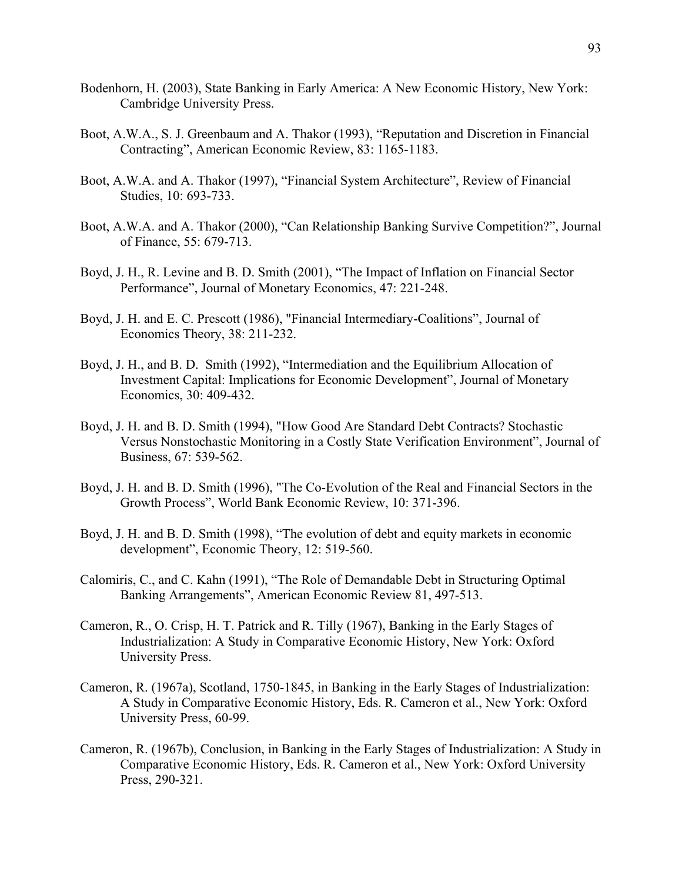- Bodenhorn, H. (2003), State Banking in Early America: A New Economic History, New York: Cambridge University Press.
- Boot, A.W.A., S. J. Greenbaum and A. Thakor (1993), "Reputation and Discretion in Financial Contracting", American Economic Review, 83: 1165-1183.
- Boot, A.W.A. and A. Thakor (1997), "Financial System Architecture", Review of Financial Studies, 10: 693-733.
- Boot, A.W.A. and A. Thakor (2000), "Can Relationship Banking Survive Competition?", Journal of Finance, 55: 679-713.
- Boyd, J. H., R. Levine and B. D. Smith (2001), "The Impact of Inflation on Financial Sector Performance", Journal of Monetary Economics, 47: 221-248.
- Boyd, J. H. and E. C. Prescott (1986), "Financial Intermediary-Coalitions", Journal of Economics Theory, 38: 211-232.
- Boyd, J. H., and B. D. Smith (1992), "Intermediation and the Equilibrium Allocation of Investment Capital: Implications for Economic Development", Journal of Monetary Economics, 30: 409-432.
- Boyd, J. H. and B. D. Smith (1994), "How Good Are Standard Debt Contracts? Stochastic Versus Nonstochastic Monitoring in a Costly State Verification Environment", Journal of Business, 67: 539-562.
- Boyd, J. H. and B. D. Smith (1996), "The Co-Evolution of the Real and Financial Sectors in the Growth Process", World Bank Economic Review, 10: 371-396.
- Boyd, J. H. and B. D. Smith (1998), "The evolution of debt and equity markets in economic development", Economic Theory, 12: 519-560.
- Calomiris, C., and C. Kahn (1991), "The Role of Demandable Debt in Structuring Optimal Banking Arrangements", American Economic Review 81, 497-513.
- Cameron, R., O. Crisp, H. T. Patrick and R. Tilly (1967), Banking in the Early Stages of Industrialization: A Study in Comparative Economic History, New York: Oxford University Press.
- Cameron, R. (1967a), Scotland, 1750-1845, in Banking in the Early Stages of Industrialization: A Study in Comparative Economic History, Eds. R. Cameron et al., New York: Oxford University Press, 60-99.
- Cameron, R. (1967b), Conclusion, in Banking in the Early Stages of Industrialization: A Study in Comparative Economic History, Eds. R. Cameron et al., New York: Oxford University Press, 290-321.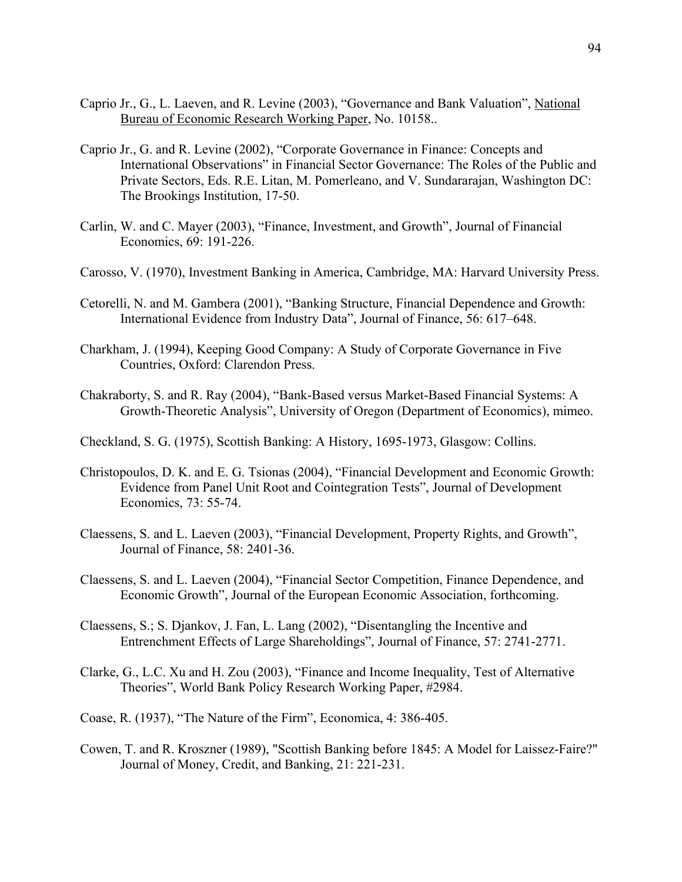- Caprio Jr., G., L. Laeven, and R. Levine (2003), "Governance and Bank Valuation", National Bureau of Economic Research Working Paper, No. 10158..
- Caprio Jr., G. and R. Levine (2002), "Corporate Governance in Finance: Concepts and International Observations" in Financial Sector Governance: The Roles of the Public and Private Sectors, Eds. R.E. Litan, M. Pomerleano, and V. Sundararajan, Washington DC: The Brookings Institution, 17-50.
- Carlin, W. and C. Mayer (2003), "Finance, Investment, and Growth", Journal of Financial Economics, 69: 191-226.
- Carosso, V. (1970), Investment Banking in America, Cambridge, MA: Harvard University Press.
- Cetorelli, N. and M. Gambera (2001), "Banking Structure, Financial Dependence and Growth: International Evidence from Industry Data", Journal of Finance, 56: 617–648.
- Charkham, J. (1994), Keeping Good Company: A Study of Corporate Governance in Five Countries, Oxford: Clarendon Press.
- Chakraborty, S. and R. Ray (2004), "Bank-Based versus Market-Based Financial Systems: A Growth-Theoretic Analysis", University of Oregon (Department of Economics), mimeo.
- Checkland, S. G. (1975), Scottish Banking: A History, 1695-1973, Glasgow: Collins.
- Christopoulos, D. K. and E. G. Tsionas (2004), "Financial Development and Economic Growth: Evidence from Panel Unit Root and Cointegration Tests", Journal of Development Economics, 73: 55-74.
- Claessens, S. and L. Laeven (2003), "Financial Development, Property Rights, and Growth", Journal of Finance, 58: 2401-36.
- Claessens, S. and L. Laeven (2004), "Financial Sector Competition, Finance Dependence, and Economic Growth", Journal of the European Economic Association, forthcoming.
- Claessens, S.; S. Djankov, J. Fan, L. Lang (2002), "Disentangling the Incentive and Entrenchment Effects of Large Shareholdings", Journal of Finance, 57: 2741-2771.
- Clarke, G., L.C. Xu and H. Zou (2003), "Finance and Income Inequality, Test of Alternative Theories", World Bank Policy Research Working Paper, #2984.
- Coase, R. (1937), "The Nature of the Firm", Economica, 4: 386-405.
- Cowen, T. and R. Kroszner (1989), "Scottish Banking before 1845: A Model for Laissez-Faire?" Journal of Money, Credit, and Banking, 21: 221-231.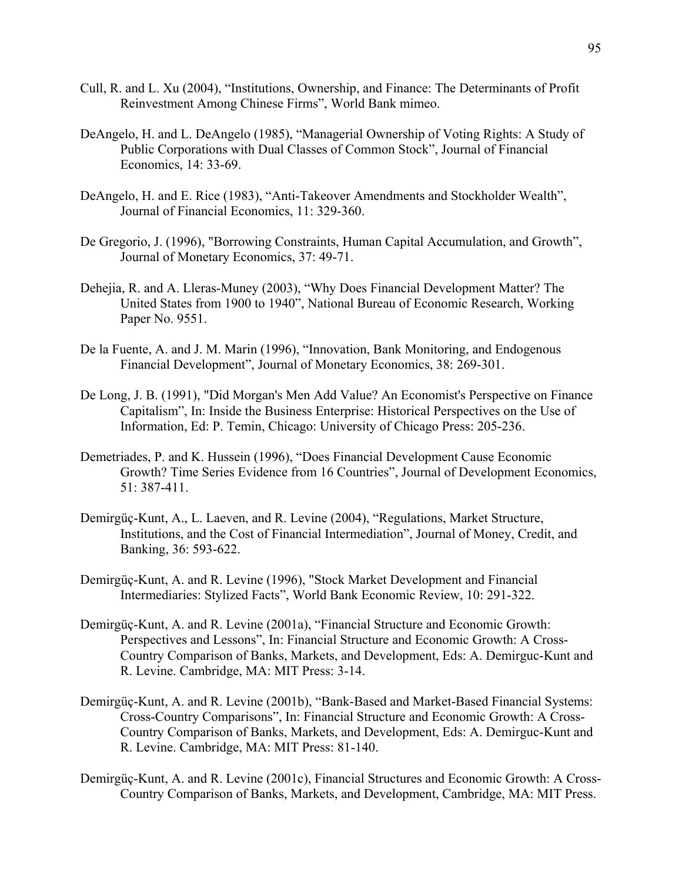- Cull, R. and L. Xu (2004), "Institutions, Ownership, and Finance: The Determinants of Profit Reinvestment Among Chinese Firms", World Bank mimeo.
- DeAngelo, H. and L. DeAngelo (1985), "Managerial Ownership of Voting Rights: A Study of Public Corporations with Dual Classes of Common Stock", Journal of Financial Economics, 14: 33-69.
- DeAngelo, H. and E. Rice (1983), "Anti-Takeover Amendments and Stockholder Wealth", Journal of Financial Economics, 11: 329-360.
- De Gregorio, J. (1996), "Borrowing Constraints, Human Capital Accumulation, and Growth", Journal of Monetary Economics, 37: 49-71.
- Dehejia, R. and A. Lleras-Muney (2003), "Why Does Financial Development Matter? The United States from 1900 to 1940", National Bureau of Economic Research, Working Paper No. 9551.
- De la Fuente, A. and J. M. Marin (1996), "Innovation, Bank Monitoring, and Endogenous Financial Development", Journal of Monetary Economics, 38: 269-301.
- De Long, J. B. (1991), "Did Morgan's Men Add Value? An Economist's Perspective on Finance Capitalism", In: Inside the Business Enterprise: Historical Perspectives on the Use of Information, Ed: P. Temin, Chicago: University of Chicago Press: 205-236.
- Demetriades, P. and K. Hussein (1996), "Does Financial Development Cause Economic Growth? Time Series Evidence from 16 Countries", Journal of Development Economics, 51: 387-411.
- Demirgüç-Kunt, A., L. Laeven, and R. Levine (2004), "Regulations, Market Structure, Institutions, and the Cost of Financial Intermediation", Journal of Money, Credit, and Banking, 36: 593-622.
- Demirgüç-Kunt, A. and R. Levine (1996), "Stock Market Development and Financial Intermediaries: Stylized Facts", World Bank Economic Review, 10: 291-322.
- Demirgüç-Kunt, A. and R. Levine (2001a), "Financial Structure and Economic Growth: Perspectives and Lessons", In: Financial Structure and Economic Growth: A Cross-Country Comparison of Banks, Markets, and Development, Eds: A. Demirguc-Kunt and R. Levine. Cambridge, MA: MIT Press: 3-14.
- Demirgüç-Kunt, A. and R. Levine (2001b), "Bank-Based and Market-Based Financial Systems: Cross-Country Comparisons", In: Financial Structure and Economic Growth: A Cross-Country Comparison of Banks, Markets, and Development, Eds: A. Demirguc-Kunt and R. Levine. Cambridge, MA: MIT Press: 81-140.
- Demirgüç-Kunt, A. and R. Levine (2001c), Financial Structures and Economic Growth: A Cross-Country Comparison of Banks, Markets, and Development, Cambridge, MA: MIT Press.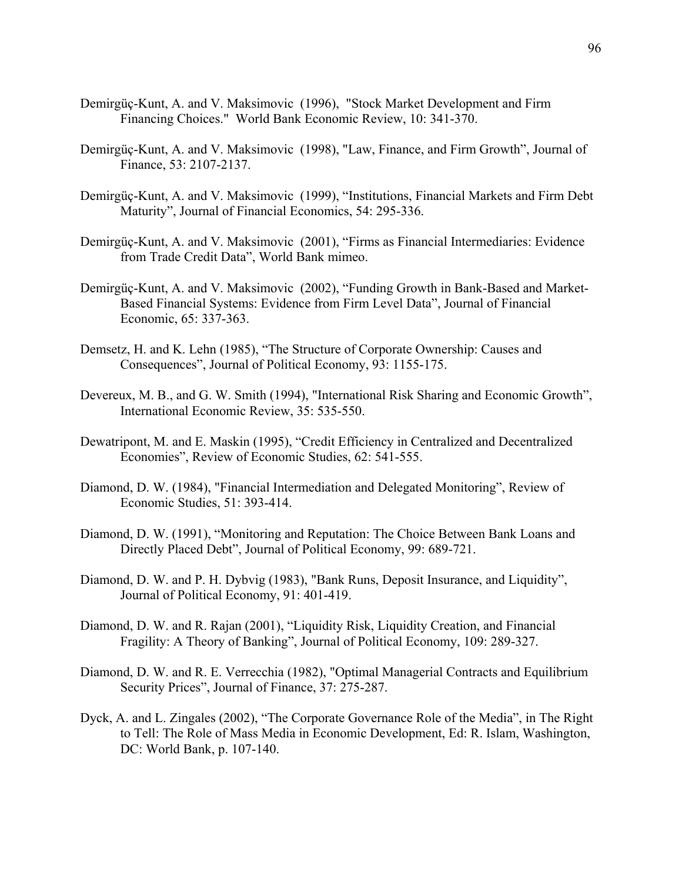- Demirgüç-Kunt, A. and V. Maksimovic (1996), "Stock Market Development and Firm Financing Choices." World Bank Economic Review, 10: 341-370.
- Demirgüç-Kunt, A. and V. Maksimovic (1998), "Law, Finance, and Firm Growth", Journal of Finance, 53: 2107-2137.
- Demirgüç-Kunt, A. and V. Maksimovic (1999), "Institutions, Financial Markets and Firm Debt Maturity", Journal of Financial Economics, 54: 295-336.
- Demirgüç-Kunt, A. and V. Maksimovic (2001), "Firms as Financial Intermediaries: Evidence from Trade Credit Data", World Bank mimeo.
- Demirgüç-Kunt, A. and V. Maksimovic (2002), "Funding Growth in Bank-Based and Market-Based Financial Systems: Evidence from Firm Level Data", Journal of Financial Economic, 65: 337-363.
- Demsetz, H. and K. Lehn (1985), "The Structure of Corporate Ownership: Causes and Consequences", Journal of Political Economy, 93: 1155-175.
- Devereux, M. B., and G. W. Smith (1994), "International Risk Sharing and Economic Growth", International Economic Review, 35: 535-550.
- Dewatripont, M. and E. Maskin (1995), "Credit Efficiency in Centralized and Decentralized Economies", Review of Economic Studies, 62: 541-555.
- Diamond, D. W. (1984), "Financial Intermediation and Delegated Monitoring", Review of Economic Studies, 51: 393-414.
- Diamond, D. W. (1991), "Monitoring and Reputation: The Choice Between Bank Loans and Directly Placed Debt", Journal of Political Economy, 99: 689-721.
- Diamond, D. W. and P. H. Dybvig (1983), "Bank Runs, Deposit Insurance, and Liquidity", Journal of Political Economy, 91: 401-419.
- Diamond, D. W. and R. Rajan (2001), "Liquidity Risk, Liquidity Creation, and Financial Fragility: A Theory of Banking", Journal of Political Economy, 109: 289-327.
- Diamond, D. W. and R. E. Verrecchia (1982), "Optimal Managerial Contracts and Equilibrium Security Prices", Journal of Finance, 37: 275-287.
- Dyck, A. and L. Zingales (2002), "The Corporate Governance Role of the Media", in The Right to Tell: The Role of Mass Media in Economic Development, Ed: R. Islam, Washington, DC: World Bank, p. 107-140.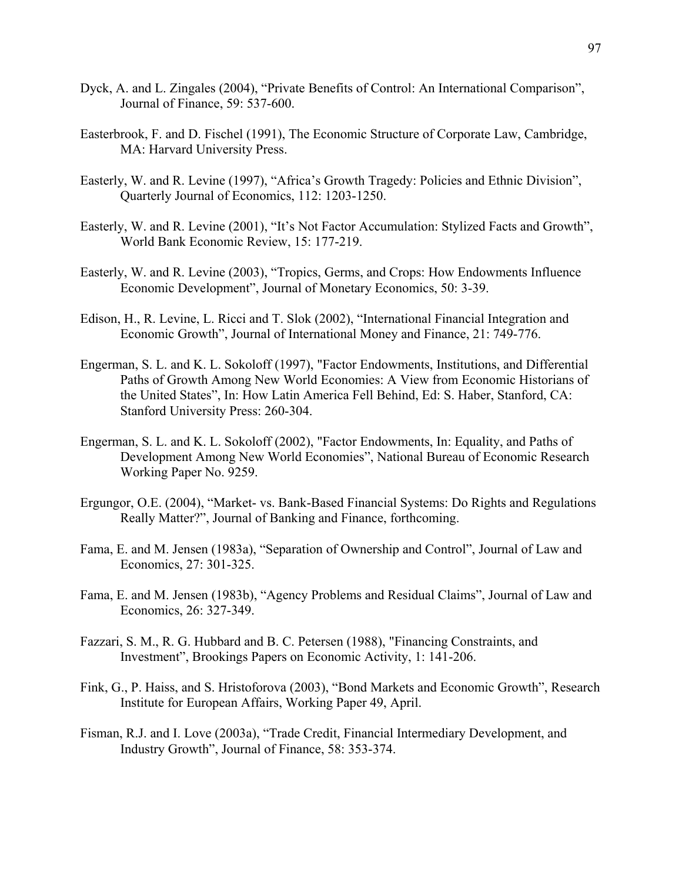- Dyck, A. and L. Zingales (2004), "Private Benefits of Control: An International Comparison", Journal of Finance, 59: 537-600.
- Easterbrook, F. and D. Fischel (1991), The Economic Structure of Corporate Law, Cambridge, MA: Harvard University Press.
- Easterly, W. and R. Levine (1997), "Africa's Growth Tragedy: Policies and Ethnic Division", Quarterly Journal of Economics, 112: 1203-1250.
- Easterly, W. and R. Levine (2001), "It's Not Factor Accumulation: Stylized Facts and Growth", World Bank Economic Review, 15: 177-219.
- Easterly, W. and R. Levine (2003), "Tropics, Germs, and Crops: How Endowments Influence Economic Development", Journal of Monetary Economics, 50: 3-39.
- Edison, H., R. Levine, L. Ricci and T. Slok (2002), "International Financial Integration and Economic Growth", Journal of International Money and Finance, 21: 749-776.
- Engerman, S. L. and K. L. Sokoloff (1997), "Factor Endowments, Institutions, and Differential Paths of Growth Among New World Economies: A View from Economic Historians of the United States", In: How Latin America Fell Behind, Ed: S. Haber, Stanford, CA: Stanford University Press: 260-304.
- Engerman, S. L. and K. L. Sokoloff (2002), "Factor Endowments, In: Equality, and Paths of Development Among New World Economies", National Bureau of Economic Research Working Paper No. 9259.
- Ergungor, O.E. (2004), "Market- vs. Bank-Based Financial Systems: Do Rights and Regulations Really Matter?", Journal of Banking and Finance, forthcoming.
- Fama, E. and M. Jensen (1983a), "Separation of Ownership and Control", Journal of Law and Economics, 27: 301-325.
- Fama, E. and M. Jensen (1983b), "Agency Problems and Residual Claims", Journal of Law and Economics, 26: 327-349.
- Fazzari, S. M., R. G. Hubbard and B. C. Petersen (1988), "Financing Constraints, and Investment", Brookings Papers on Economic Activity, 1: 141-206.
- Fink, G., P. Haiss, and S. Hristoforova (2003), "Bond Markets and Economic Growth", Research Institute for European Affairs, Working Paper 49, April.
- Fisman, R.J. and I. Love (2003a), "Trade Credit, Financial Intermediary Development, and Industry Growth", Journal of Finance, 58: 353-374.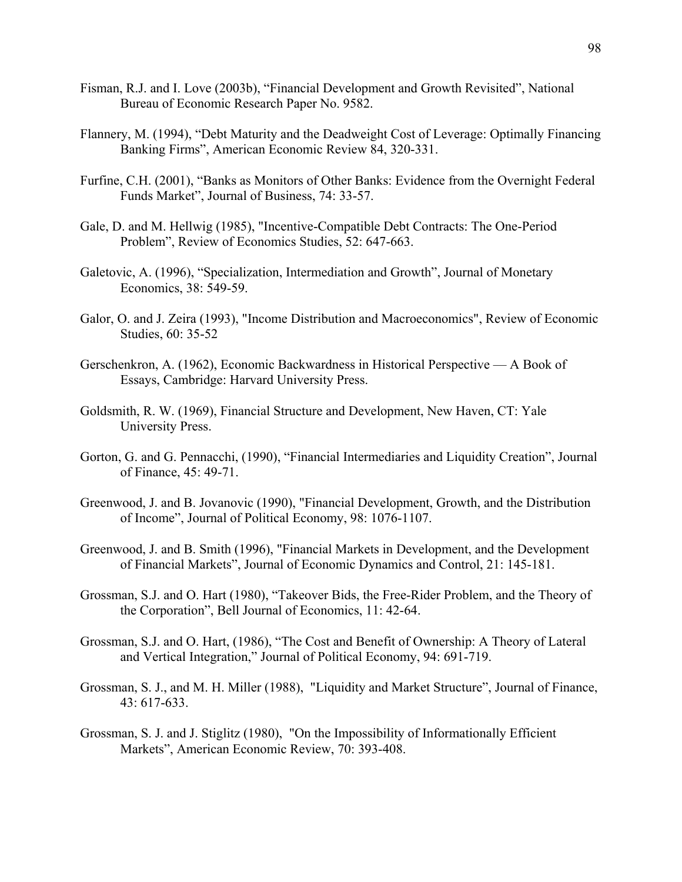- Fisman, R.J. and I. Love (2003b), "Financial Development and Growth Revisited", National Bureau of Economic Research Paper No. 9582.
- Flannery, M. (1994), "Debt Maturity and the Deadweight Cost of Leverage: Optimally Financing Banking Firms", American Economic Review 84, 320-331.
- Furfine, C.H. (2001), "Banks as Monitors of Other Banks: Evidence from the Overnight Federal Funds Market", Journal of Business, 74: 33-57.
- Gale, D. and M. Hellwig (1985), "Incentive-Compatible Debt Contracts: The One-Period Problem", Review of Economics Studies, 52: 647-663.
- Galetovic, A. (1996), "Specialization, Intermediation and Growth", Journal of Monetary Economics, 38: 549-59.
- Galor, O. and J. Zeira (1993), "Income Distribution and Macroeconomics", Review of Economic Studies, 60: 35-52
- Gerschenkron, A. (1962), Economic Backwardness in Historical Perspective A Book of Essays, Cambridge: Harvard University Press.
- Goldsmith, R. W. (1969), Financial Structure and Development, New Haven, CT: Yale University Press.
- Gorton, G. and G. Pennacchi, (1990), "Financial Intermediaries and Liquidity Creation", Journal of Finance, 45: 49-71.
- Greenwood, J. and B. Jovanovic (1990), "Financial Development, Growth, and the Distribution of Income", Journal of Political Economy, 98: 1076-1107.
- Greenwood, J. and B. Smith (1996), "Financial Markets in Development, and the Development of Financial Markets", Journal of Economic Dynamics and Control, 21: 145-181.
- Grossman, S.J. and O. Hart (1980), "Takeover Bids, the Free-Rider Problem, and the Theory of the Corporation", Bell Journal of Economics, 11: 42-64.
- Grossman, S.J. and O. Hart, (1986), "The Cost and Benefit of Ownership: A Theory of Lateral and Vertical Integration," Journal of Political Economy, 94: 691-719.
- Grossman, S. J., and M. H. Miller (1988), "Liquidity and Market Structure", Journal of Finance, 43: 617-633.
- Grossman, S. J. and J. Stiglitz (1980), "On the Impossibility of Informationally Efficient Markets", American Economic Review, 70: 393-408.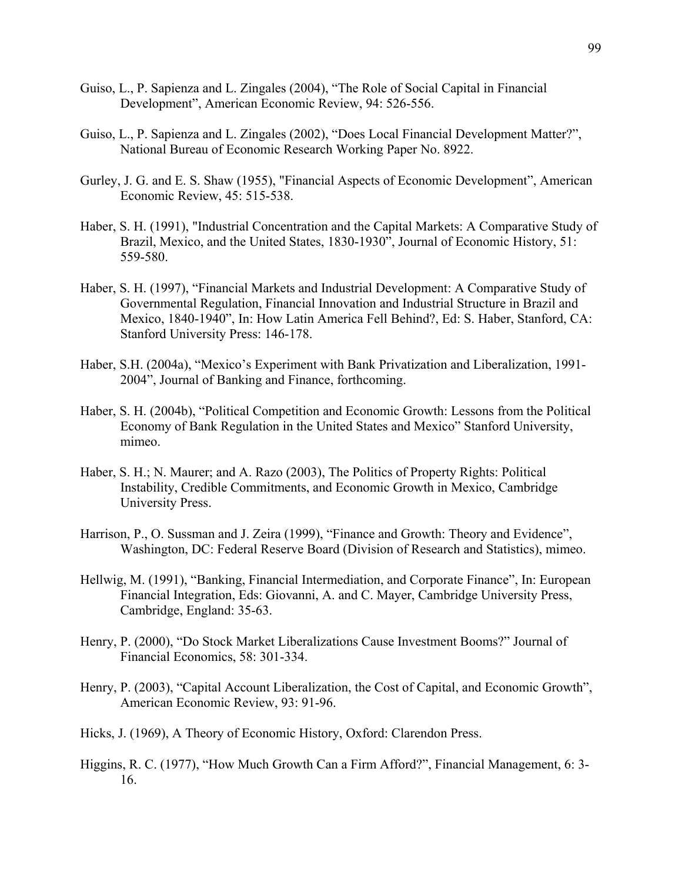- Guiso, L., P. Sapienza and L. Zingales (2004), "The Role of Social Capital in Financial Development", American Economic Review, 94: 526-556.
- Guiso, L., P. Sapienza and L. Zingales (2002), "Does Local Financial Development Matter?", National Bureau of Economic Research Working Paper No. 8922.
- Gurley, J. G. and E. S. Shaw (1955), "Financial Aspects of Economic Development", American Economic Review, 45: 515-538.
- Haber, S. H. (1991), "Industrial Concentration and the Capital Markets: A Comparative Study of Brazil, Mexico, and the United States, 1830-1930", Journal of Economic History, 51: 559-580.
- Haber, S. H. (1997), "Financial Markets and Industrial Development: A Comparative Study of Governmental Regulation, Financial Innovation and Industrial Structure in Brazil and Mexico, 1840-1940", In: How Latin America Fell Behind?, Ed: S. Haber, Stanford, CA: Stanford University Press: 146-178.
- Haber, S.H. (2004a), "Mexico's Experiment with Bank Privatization and Liberalization, 1991- 2004", Journal of Banking and Finance, forthcoming.
- Haber, S. H. (2004b), "Political Competition and Economic Growth: Lessons from the Political Economy of Bank Regulation in the United States and Mexico" Stanford University, mimeo.
- Haber, S. H.; N. Maurer; and A. Razo (2003), The Politics of Property Rights: Political Instability, Credible Commitments, and Economic Growth in Mexico, Cambridge University Press.
- Harrison, P., O. Sussman and J. Zeira (1999), "Finance and Growth: Theory and Evidence", Washington, DC: Federal Reserve Board (Division of Research and Statistics), mimeo.
- Hellwig, M. (1991), "Banking, Financial Intermediation, and Corporate Finance", In: European Financial Integration, Eds: Giovanni, A. and C. Mayer, Cambridge University Press, Cambridge, England: 35-63.
- Henry, P. (2000), "Do Stock Market Liberalizations Cause Investment Booms?" Journal of Financial Economics, 58: 301-334.
- Henry, P. (2003), "Capital Account Liberalization, the Cost of Capital, and Economic Growth", American Economic Review, 93: 91-96.
- Hicks, J. (1969), A Theory of Economic History, Oxford: Clarendon Press.
- Higgins, R. C. (1977), "How Much Growth Can a Firm Afford?", Financial Management, 6: 3- 16.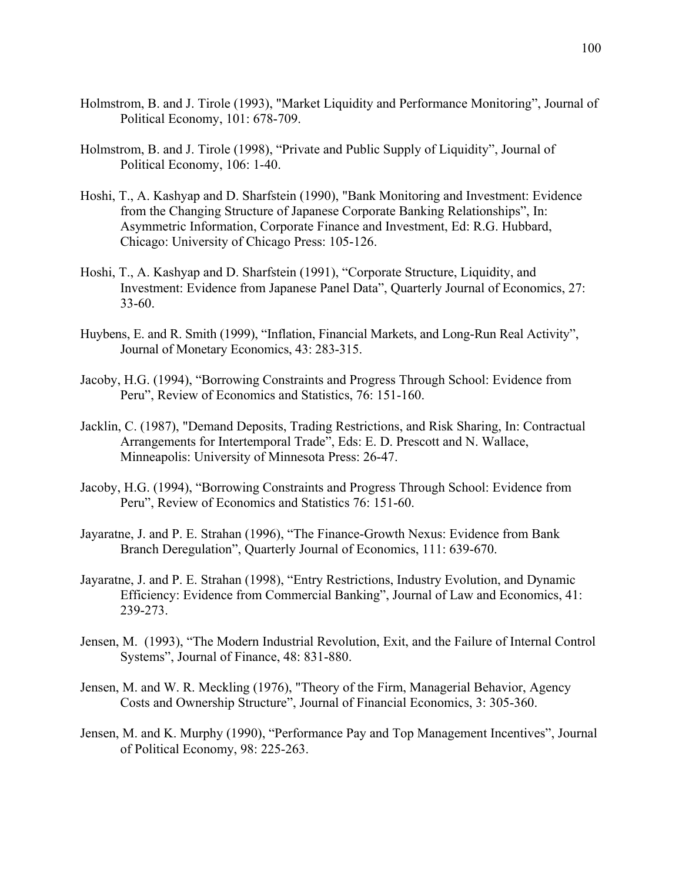- Holmstrom, B. and J. Tirole (1993), "Market Liquidity and Performance Monitoring", Journal of Political Economy, 101: 678-709.
- Holmstrom, B. and J. Tirole (1998), "Private and Public Supply of Liquidity", Journal of Political Economy, 106: 1-40.
- Hoshi, T., A. Kashyap and D. Sharfstein (1990), "Bank Monitoring and Investment: Evidence from the Changing Structure of Japanese Corporate Banking Relationships", In: Asymmetric Information, Corporate Finance and Investment, Ed: R.G. Hubbard, Chicago: University of Chicago Press: 105-126.
- Hoshi, T., A. Kashyap and D. Sharfstein (1991), "Corporate Structure, Liquidity, and Investment: Evidence from Japanese Panel Data", Quarterly Journal of Economics, 27: 33-60.
- Huybens, E. and R. Smith (1999), "Inflation, Financial Markets, and Long-Run Real Activity", Journal of Monetary Economics, 43: 283-315.
- Jacoby, H.G. (1994), "Borrowing Constraints and Progress Through School: Evidence from Peru", Review of Economics and Statistics, 76: 151-160.
- Jacklin, C. (1987), "Demand Deposits, Trading Restrictions, and Risk Sharing, In: Contractual Arrangements for Intertemporal Trade", Eds: E. D. Prescott and N. Wallace, Minneapolis: University of Minnesota Press: 26-47.
- Jacoby, H.G. (1994), "Borrowing Constraints and Progress Through School: Evidence from Peru", Review of Economics and Statistics 76: 151-60.
- Jayaratne, J. and P. E. Strahan (1996), "The Finance-Growth Nexus: Evidence from Bank Branch Deregulation", Quarterly Journal of Economics, 111: 639-670.
- Jayaratne, J. and P. E. Strahan (1998), "Entry Restrictions, Industry Evolution, and Dynamic Efficiency: Evidence from Commercial Banking", Journal of Law and Economics, 41: 239-273.
- Jensen, M. (1993), "The Modern Industrial Revolution, Exit, and the Failure of Internal Control Systems", Journal of Finance, 48: 831-880.
- Jensen, M. and W. R. Meckling (1976), "Theory of the Firm, Managerial Behavior, Agency Costs and Ownership Structure", Journal of Financial Economics, 3: 305-360.
- Jensen, M. and K. Murphy (1990), "Performance Pay and Top Management Incentives", Journal of Political Economy, 98: 225-263.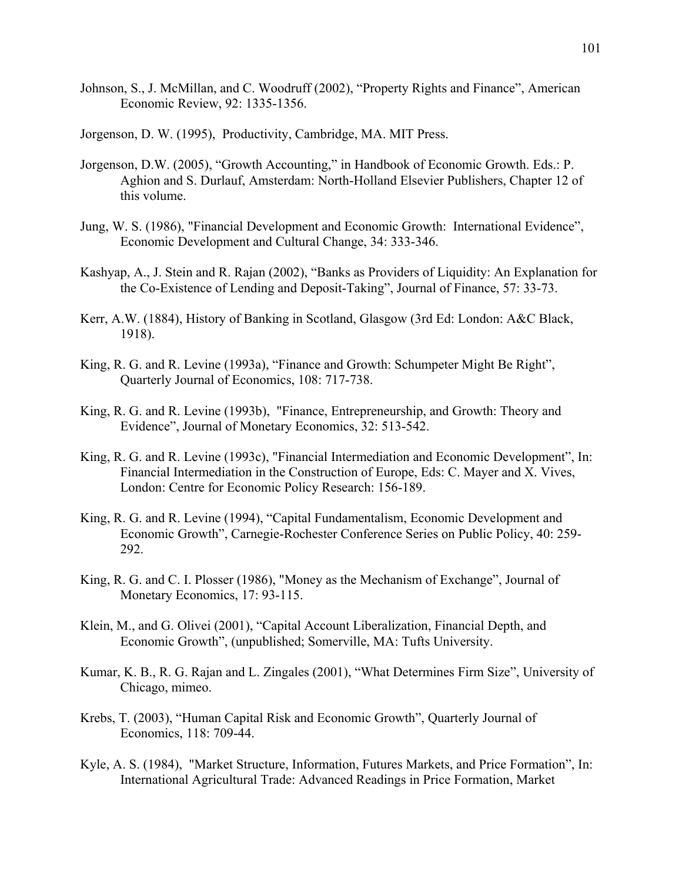- Johnson, S., J. McMillan, and C. Woodruff (2002), "Property Rights and Finance", American Economic Review, 92: 1335-1356.
- Jorgenson, D. W. (1995), Productivity, Cambridge, MA. MIT Press.
- Jorgenson, D.W. (2005), "Growth Accounting," in Handbook of Economic Growth. Eds.: P. Aghion and S. Durlauf, Amsterdam: North-Holland Elsevier Publishers, Chapter 12 of this volume.
- Jung, W. S. (1986), "Financial Development and Economic Growth: International Evidence", Economic Development and Cultural Change, 34: 333-346.
- Kashyap, A., J. Stein and R. Rajan (2002), "Banks as Providers of Liquidity: An Explanation for the Co-Existence of Lending and Deposit-Taking", Journal of Finance, 57: 33-73.
- Kerr, A.W. (1884), History of Banking in Scotland, Glasgow (3rd Ed: London: A&C Black, 1918).
- King, R. G. and R. Levine (1993a), "Finance and Growth: Schumpeter Might Be Right", Quarterly Journal of Economics, 108: 717-738.
- King, R. G. and R. Levine (1993b), "Finance, Entrepreneurship, and Growth: Theory and Evidence", Journal of Monetary Economics, 32: 513-542.
- King, R. G. and R. Levine (1993c), "Financial Intermediation and Economic Development", In: Financial Intermediation in the Construction of Europe, Eds: C. Mayer and X. Vives, London: Centre for Economic Policy Research: 156-189.
- King, R. G. and R. Levine (1994), "Capital Fundamentalism, Economic Development and Economic Growth", Carnegie-Rochester Conference Series on Public Policy, 40: 259- 292.
- King, R. G. and C. I. Plosser (1986), "Money as the Mechanism of Exchange", Journal of Monetary Economics, 17: 93-115.
- Klein, M., and G. Olivei (2001), "Capital Account Liberalization, Financial Depth, and Economic Growth", (unpublished; Somerville, MA: Tufts University.
- Kumar, K. B., R. G. Rajan and L. Zingales (2001), "What Determines Firm Size", University of Chicago, mimeo.
- Krebs, T. (2003), "Human Capital Risk and Economic Growth", Quarterly Journal of Economics, 118: 709-44.
- Kyle, A. S. (1984), "Market Structure, Information, Futures Markets, and Price Formation", In: International Agricultural Trade: Advanced Readings in Price Formation, Market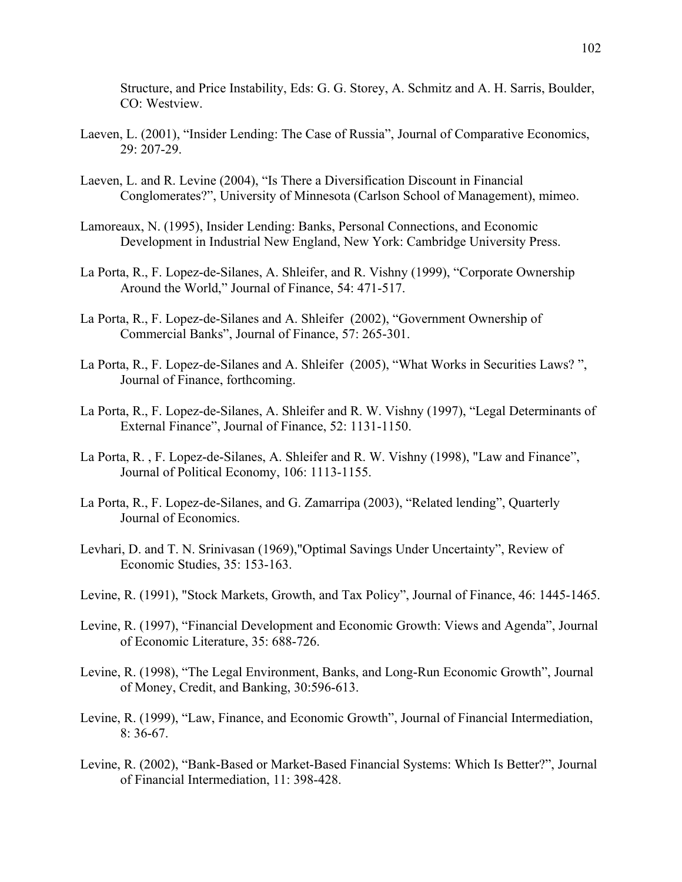Structure, and Price Instability, Eds: G. G. Storey, A. Schmitz and A. H. Sarris, Boulder, CO: Westview.

- Laeven, L. (2001), "Insider Lending: The Case of Russia", Journal of Comparative Economics, 29: 207-29.
- Laeven, L. and R. Levine (2004), "Is There a Diversification Discount in Financial Conglomerates?", University of Minnesota (Carlson School of Management), mimeo.
- Lamoreaux, N. (1995), Insider Lending: Banks, Personal Connections, and Economic Development in Industrial New England, New York: Cambridge University Press.
- La Porta, R., F. Lopez-de-Silanes, A. Shleifer, and R. Vishny (1999), "Corporate Ownership Around the World," Journal of Finance, 54: 471-517.
- La Porta, R., F. Lopez-de-Silanes and A. Shleifer (2002), "Government Ownership of Commercial Banks", Journal of Finance, 57: 265-301.
- La Porta, R., F. Lopez-de-Silanes and A. Shleifer (2005), "What Works in Securities Laws? ", Journal of Finance, forthcoming.
- La Porta, R., F. Lopez-de-Silanes, A. Shleifer and R. W. Vishny (1997), "Legal Determinants of External Finance", Journal of Finance, 52: 1131-1150.
- La Porta, R. , F. Lopez-de-Silanes, A. Shleifer and R. W. Vishny (1998), "Law and Finance", Journal of Political Economy, 106: 1113-1155.
- La Porta, R., F. Lopez-de-Silanes, and G. Zamarripa (2003), "Related lending", Quarterly Journal of Economics.
- Levhari, D. and T. N. Srinivasan (1969),"Optimal Savings Under Uncertainty", Review of Economic Studies, 35: 153-163.
- Levine, R. (1991), "Stock Markets, Growth, and Tax Policy", Journal of Finance, 46: 1445-1465.
- Levine, R. (1997), "Financial Development and Economic Growth: Views and Agenda", Journal of Economic Literature, 35: 688-726.
- Levine, R. (1998), "The Legal Environment, Banks, and Long-Run Economic Growth", Journal of Money, Credit, and Banking, 30:596-613.
- Levine, R. (1999), "Law, Finance, and Economic Growth", Journal of Financial Intermediation, 8: 36-67.
- Levine, R. (2002), "Bank-Based or Market-Based Financial Systems: Which Is Better?", Journal of Financial Intermediation, 11: 398-428.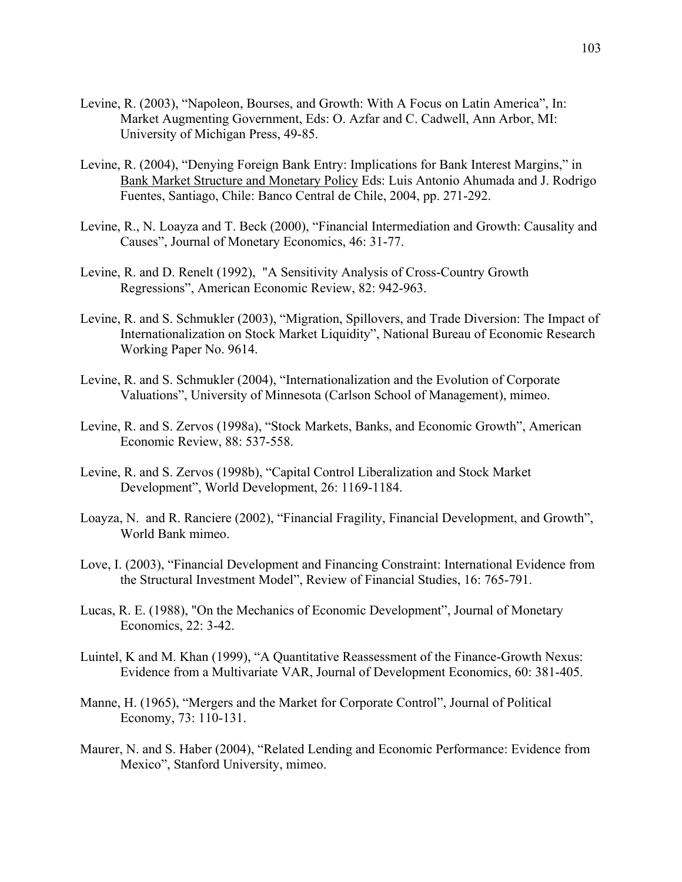- Levine, R. (2003), "Napoleon, Bourses, and Growth: With A Focus on Latin America", In: Market Augmenting Government, Eds: O. Azfar and C. Cadwell, Ann Arbor, MI: University of Michigan Press, 49-85.
- Levine, R. (2004), "Denying Foreign Bank Entry: Implications for Bank Interest Margins," in Bank Market Structure and Monetary Policy Eds: Luis Antonio Ahumada and J. Rodrigo Fuentes, Santiago, Chile: Banco Central de Chile, 2004, pp. 271-292.
- Levine, R., N. Loayza and T. Beck (2000), "Financial Intermediation and Growth: Causality and Causes", Journal of Monetary Economics, 46: 31-77.
- Levine, R. and D. Renelt (1992), "A Sensitivity Analysis of Cross-Country Growth Regressions", American Economic Review, 82: 942-963.
- Levine, R. and S. Schmukler (2003), "Migration, Spillovers, and Trade Diversion: The Impact of Internationalization on Stock Market Liquidity", National Bureau of Economic Research Working Paper No. 9614.
- Levine, R. and S. Schmukler (2004), "Internationalization and the Evolution of Corporate Valuations", University of Minnesota (Carlson School of Management), mimeo.
- Levine, R. and S. Zervos (1998a), "Stock Markets, Banks, and Economic Growth", American Economic Review, 88: 537-558.
- Levine, R. and S. Zervos (1998b), "Capital Control Liberalization and Stock Market Development", World Development, 26: 1169-1184.
- Loayza, N. and R. Ranciere (2002), "Financial Fragility, Financial Development, and Growth", World Bank mimeo.
- Love, I. (2003), "Financial Development and Financing Constraint: International Evidence from the Structural Investment Model", Review of Financial Studies, 16: 765-791.
- Lucas, R. E. (1988), "On the Mechanics of Economic Development", Journal of Monetary Economics, 22: 3-42.
- Luintel, K and M. Khan (1999), "A Quantitative Reassessment of the Finance-Growth Nexus: Evidence from a Multivariate VAR, Journal of Development Economics, 60: 381-405.
- Manne, H. (1965), "Mergers and the Market for Corporate Control", Journal of Political Economy, 73: 110-131.
- Maurer, N. and S. Haber (2004), "Related Lending and Economic Performance: Evidence from Mexico", Stanford University, mimeo.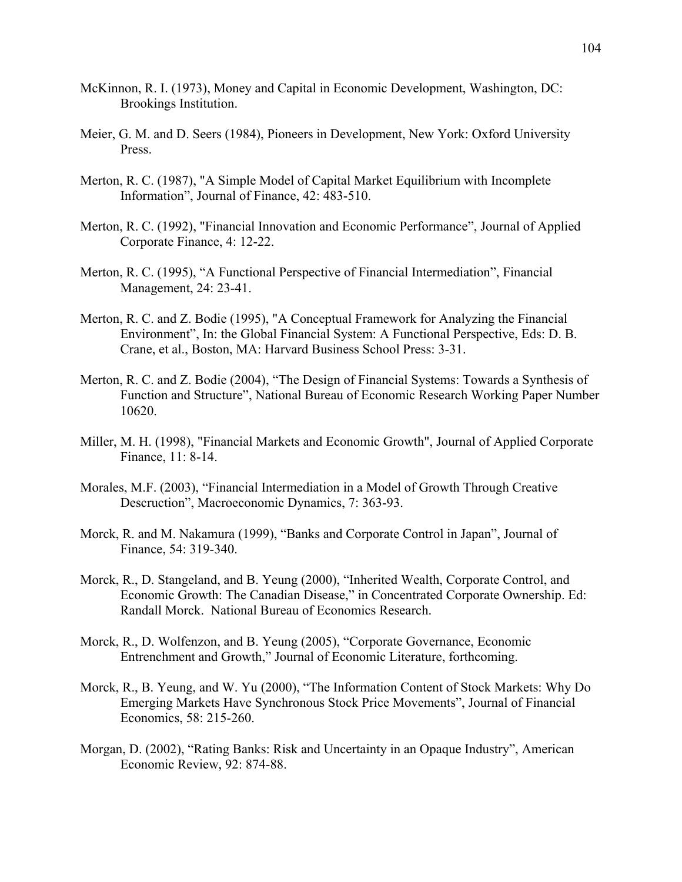- McKinnon, R. I. (1973), Money and Capital in Economic Development, Washington, DC: Brookings Institution.
- Meier, G. M. and D. Seers (1984), Pioneers in Development, New York: Oxford University Press.
- Merton, R. C. (1987), "A Simple Model of Capital Market Equilibrium with Incomplete Information", Journal of Finance, 42: 483-510.
- Merton, R. C. (1992), "Financial Innovation and Economic Performance", Journal of Applied Corporate Finance, 4: 12-22.
- Merton, R. C. (1995), "A Functional Perspective of Financial Intermediation", Financial Management, 24: 23-41.
- Merton, R. C. and Z. Bodie (1995), "A Conceptual Framework for Analyzing the Financial Environment", In: the Global Financial System: A Functional Perspective, Eds: D. B. Crane, et al., Boston, MA: Harvard Business School Press: 3-31.
- Merton, R. C. and Z. Bodie (2004), "The Design of Financial Systems: Towards a Synthesis of Function and Structure", National Bureau of Economic Research Working Paper Number 10620.
- Miller, M. H. (1998), "Financial Markets and Economic Growth", Journal of Applied Corporate Finance, 11: 8-14.
- Morales, M.F. (2003), "Financial Intermediation in a Model of Growth Through Creative Descruction", Macroeconomic Dynamics, 7: 363-93.
- Morck, R. and M. Nakamura (1999), "Banks and Corporate Control in Japan", Journal of Finance, 54: 319-340.
- Morck, R., D. Stangeland, and B. Yeung (2000), "Inherited Wealth, Corporate Control, and Economic Growth: The Canadian Disease," in Concentrated Corporate Ownership. Ed: Randall Morck. National Bureau of Economics Research.
- Morck, R., D. Wolfenzon, and B. Yeung (2005), "Corporate Governance, Economic Entrenchment and Growth," Journal of Economic Literature, forthcoming.
- Morck, R., B. Yeung, and W. Yu (2000), "The Information Content of Stock Markets: Why Do Emerging Markets Have Synchronous Stock Price Movements", Journal of Financial Economics, 58: 215-260.
- Morgan, D. (2002), "Rating Banks: Risk and Uncertainty in an Opaque Industry", American Economic Review, 92: 874-88.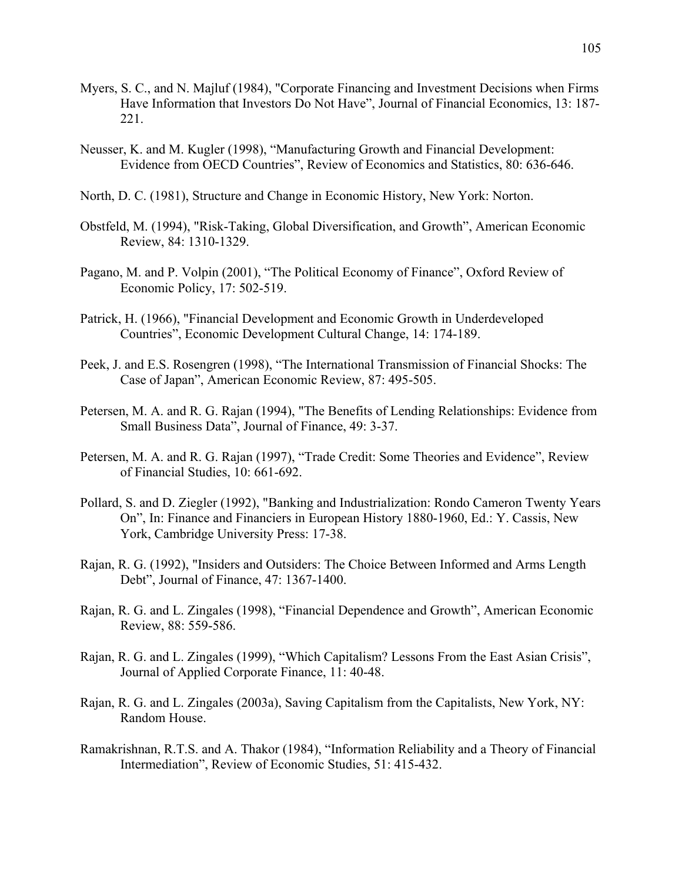- Myers, S. C., and N. Majluf (1984), "Corporate Financing and Investment Decisions when Firms Have Information that Investors Do Not Have", Journal of Financial Economics, 13: 187- 221.
- Neusser, K. and M. Kugler (1998), "Manufacturing Growth and Financial Development: Evidence from OECD Countries", Review of Economics and Statistics, 80: 636-646.
- North, D. C. (1981), Structure and Change in Economic History, New York: Norton.
- Obstfeld, M. (1994), "Risk-Taking, Global Diversification, and Growth", American Economic Review, 84: 1310-1329.
- Pagano, M. and P. Volpin (2001), "The Political Economy of Finance", Oxford Review of Economic Policy, 17: 502-519.
- Patrick, H. (1966), "Financial Development and Economic Growth in Underdeveloped Countries", Economic Development Cultural Change, 14: 174-189.
- Peek, J. and E.S. Rosengren (1998), "The International Transmission of Financial Shocks: The Case of Japan", American Economic Review, 87: 495-505.
- Petersen, M. A. and R. G. Rajan (1994), "The Benefits of Lending Relationships: Evidence from Small Business Data", Journal of Finance, 49: 3-37.
- Petersen, M. A. and R. G. Rajan (1997), "Trade Credit: Some Theories and Evidence", Review of Financial Studies, 10: 661-692.
- Pollard, S. and D. Ziegler (1992), "Banking and Industrialization: Rondo Cameron Twenty Years On", In: Finance and Financiers in European History 1880-1960, Ed.: Y. Cassis, New York, Cambridge University Press: 17-38.
- Rajan, R. G. (1992), "Insiders and Outsiders: The Choice Between Informed and Arms Length Debt", Journal of Finance, 47: 1367-1400.
- Rajan, R. G. and L. Zingales (1998), "Financial Dependence and Growth", American Economic Review, 88: 559-586.
- Rajan, R. G. and L. Zingales (1999), "Which Capitalism? Lessons From the East Asian Crisis", Journal of Applied Corporate Finance, 11: 40-48.
- Rajan, R. G. and L. Zingales (2003a), Saving Capitalism from the Capitalists, New York, NY: Random House.
- Ramakrishnan, R.T.S. and A. Thakor (1984), "Information Reliability and a Theory of Financial Intermediation", Review of Economic Studies, 51: 415-432.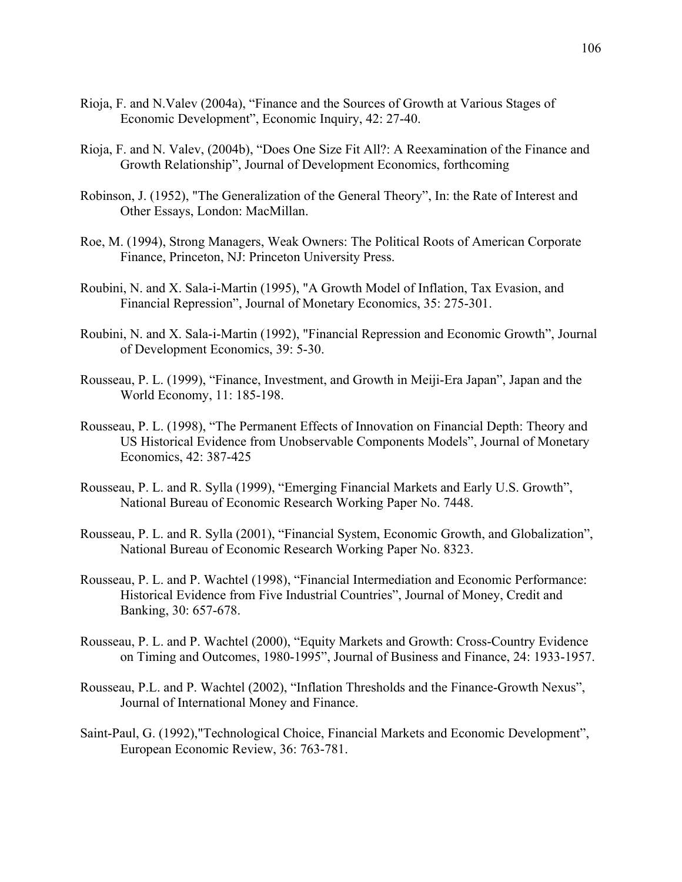- Rioja, F. and N.Valev (2004a), "Finance and the Sources of Growth at Various Stages of Economic Development", Economic Inquiry, 42: 27-40.
- Rioja, F. and N. Valev, (2004b), "Does One Size Fit All?: A Reexamination of the Finance and Growth Relationship", Journal of Development Economics, forthcoming
- Robinson, J. (1952), "The Generalization of the General Theory", In: the Rate of Interest and Other Essays, London: MacMillan.
- Roe, M. (1994), Strong Managers, Weak Owners: The Political Roots of American Corporate Finance, Princeton, NJ: Princeton University Press.
- Roubini, N. and X. Sala-i-Martin (1995), "A Growth Model of Inflation, Tax Evasion, and Financial Repression", Journal of Monetary Economics, 35: 275-301.
- Roubini, N. and X. Sala-i-Martin (1992), "Financial Repression and Economic Growth", Journal of Development Economics, 39: 5-30.
- Rousseau, P. L. (1999), "Finance, Investment, and Growth in Meiji-Era Japan", Japan and the World Economy, 11: 185-198.
- Rousseau, P. L. (1998), "The Permanent Effects of Innovation on Financial Depth: Theory and US Historical Evidence from Unobservable Components Models", Journal of Monetary Economics, 42: 387-425
- Rousseau, P. L. and R. Sylla (1999), "Emerging Financial Markets and Early U.S. Growth", National Bureau of Economic Research Working Paper No. 7448.
- Rousseau, P. L. and R. Sylla (2001), "Financial System, Economic Growth, and Globalization", National Bureau of Economic Research Working Paper No. 8323.
- Rousseau, P. L. and P. Wachtel (1998), "Financial Intermediation and Economic Performance: Historical Evidence from Five Industrial Countries", Journal of Money, Credit and Banking, 30: 657-678.
- Rousseau, P. L. and P. Wachtel (2000), "Equity Markets and Growth: Cross-Country Evidence on Timing and Outcomes, 1980-1995", Journal of Business and Finance, 24: 1933-1957.
- Rousseau, P.L. and P. Wachtel (2002), "Inflation Thresholds and the Finance-Growth Nexus", Journal of International Money and Finance.
- Saint-Paul, G. (1992),"Technological Choice, Financial Markets and Economic Development", European Economic Review, 36: 763-781.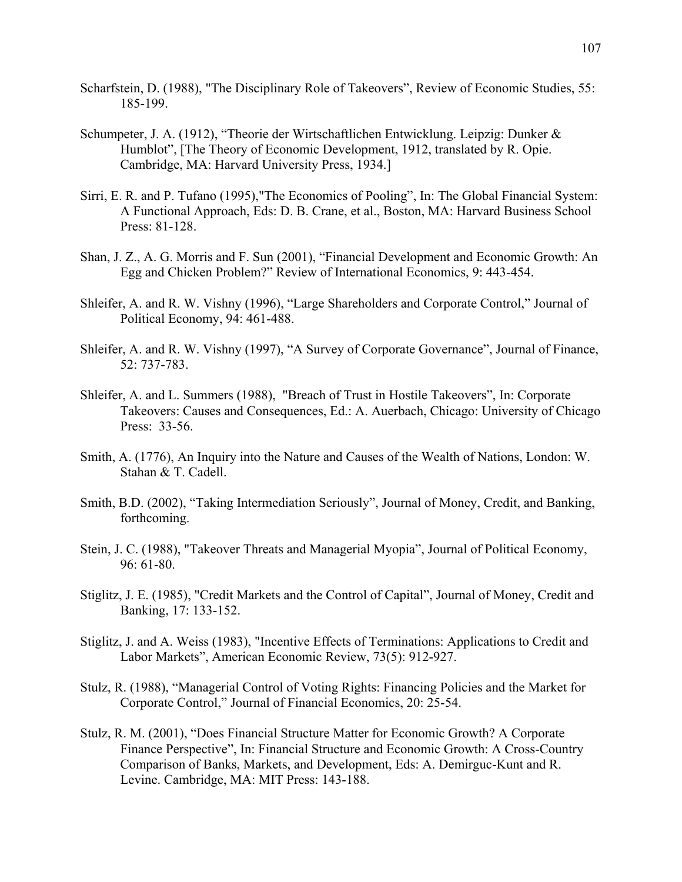- Scharfstein, D. (1988), "The Disciplinary Role of Takeovers", Review of Economic Studies, 55: 185-199.
- Schumpeter, J. A. (1912), "Theorie der Wirtschaftlichen Entwicklung. Leipzig: Dunker & Humblot", [The Theory of Economic Development, 1912, translated by R. Opie. Cambridge, MA: Harvard University Press, 1934.]
- Sirri, E. R. and P. Tufano (1995),"The Economics of Pooling", In: The Global Financial System: A Functional Approach, Eds: D. B. Crane, et al., Boston, MA: Harvard Business School Press: 81-128.
- Shan, J. Z., A. G. Morris and F. Sun (2001), "Financial Development and Economic Growth: An Egg and Chicken Problem?" Review of International Economics, 9: 443-454.
- Shleifer, A. and R. W. Vishny (1996), "Large Shareholders and Corporate Control," Journal of Political Economy, 94: 461-488.
- Shleifer, A. and R. W. Vishny (1997), "A Survey of Corporate Governance", Journal of Finance, 52: 737-783.
- Shleifer, A. and L. Summers (1988), "Breach of Trust in Hostile Takeovers", In: Corporate Takeovers: Causes and Consequences, Ed.: A. Auerbach, Chicago: University of Chicago Press: 33-56.
- Smith, A. (1776), An Inquiry into the Nature and Causes of the Wealth of Nations, London: W. Stahan & T. Cadell.
- Smith, B.D. (2002), "Taking Intermediation Seriously", Journal of Money, Credit, and Banking, forthcoming.
- Stein, J. C. (1988), "Takeover Threats and Managerial Myopia", Journal of Political Economy, 96: 61-80.
- Stiglitz, J. E. (1985), "Credit Markets and the Control of Capital", Journal of Money, Credit and Banking, 17: 133-152.
- Stiglitz, J. and A. Weiss (1983), "Incentive Effects of Terminations: Applications to Credit and Labor Markets", American Economic Review, 73(5): 912-927.
- Stulz, R. (1988), "Managerial Control of Voting Rights: Financing Policies and the Market for Corporate Control," Journal of Financial Economics, 20: 25-54.
- Stulz, R. M. (2001), "Does Financial Structure Matter for Economic Growth? A Corporate Finance Perspective", In: Financial Structure and Economic Growth: A Cross-Country Comparison of Banks, Markets, and Development, Eds: A. Demirguc-Kunt and R. Levine. Cambridge, MA: MIT Press: 143-188.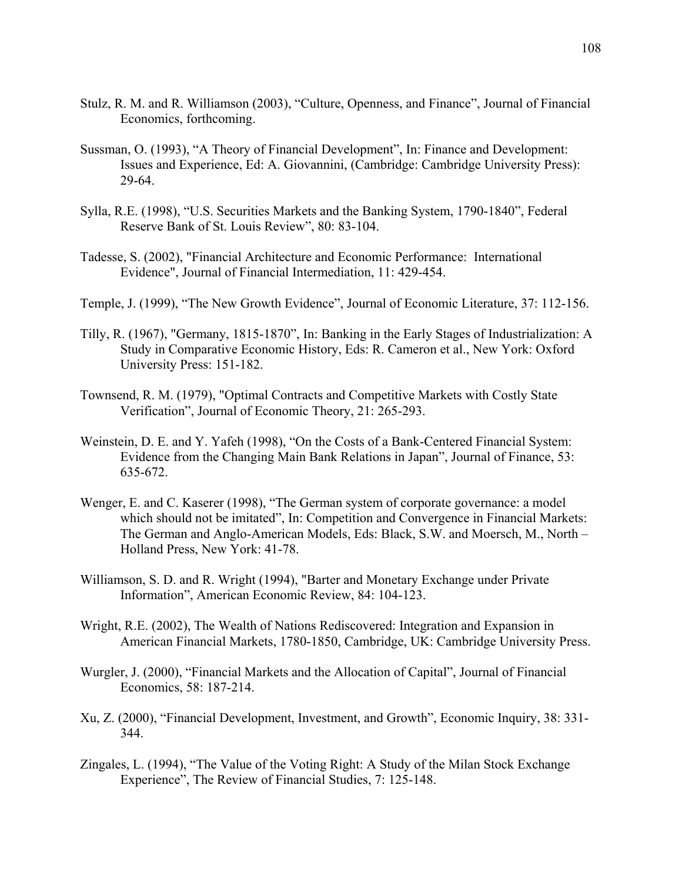- Stulz, R. M. and R. Williamson (2003), "Culture, Openness, and Finance", Journal of Financial Economics, forthcoming.
- Sussman, O. (1993), "A Theory of Financial Development", In: Finance and Development: Issues and Experience, Ed: A. Giovannini, (Cambridge: Cambridge University Press): 29-64.
- Sylla, R.E. (1998), "U.S. Securities Markets and the Banking System, 1790-1840", Federal Reserve Bank of St. Louis Review", 80: 83-104.
- Tadesse, S. (2002), "Financial Architecture and Economic Performance: International Evidence", Journal of Financial Intermediation, 11: 429-454.
- Temple, J. (1999), "The New Growth Evidence", Journal of Economic Literature, 37: 112-156.
- Tilly, R. (1967), "Germany, 1815-1870", In: Banking in the Early Stages of Industrialization: A Study in Comparative Economic History, Eds: R. Cameron et al., New York: Oxford University Press: 151-182.
- Townsend, R. M. (1979), "Optimal Contracts and Competitive Markets with Costly State Verification", Journal of Economic Theory, 21: 265-293.
- Weinstein, D. E. and Y. Yafeh (1998), "On the Costs of a Bank-Centered Financial System: Evidence from the Changing Main Bank Relations in Japan", Journal of Finance, 53: 635-672.
- Wenger, E. and C. Kaserer (1998), "The German system of corporate governance: a model which should not be imitated", In: Competition and Convergence in Financial Markets: The German and Anglo-American Models, Eds: Black, S.W. and Moersch, M., North – Holland Press, New York: 41-78.
- Williamson, S. D. and R. Wright (1994), "Barter and Monetary Exchange under Private Information", American Economic Review, 84: 104-123.
- Wright, R.E. (2002), The Wealth of Nations Rediscovered: Integration and Expansion in American Financial Markets, 1780-1850, Cambridge, UK: Cambridge University Press.
- Wurgler, J. (2000), "Financial Markets and the Allocation of Capital", Journal of Financial Economics, 58: 187-214.
- Xu, Z. (2000), "Financial Development, Investment, and Growth", Economic Inquiry, 38: 331- 344.
- Zingales, L. (1994), "The Value of the Voting Right: A Study of the Milan Stock Exchange Experience", The Review of Financial Studies, 7: 125-148.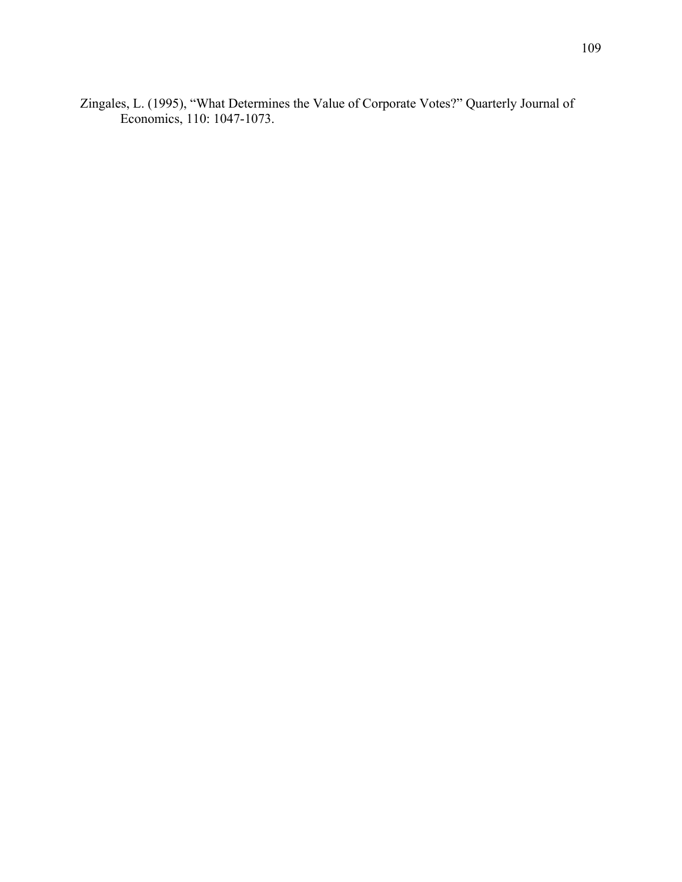Zingales, L. (1995), "What Determines the Value of Corporate Votes?" Quarterly Journal of Economics, 110: 1047-1073.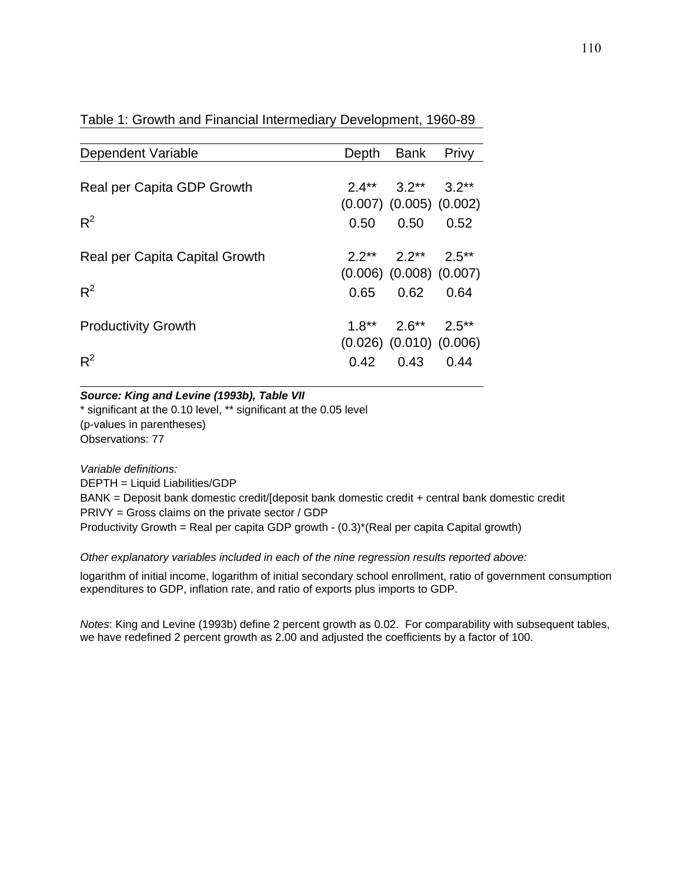| Dependent Variable                    |      | Depth Bank                    | Privy |
|---------------------------------------|------|-------------------------------|-------|
|                                       |      |                               |       |
| Real per Capita GDP Growth            |      | $2.4**$ $3.2**$ $3.2**$       |       |
|                                       |      | $(0.007)$ $(0.005)$ $(0.002)$ |       |
| $R^2$                                 | 0.50 | 0.50                          | 0.52  |
|                                       |      |                               |       |
| <b>Real per Capita Capital Growth</b> |      | $2.2***$ $2.2***$ $2.5***$    |       |
|                                       |      | $(0.006)$ $(0.008)$ $(0.007)$ |       |
| $R^2$                                 |      | $0.65$ 0.62                   | 0.64  |
|                                       |      |                               |       |
| <b>Productivity Growth</b>            |      | $1.8***$ 2.6** 2.5**          |       |
|                                       |      | $(0.026)$ $(0.010)$ $(0.006)$ |       |
| $R^2$                                 |      | $0.42$ 0.43                   | 0.44  |
|                                       |      |                               |       |

Table 1: Growth and Financial Intermediary Development, 1960-89

### *Source: King and Levine (1993b), Table VII*

\* significant at the 0.10 level, \*\* significant at the 0.05 level (p-values in parentheses) Observations: 77

*Variable definitions:*  DEPTH = Liquid Liabilities/GDP BANK = Deposit bank domestic credit/[deposit bank domestic credit + central bank domestic credit PRIVY = Gross claims on the private sector / GDP Productivity Growth = Real per capita GDP growth - (0.3)\*(Real per capita Capital growth)

*Other explanatory variables included in each of the nine regression results reported above:* 

logarithm of initial income, logarithm of initial secondary school enrollment, ratio of government consumption expenditures to GDP, inflation rate, and ratio of exports plus imports to GDP.

*Notes*: King and Levine (1993b) define 2 percent growth as 0.02. For comparability with subsequent tables, we have redefined 2 percent growth as 2.00 and adjusted the coefficients by a factor of 100.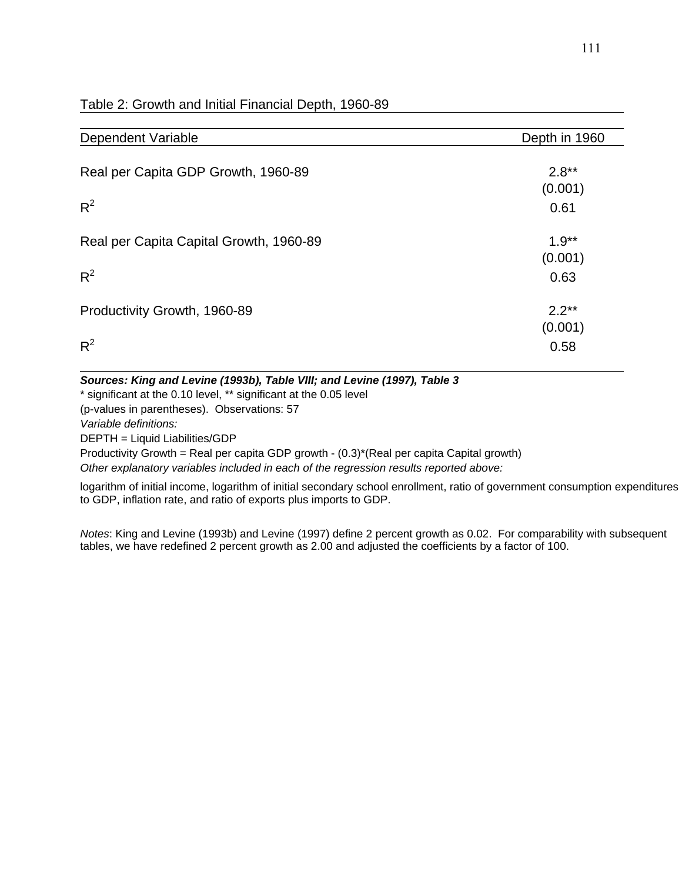Table 2: Growth and Initial Financial Depth, 1960-89

| Dependent Variable                      | Depth in 1960      |
|-----------------------------------------|--------------------|
| Real per Capita GDP Growth, 1960-89     | $2.8**$<br>(0.001) |
| $R^2$                                   | 0.61               |
| Real per Capita Capital Growth, 1960-89 | $1.9**$<br>(0.001) |
| $R^2$                                   | 0.63               |
| Productivity Growth, 1960-89            | $2.2**$<br>(0.001) |
| $R^2$                                   | 0.58               |

### *Sources: King and Levine (1993b), Table VIII; and Levine (1997), Table 3*

\* significant at the 0.10 level, \*\* significant at the 0.05 level

(p-values in parentheses). Observations: 57

*Variable definitions:* 

DEPTH = Liquid Liabilities/GDP

Productivity Growth = Real per capita GDP growth - (0.3)\*(Real per capita Capital growth)

*Other explanatory variables included in each of the regression results reported above:* 

logarithm of initial income, logarithm of initial secondary school enrollment, ratio of government consumption expenditures to GDP, inflation rate, and ratio of exports plus imports to GDP.

*Notes*: King and Levine (1993b) and Levine (1997) define 2 percent growth as 0.02. For comparability with subsequent tables, we have redefined 2 percent growth as 2.00 and adjusted the coefficients by a factor of 100.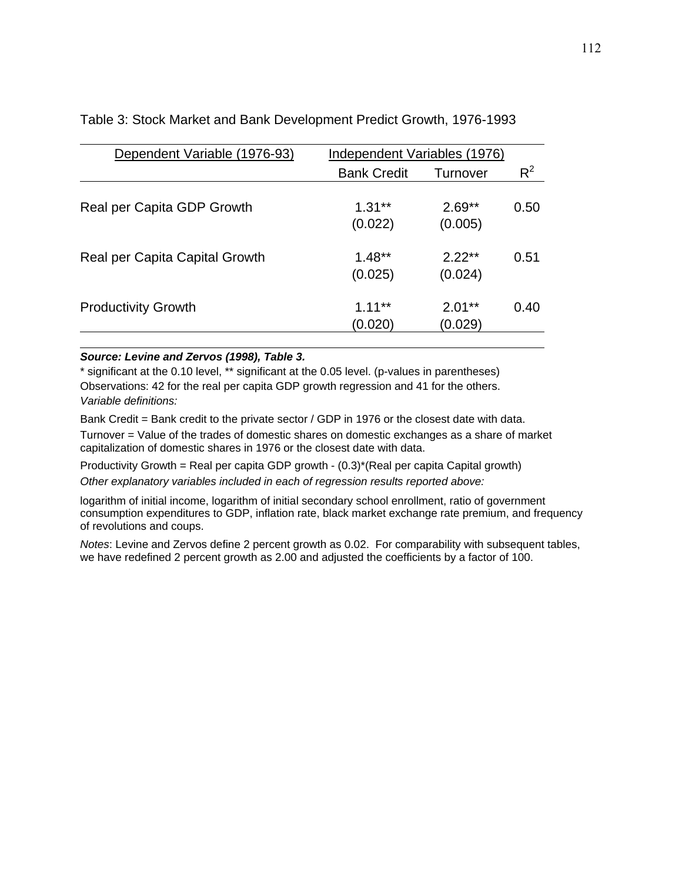| Dependent Variable (1976-93)   | Independent Variables (1976) |                     |       |  |
|--------------------------------|------------------------------|---------------------|-------|--|
|                                | <b>Bank Credit</b>           | Turnover            | $R^2$ |  |
| Real per Capita GDP Growth     | $1.31**$<br>(0.022)          | $2.69**$<br>(0.005) | 0.50  |  |
| Real per Capita Capital Growth | $1.48**$<br>(0.025)          | $2.22**$<br>(0.024) | 0.51  |  |
| <b>Productivity Growth</b>     | $1.11**$<br>(0.020)          | $2.01**$<br>(0.029) | 0.40  |  |

## Table 3: Stock Market and Bank Development Predict Growth, 1976-1993

#### *Source: Levine and Zervos (1998), Table 3.*

\* significant at the 0.10 level, \*\* significant at the 0.05 level. (p-values in parentheses) Observations: 42 for the real per capita GDP growth regression and 41 for the others. *Variable definitions:* 

Bank Credit = Bank credit to the private sector / GDP in 1976 or the closest date with data. Turnover = Value of the trades of domestic shares on domestic exchanges as a share of market capitalization of domestic shares in 1976 or the closest date with data.

Productivity Growth = Real per capita GDP growth - (0.3)\*(Real per capita Capital growth) *Other explanatory variables included in each of regression results reported above:* 

logarithm of initial income, logarithm of initial secondary school enrollment, ratio of government consumption expenditures to GDP, inflation rate, black market exchange rate premium, and frequency of revolutions and coups.

*Notes*: Levine and Zervos define 2 percent growth as 0.02. For comparability with subsequent tables, we have redefined 2 percent growth as 2.00 and adjusted the coefficients by a factor of 100.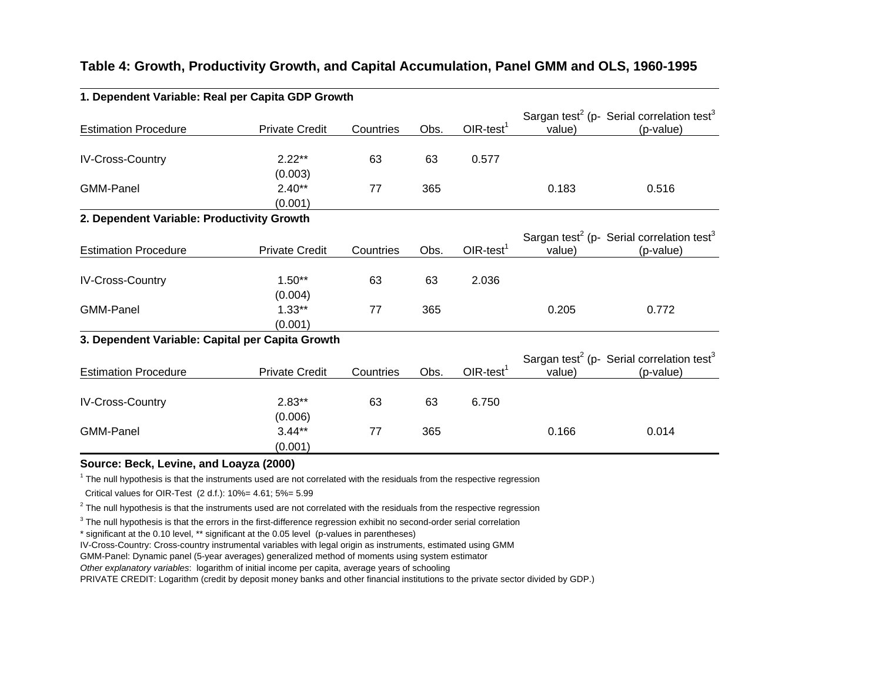| 1. Dependent Variable: Real per Capita GDP Growth |                       |           |      |             |        |                                                                                |
|---------------------------------------------------|-----------------------|-----------|------|-------------|--------|--------------------------------------------------------------------------------|
| <b>Estimation Procedure</b>                       | <b>Private Credit</b> | Countries | Obs. | $OIR-test1$ | value) | Sargan test <sup>2</sup> (p- Serial correlation test <sup>3</sup><br>(p-value) |
|                                                   |                       |           |      |             |        |                                                                                |
| IV-Cross-Country                                  | $2.22***$             | 63        | 63   | 0.577       |        |                                                                                |
|                                                   | (0.003)               |           |      |             |        |                                                                                |
| <b>GMM-Panel</b>                                  | $2.40**$              | 77        | 365  |             | 0.183  | 0.516                                                                          |
|                                                   | (0.001)               |           |      |             |        |                                                                                |
| 2. Dependent Variable: Productivity Growth        |                       |           |      |             |        |                                                                                |
|                                                   |                       |           |      |             |        | Sargan test <sup>2</sup> (p- Serial correlation test <sup>3</sup>              |
| <b>Estimation Procedure</b>                       | <b>Private Credit</b> | Countries | Obs. | $OIR-test1$ | value) | (p-value)                                                                      |
|                                                   |                       |           |      |             |        |                                                                                |
| <b>IV-Cross-Country</b>                           | $1.50**$              | 63        | 63   | 2.036       |        |                                                                                |
|                                                   | (0.004)               |           |      |             |        |                                                                                |
| <b>GMM-Panel</b>                                  | $1.33**$              | 77        | 365  |             | 0.205  | 0.772                                                                          |
|                                                   | (0.001)               |           |      |             |        |                                                                                |
| 3. Dependent Variable: Capital per Capita Growth  |                       |           |      |             |        |                                                                                |
|                                                   |                       |           |      |             |        | Sargan test <sup>2</sup> (p- Serial correlation test <sup>3</sup>              |
| <b>Estimation Procedure</b>                       | <b>Private Credit</b> | Countries | Obs. | $OIR-test1$ | value) | (p-value)                                                                      |
| <b>IV-Cross-Country</b>                           | $2.83**$              | 63        | 63   | 6.750       |        |                                                                                |
|                                                   | (0.006)               |           |      |             |        |                                                                                |
| <b>GMM-Panel</b>                                  | $3.44**$              | 77        | 365  |             | 0.166  | 0.014                                                                          |
|                                                   | (0.001)               |           |      |             |        |                                                                                |
|                                                   | 10000                 |           |      |             |        |                                                                                |

## **Table 4: Growth, Productivity Growth, and Capital Accumulation, Panel GMM and OLS, 1960-1995**

#### **Source: Beck, Levine, and Loayza (2000)**

 $1$  The null hypothesis is that the instruments used are not correlated with the residuals from the respective regression

Critical values for OIR-Test (2 d.f.): 10%= 4.61; 5%= 5.99

 $2$  The null hypothesis is that the instruments used are not correlated with the residuals from the respective regression

<sup>3</sup> The null hypothesis is that the errors in the first-difference regression exhibit no second-order serial correlation

\* significant at the 0.10 level, \*\* significant at the 0.05 level (p-values in parentheses)

IV-Cross-Country: Cross-country instrumental variables with legal origin as instruments, estimated using GMM

GMM-Panel: Dynamic panel (5-year averages) generalized method of moments using system estimator

*Other explanatory variables*: logarithm of initial income per capita, average years of schooling

PRIVATE CREDIT: Logarithm (credit by deposit money banks and other financial institutions to the private sector divided by GDP.)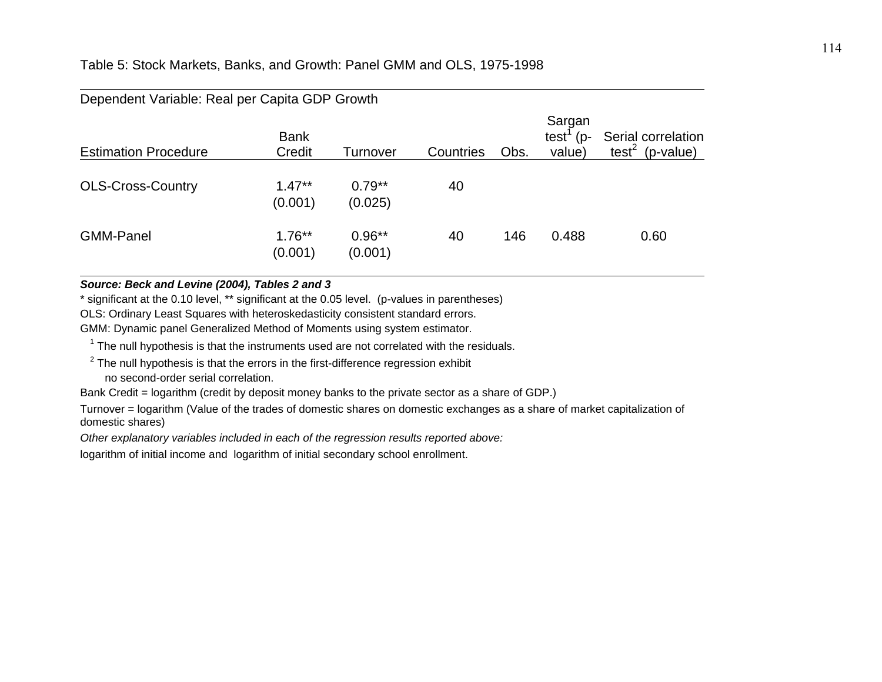### Table 5: Stock Markets, Banks, and Growth: Panel GMM and OLS, 1975-1998

| Dependent Variable: Real per Capita GDP Growth |                       |                     |           |      |                                 |                                                   |  |
|------------------------------------------------|-----------------------|---------------------|-----------|------|---------------------------------|---------------------------------------------------|--|
| <b>Estimation Procedure</b>                    | <b>Bank</b><br>Credit | Turnover            | Countries | Obs. | Sargan<br>$test'$ (p-<br>value) | Serial correlation<br>test <sup>2</sup> (p-value) |  |
| <b>OLS-Cross-Country</b>                       | $1.47**$<br>(0.001)   | $0.79**$<br>(0.025) | 40        |      |                                 |                                                   |  |
| <b>GMM-Panel</b>                               | $1.76***$<br>(0.001)  | $0.96**$<br>(0.001) | 40        | 146  | 0.488                           | 0.60                                              |  |

### *Source: Beck and Levine (2004), Tables 2 and 3*

\* significant at the 0.10 level, \*\* significant at the 0.05 level. (p-values in parentheses)

OLS: Ordinary Least Squares with heteroskedasticity consistent standard errors.

GMM: Dynamic panel Generalized Method of Moments using system estimator.

 $1$  The null hypothesis is that the instruments used are not correlated with the residuals.

 $2$  The null hypothesis is that the errors in the first-difference regression exhibit no second-order serial correlation.

Bank Credit = logarithm (credit by deposit money banks to the private sector as a share of GDP.)

Turnover = logarithm (Value of the trades of domestic shares on domestic exchanges as a share of market capitalization of domestic shares)

*Other explanatory variables included in each of the regression results reported above:* 

logarithm of initial income and logarithm of initial secondary school enrollment.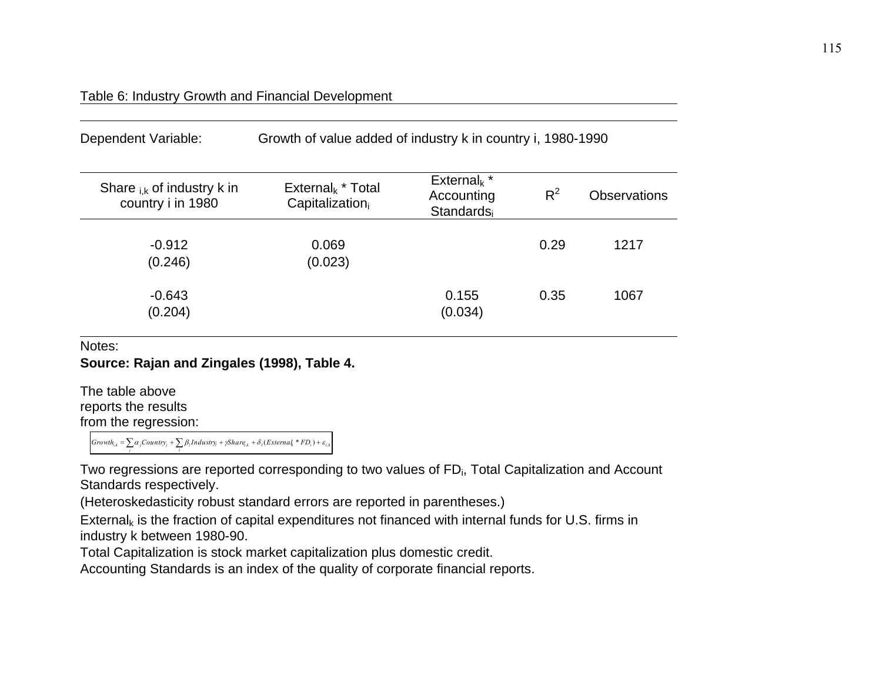| Dependent Variable:                                  | Growth of value added of industry k in country i, 1980-1990 |                                                  |       |                     |
|------------------------------------------------------|-------------------------------------------------------------|--------------------------------------------------|-------|---------------------|
| Share $_{i,k}$ of industry k in<br>country i in 1980 | $Externalk * Total$<br>Capitalization                       | External $k^*$<br>Accounting<br><b>Standards</b> | $R^2$ | <b>Observations</b> |
| $-0.912$<br>(0.246)                                  | 0.069<br>(0.023)                                            |                                                  | 0.29  | 1217                |
| $-0.643$<br>(0.204)                                  |                                                             | 0.155<br>(0.034)                                 | 0.35  | 1067                |

### Notes:

## **Source: Rajan and Zingales (1998), Table 4.**

The table above reports the results from the regression:

*j l*

 $Growth_{i,k} = \sum a_j Country_j + \sum \beta_l Industry_i + \gamma Share_{i,k} + \delta_1 (External_k * FD_i) + \varepsilon_{i,k}$ 

Two regressions are reported corresponding to two values of FD<sub>i</sub>, Total Capitalization and Account Standards respectively.

(Heteroskedasticity robust standard errors are reported in parentheses.)

External<sub>k</sub> is the fraction of capital expenditures not financed with internal funds for U.S. firms in industry k between 1980-90.

Total Capitalization is stock market capitalization plus domestic credit.

Accounting Standards is an index of the quality of corporate financial reports.